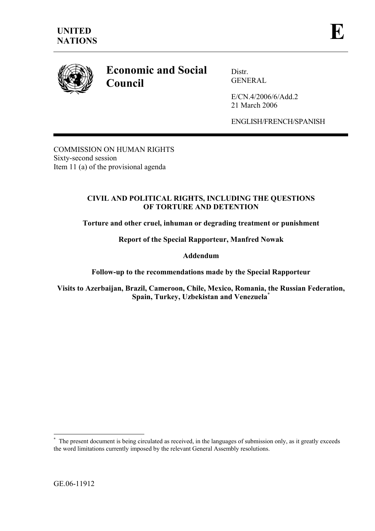

# **Economic and Social Council**

Distr. GENERAL

E/CN.4/2006/6/Add.2 21 March 2006

ENGLISH/FRENCH/SPANISH

COMMISSION ON HUMAN RIGHTS Sixty-second session Item 11 (a) of the provisional agenda

## **CIVIL AND POLITICAL RIGHTS, INCLUDING THE QUESTIONS OF TORTURE AND DETENTION**

**Torture and other cruel, inhuman or degrading treatment or punishment** 

**Report of the Special Rapporteur, Manfred Nowak** 

**Addendum** 

**Follow-up to the recommendations made by the Special Rapporteur** 

**Visits to Azerbaijan, Brazil, Cameroon, Chile, Mexico, Romania, the Russian Federation, Spain, Turkey, Uzbekistan and Venezuela**\*

 $\overline{a}$ 

**<sup>\*</sup>** The present document is being circulated as received, in the languages of submission only, as it greatly exceeds the word limitations currently imposed by the relevant General Assembly resolutions.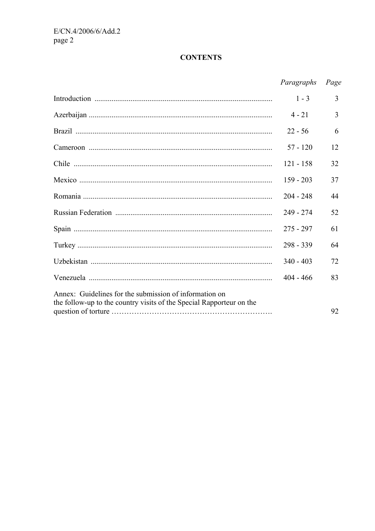## **CONTENTS**

|                                                                      | Paragraphs  | Page           |
|----------------------------------------------------------------------|-------------|----------------|
|                                                                      | $1 - 3$     | 3              |
|                                                                      | $4 - 21$    | $\overline{3}$ |
|                                                                      | $22 - 56$   | 6              |
|                                                                      | $57 - 120$  | 12             |
|                                                                      | $121 - 158$ | 32             |
|                                                                      | $159 - 203$ | 37             |
|                                                                      | $204 - 248$ | 44             |
|                                                                      | $249 - 274$ | 52             |
|                                                                      | $275 - 297$ | 61             |
|                                                                      | $298 - 339$ | 64             |
|                                                                      | $340 - 403$ | 72             |
|                                                                      | $404 - 466$ | 83             |
| Annex: Guidelines for the submission of information on               |             |                |
| the follow-up to the country visits of the Special Rapporteur on the |             | 92             |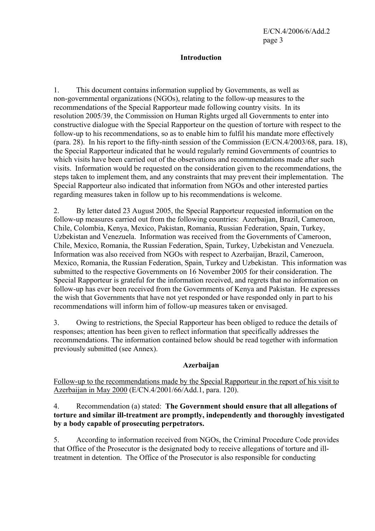## **Introduction**

1. This document contains information supplied by Governments, as well as non-governmental organizations (NGOs), relating to the follow-up measures to the recommendations of the Special Rapporteur made following country visits. In its resolution 2005/39, the Commission on Human Rights urged all Governments to enter into constructive dialogue with the Special Rapporteur on the question of torture with respect to the follow-up to his recommendations, so as to enable him to fulfil his mandate more effectively (para. 28). In his report to the fifty-ninth session of the Commission (E/CN.4/2003/68, para. 18), the Special Rapporteur indicated that he would regularly remind Governments of countries to which visits have been carried out of the observations and recommendations made after such visits. Information would be requested on the consideration given to the recommendations, the steps taken to implement them, and any constraints that may prevent their implementation. The Special Rapporteur also indicated that information from NGOs and other interested parties regarding measures taken in follow up to his recommendations is welcome.

2. By letter dated 23 August 2005, the Special Rapporteur requested information on the follow-up measures carried out from the following countries: Azerbaijan, Brazil, Cameroon, Chile, Colombia, Kenya, Mexico, Pakistan, Romania, Russian Federation, Spain, Turkey, Uzbekistan and Venezuela. Information was received from the Governments of Cameroon, Chile, Mexico, Romania, the Russian Federation, Spain, Turkey, Uzbekistan and Venezuela. Information was also received from NGOs with respect to Azerbaijan, Brazil, Cameroon, Mexico, Romania, the Russian Federation, Spain, Turkey and Uzbekistan. This information was submitted to the respective Governments on 16 November 2005 for their consideration. The Special Rapporteur is grateful for the information received, and regrets that no information on follow-up has ever been received from the Governments of Kenya and Pakistan. He expresses the wish that Governments that have not yet responded or have responded only in part to his recommendations will inform him of follow-up measures taken or envisaged.

3. Owing to restrictions, the Special Rapporteur has been obliged to reduce the details of responses; attention has been given to reflect information that specifically addresses the recommendations. The information contained below should be read together with information previously submitted (see Annex).

## **Azerbaijan**

Follow-up to the recommendations made by the Special Rapporteur in the report of his visit to Azerbaijan in May 2000 (E/CN.4/2001/66/Add.1, para. 120).

#### 4. Recommendation (a) stated: **The Government should ensure that all allegations of torture and similar ill-treatment are promptly, independently and thoroughly investigated by a body capable of prosecuting perpetrators.**

5. According to information received from NGOs, the Criminal Procedure Code provides that Office of the Prosecutor is the designated body to receive allegations of torture and illtreatment in detention. The Office of the Prosecutor is also responsible for conducting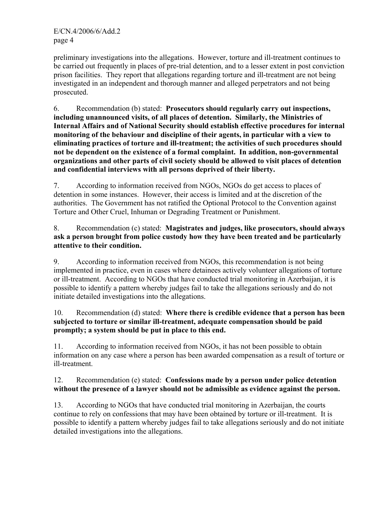preliminary investigations into the allegations. However, torture and ill-treatment continues to be carried out frequently in places of pre-trial detention, and to a lesser extent in post conviction prison facilities. They report that allegations regarding torture and ill-treatment are not being investigated in an independent and thorough manner and alleged perpetrators and not being prosecuted.

6. Recommendation (b) stated: **Prosecutors should regularly carry out inspections, including unannounced visits, of all places of detention. Similarly, the Ministries of Internal Affairs and of National Security should establish effective procedures for internal monitoring of the behaviour and discipline of their agents, in particular with a view to eliminating practices of torture and ill-treatment; the activities of such procedures should not be dependent on the existence of a formal complaint. In addition, non-governmental organizations and other parts of civil society should be allowed to visit places of detention and confidential interviews with all persons deprived of their liberty.** 

7. According to information received from NGOs, NGOs do get access to places of detention in some instances. However, their access is limited and at the discretion of the authorities. The Government has not ratified the Optional Protocol to the Convention against Torture and Other Cruel, Inhuman or Degrading Treatment or Punishment.

8. Recommendation (c) stated: **Magistrates and judges, like prosecutors, should always ask a person brought from police custody how they have been treated and be particularly attentive to their condition.** 

9. According to information received from NGOs, this recommendation is not being implemented in practice, even in cases where detainees actively volunteer allegations of torture or ill-treatment. According to NGOs that have conducted trial monitoring in Azerbaijan, it is possible to identify a pattern whereby judges fail to take the allegations seriously and do not initiate detailed investigations into the allegations.

## 10. Recommendation (d) stated: **Where there is credible evidence that a person has been subjected to torture or similar ill-treatment, adequate compensation should be paid promptly; a system should be put in place to this end.**

11. According to information received from NGOs, it has not been possible to obtain information on any case where a person has been awarded compensation as a result of torture or ill-treatment.

## 12. Recommendation (e) stated: **Confessions made by a person under police detention without the presence of a lawyer should not be admissible as evidence against the person.**

13. According to NGOs that have conducted trial monitoring in Azerbaijan, the courts continue to rely on confessions that may have been obtained by torture or ill-treatment. It is possible to identify a pattern whereby judges fail to take allegations seriously and do not initiate detailed investigations into the allegations.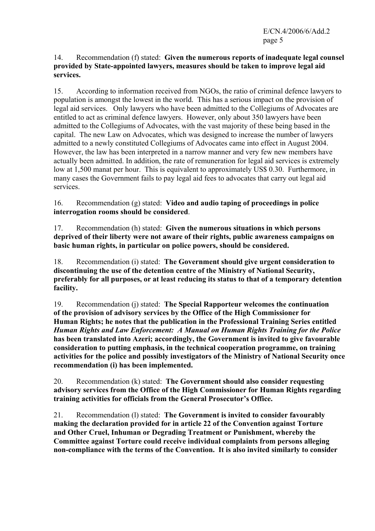#### 14. Recommendation (f) stated: **Given the numerous reports of inadequate legal counsel provided by State-appointed lawyers, measures should be taken to improve legal aid services.**

15. According to information received from NGOs, the ratio of criminal defence lawyers to population is amongst the lowest in the world. This has a serious impact on the provision of legal aid services. Only lawyers who have been admitted to the Collegiums of Advocates are entitled to act as criminal defence lawyers. However, only about 350 lawyers have been admitted to the Collegiums of Advocates, with the vast majority of these being based in the capital. The new Law on Advocates, which was designed to increase the number of lawyers admitted to a newly constituted Collegiums of Advocates came into effect in August 2004. However, the law has been interpreted in a narrow manner and very few new members have actually been admitted. In addition, the rate of remuneration for legal aid services is extremely low at 1,500 manat per hour. This is equivalent to approximately US\$ 0.30. Furthermore, in many cases the Government fails to pay legal aid fees to advocates that carry out legal aid services.

16. Recommendation (g) stated: **Video and audio taping of proceedings in police interrogation rooms should be considered**.

17. Recommendation (h) stated: **Given the numerous situations in which persons deprived of their liberty were not aware of their rights, public awareness campaigns on basic human rights, in particular on police powers, should be considered.** 

18. Recommendation (i) stated: **The Government should give urgent consideration to discontinuing the use of the detention centre of the Ministry of National Security, preferably for all purposes, or at least reducing its status to that of a temporary detention facility.**

19. Recommendation (j) stated: **The Special Rapporteur welcomes the continuation of the provision of advisory services by the Office of the High Commissioner for Human Rights; he notes that the publication in the Professional Training Series entitled**  *Human Rights and Law Enforcement: A Manual on Human Rights Training for the Police* **has been translated into Azeri; accordingly, the Government is invited to give favourable consideration to putting emphasis, in the technical cooperation programme, on training activities for the police and possibly investigators of the Ministry of National Security once recommendation (i) has been implemented.** 

20. Recommendation (k) stated: **The Government should also consider requesting advisory services from the Office of the High Commissioner for Human Rights regarding training activities for officials from the General Prosecutor's Office.** 

21. Recommendation (l) stated: **The Government is invited to consider favourably making the declaration provided for in article 22 of the Convention against Torture and Other Cruel, Inhuman or Degrading Treatment or Punishment, whereby the Committee against Torture could receive individual complaints from persons alleging non-compliance with the terms of the Convention. It is also invited similarly to consider**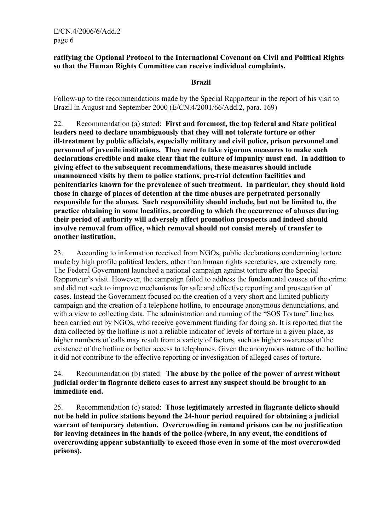#### **ratifying the Optional Protocol to the International Covenant on Civil and Political Rights so that the Human Rights Committee can receive individual complaints.**

#### **Brazil**

Follow-up to the recommendations made by the Special Rapporteur in the report of his visit to Brazil in August and September 2000 (E/CN.4/2001/66/Add.2, para. 169)

22. Recommendation (a) stated: **First and foremost, the top federal and State political leaders need to declare unambiguously that they will not tolerate torture or other ill-treatment by public officials, especially military and civil police, prison personnel and personnel of juvenile institutions. They need to take vigorous measures to make such declarations credible and make clear that the culture of impunity must end. In addition to giving effect to the subsequent recommendations, these measures should include unannounced visits by them to police stations, pre-trial detention facilities and penitentiaries known for the prevalence of such treatment. In particular, they should hold those in charge of places of detention at the time abuses are perpetrated personally responsible for the abuses. Such responsibility should include, but not be limited to, the practice obtaining in some localities, according to which the occurrence of abuses during their period of authority will adversely affect promotion prospects and indeed should involve removal from office, which removal should not consist merely of transfer to another institution.** 

23. According to information received from NGOs, public declarations condemning torture made by high profile political leaders, other than human rights secretaries, are extremely rare. The Federal Government launched a national campaign against torture after the Special Rapporteur's visit. However, the campaign failed to address the fundamental causes of the crime and did not seek to improve mechanisms for safe and effective reporting and prosecution of cases. Instead the Government focused on the creation of a very short and limited publicity campaign and the creation of a telephone hotline, to encourage anonymous denunciations, and with a view to collecting data. The administration and running of the "SOS Torture" line has been carried out by NGOs, who receive government funding for doing so. It is reported that the data collected by the hotline is not a reliable indicator of levels of torture in a given place, as higher numbers of calls may result from a variety of factors, such as higher awareness of the existence of the hotline or better access to telephones. Given the anonymous nature of the hotline it did not contribute to the effective reporting or investigation of alleged cases of torture.

#### 24. Recommendation (b) stated: **The abuse by the police of the power of arrest without judicial order in flagrante delicto cases to arrest any suspect should be brought to an immediate end.**

25. Recommendation (c) stated: **Those legitimately arrested in flagrante delicto should not be held in police stations beyond the 24-hour period required for obtaining a judicial warrant of temporary detention. Overcrowding in remand prisons can be no justification for leaving detainees in the hands of the police (where, in any event, the conditions of overcrowding appear substantially to exceed those even in some of the most overcrowded prisons).**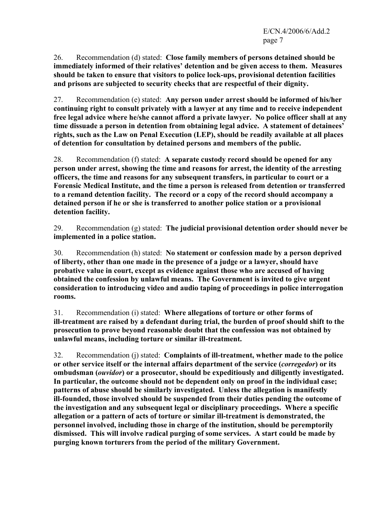26. Recommendation (d) stated: **Close family members of persons detained should be immediately informed of their relatives' detention and be given access to them. Measures should be taken to ensure that visitors to police lock-ups, provisional detention facilities and prisons are subjected to security checks that are respectful of their dignity.**

27. Recommendation (e) stated: **Any person under arrest should be informed of his/her continuing right to consult privately with a lawyer at any time and to receive independent free legal advice where he/she cannot afford a private lawyer. No police officer shall at any time dissuade a person in detention from obtaining legal advice. A statement of detainees' rights, such as the Law on Penal Execution (LEP), should be readily available at all places of detention for consultation by detained persons and members of the public.**

28. Recommendation (f) stated: **A separate custody record should be opened for any person under arrest, showing the time and reasons for arrest, the identity of the arresting officers, the time and reasons for any subsequent transfers, in particular to court or a Forensic Medical Institute, and the time a person is released from detention or transferred to a remand detention facility. The record or a copy of the record should accompany a detained person if he or she is transferred to another police station or a provisional detention facility.**

29. Recommendation (g) stated: **The judicial provisional detention order should never be implemented in a police station.** 

30. Recommendation (h) stated: **No statement or confession made by a person deprived of liberty, other than one made in the presence of a judge or a lawyer, should have probative value in court, except as evidence against those who are accused of having obtained the confession by unlawful means. The Government is invited to give urgent consideration to introducing video and audio taping of proceedings in police interrogation rooms.** 

31. Recommendation (i) stated: **Where allegations of torture or other forms of ill-treatment are raised by a defendant during trial, the burden of proof should shift to the prosecution to prove beyond reasonable doubt that the confession was not obtained by unlawful means, including torture or similar ill-treatment.**

32. Recommendation (j) stated: **Complaints of ill-treatment, whether made to the police or other service itself or the internal affairs department of the service (***corregedor***) or its ombudsman (***ouvidor***) or a prosecutor, should be expeditiously and diligently investigated. In particular, the outcome should not be dependent only on proof in the individual case; patterns of abuse should be similarly investigated. Unless the allegation is manifestly ill-founded, those involved should be suspended from their duties pending the outcome of the investigation and any subsequent legal or disciplinary proceedings. Where a specific allegation or a pattern of acts of torture or similar ill-treatment is demonstrated, the personnel involved, including those in charge of the institution, should be peremptorily dismissed. This will involve radical purging of some services. A start could be made by purging known torturers from the period of the military Government.**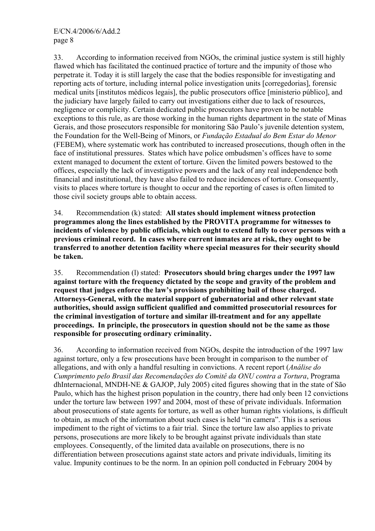33. According to information received from NGOs, the criminal justice system is still highly flawed which has facilitated the continued practice of torture and the impunity of those who perpetrate it. Today it is still largely the case that the bodies responsible for investigating and reporting acts of torture, including internal police investigation units [corregedorias], forensic medical units [institutos médicos legais], the public prosecutors office [ministerio público], and the judiciary have largely failed to carry out investigations either due to lack of resources, negligence or complicity. Certain dedicated public prosecutors have proven to be notable exceptions to this rule, as are those working in the human rights department in the state of Minas Gerais, and those prosecutors responsible for monitoring São Paulo's juvenile detention system, the Foundation for the Well-Being of Minors, or *Fundação Estadual do Bem Estar do Menor* (FEBEM), where systematic work has contributed to increased prosecutions, though often in the face of institutional pressures. States which have police ombudsmen's offices have to some extent managed to document the extent of torture. Given the limited powers bestowed to the offices, especially the lack of investigative powers and the lack of any real independence both financial and institutional, they have also failed to reduce incidences of torture. Consequently, visits to places where torture is thought to occur and the reporting of cases is often limited to those civil society groups able to obtain access.

34. Recommendation (k) stated: **All states should implement witness protection programmes along the lines established by the PROVITA programme for witnesses to incidents of violence by public officials, which ought to extend fully to cover persons with a previous criminal record. In cases where current inmates are at risk, they ought to be transferred to another detention facility where special measures for their security should be taken.** 

35. Recommendation (l) stated: **Prosecutors should bring charges under the 1997 law against torture with the frequency dictated by the scope and gravity of the problem and request that judges enforce the law's provisions prohibiting bail of those charged. Attorneys-General, with the material support of gubernatorial and other relevant state authorities, should assign sufficient qualified and committed prosecutorial resources for the criminal investigation of torture and similar ill-treatment and for any appellate proceedings. In principle, the prosecutors in question should not be the same as those responsible for prosecuting ordinary criminality.**

36. According to information received from NGOs, despite the introduction of the 1997 law against torture, only a few prosecutions have been brought in comparison to the number of allegations, and with only a handful resulting in convictions. A recent report (*Análise do Cumprimento pelo Brasil das Recomendações do Comitê da ONU contra a Tortura*, Programa dhInternacional, MNDH-NE & GAJOP, July 2005) cited figures showing that in the state of São Paulo, which has the highest prison population in the country, there had only been 12 convictions under the torture law between 1997 and 2004, most of these of private individuals. Information about prosecutions of state agents for torture, as well as other human rights violations, is difficult to obtain, as much of the information about such cases is held "in camera". This is a serious impediment to the right of victims to a fair trial. Since the torture law also applies to private persons, prosecutions are more likely to be brought against private individuals than state employees. Consequently, of the limited data available on prosecutions, there is no differentiation between prosecutions against state actors and private individuals, limiting its value. Impunity continues to be the norm. In an opinion poll conducted in February 2004 by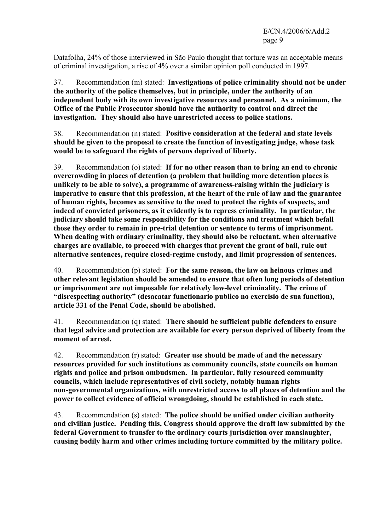Datafolha, 24% of those interviewed in São Paulo thought that torture was an acceptable means of criminal investigation, a rise of 4% over a similar opinion poll conducted in 1997.

37. Recommendation (m) stated: **Investigations of police criminality should not be under the authority of the police themselves, but in principle, under the authority of an independent body with its own investigative resources and personnel. As a minimum, the Office of the Public Prosecutor should have the authority to control and direct the investigation. They should also have unrestricted access to police stations.**

38. Recommendation (n) stated: **Positive consideration at the federal and state levels should be given to the proposal to create the function of investigating judge, whose task would be to safeguard the rights of persons deprived of liberty.**

39. Recommendation (o) stated: **If for no other reason than to bring an end to chronic overcrowding in places of detention (a problem that building more detention places is unlikely to be able to solve), a programme of awareness-raising within the judiciary is imperative to ensure that this profession, at the heart of the rule of law and the guarantee of human rights, becomes as sensitive to the need to protect the rights of suspects, and indeed of convicted prisoners, as it evidently is to repress criminality. In particular, the judiciary should take some responsibility for the conditions and treatment which befall those they order to remain in pre-trial detention or sentence to terms of imprisonment. When dealing with ordinary criminality, they should also be reluctant, when alternative charges are available, to proceed with charges that prevent the grant of bail, rule out alternative sentences, require closed-regime custody, and limit progression of sentences.** 

40. Recommendation (p) stated: **For the same reason, the law on heinous crimes and other relevant legislation should be amended to ensure that often long periods of detention or imprisonment are not imposable for relatively low-level criminality. The crime of "disrespecting authority" (desacatar functionario publico no exercisio de sua function), article 331 of the Penal Code, should be abolished.** 

41. Recommendation (q) stated: **There should be sufficient public defenders to ensure that legal advice and protection are available for every person deprived of liberty from the moment of arrest.**

42. Recommendation (r) stated: **Greater use should be made of and the necessary resources provided for such institutions as community councils, state councils on human rights and police and prison ombudsmen. In particular, fully resourced community councils, which include representatives of civil society, notably human rights non-governmental organizations, with unrestricted access to all places of detention and the power to collect evidence of official wrongdoing, should be established in each state.**

43. Recommendation (s) stated: **The police should be unified under civilian authority and civilian justice. Pending this, Congress should approve the draft law submitted by the federal Government to transfer to the ordinary courts jurisdiction over manslaughter, causing bodily harm and other crimes including torture committed by the military police.**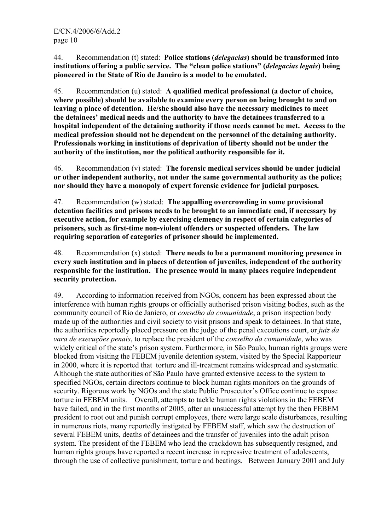44. Recommendation (t) stated: **Police stations (***delegacias***) should be transformed into institutions offering a public service. The "clean police stations" (***delegacias legais***) being pioneered in the State of Rio de Janeiro is a model to be emulated.** 

45. Recommendation (u) stated: **A qualified medical professional (a doctor of choice, where possible) should be available to examine every person on being brought to and on leaving a place of detention. He/she should also have the necessary medicines to meet the detainees' medical needs and the authority to have the detainees transferred to a hospital independent of the detaining authority if those needs cannot be met. Access to the medical profession should not be dependent on the personnel of the detaining authority. Professionals working in institutions of deprivation of liberty should not be under the authority of the institution, nor the political authority responsible for it.** 

46. Recommendation (v) stated: **The forensic medical services should be under judicial or other independent authority, not under the same governmental authority as the police; nor should they have a monopoly of expert forensic evidence for judicial purposes.**

47. Recommendation (w) stated: **The appalling overcrowding in some provisional detention facilities and prisons needs to be brought to an immediate end, if necessary by executive action, for example by exercising clemency in respect of certain categories of prisoners, such as first-time non-violent offenders or suspected offenders. The law requiring separation of categories of prisoner should be implemented.** 

48. Recommendation (x) stated: **There needs to be a permanent monitoring presence in every such institution and in places of detention of juveniles, independent of the authority responsible for the institution. The presence would in many places require independent security protection.**

49. According to information received from NGOs, concern has been expressed about the interference with human rights groups or officially authorised prison visiting bodies, such as the community council of Rio de Janiero, or *conselho da comunidade*, a prison inspection body made up of the authorities and civil society to visit prisons and speak to detainees. In that state, the authorities reportedly placed pressure on the judge of the penal executions court, or *juiz da vara de execuções penais*, to replace the president of the *conselho da comunidade*, who was widely critical of the state's prison system. Furthermore, in São Paulo, human rights groups were blocked from visiting the FEBEM juvenile detention system, visited by the Special Rapporteur in 2000, where it is reported that torture and ill-treatment remains widespread and systematic. Although the state authorities of São Paulo have granted extensive access to the system to specified NGOs, certain directors continue to block human rights monitors on the grounds of security. Rigorous work by NGOs and the state Public Prosecutor's Office continue to expose torture in FEBEM units. Overall, attempts to tackle human rights violations in the FEBEM have failed, and in the first months of 2005, after an unsuccessful attempt by the then FEBEM president to root out and punish corrupt employees, there were large scale disturbances, resulting in numerous riots, many reportedly instigated by FEBEM staff, which saw the destruction of several FEBEM units, deaths of detainees and the transfer of juveniles into the adult prison system. The president of the FEBEM who lead the crackdown has subsequently resigned, and human rights groups have reported a recent increase in repressive treatment of adolescents, through the use of collective punishment, torture and beatings. Between January 2001 and July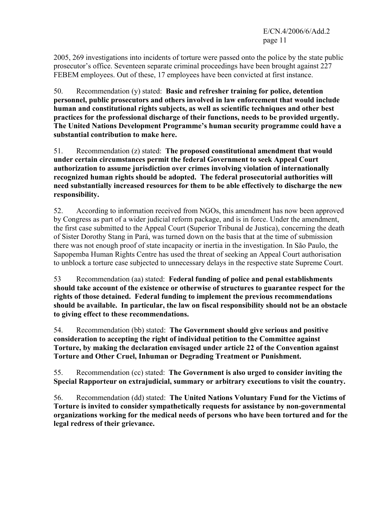2005, 269 investigations into incidents of torture were passed onto the police by the state public prosecutor's office. Seventeen separate criminal proceedings have been brought against 227 FEBEM employees. Out of these, 17 employees have been convicted at first instance.

50. Recommendation (y) stated: **Basic and refresher training for police, detention personnel, public prosecutors and others involved in law enforcement that would include human and constitutional rights subjects, as well as scientific techniques and other best practices for the professional discharge of their functions, needs to be provided urgently. The United Nations Development Programme's human security programme could have a substantial contribution to make here.**

51. Recommendation (z) stated: **The proposed constitutional amendment that would under certain circumstances permit the federal Government to seek Appeal Court authorization to assume jurisdiction over crimes involving violation of internationally recognized human rights should be adopted. The federal prosecutorial authorities will need substantially increased resources for them to be able effectively to discharge the new responsibility.**

52. According to information received from NGOs, this amendment has now been approved by Congress as part of a wider judicial reform package, and is in force. Under the amendment, the first case submitted to the Appeal Court (Superior Tribunal de Justica), concerning the death of Sister Dorothy Stang in Pará, was turned down on the basis that at the time of submission there was not enough proof of state incapacity or inertia in the investigation. In São Paulo, the Sapopemba Human Rights Centre has used the threat of seeking an Appeal Court authorisation to unblock a torture case subjected to unnecessary delays in the respective state Supreme Court.

53 Recommendation (aa) stated: **Federal funding of police and penal establishments should take account of the existence or otherwise of structures to guarantee respect for the rights of those detained. Federal funding to implement the previous recommendations should be available. In particular, the law on fiscal responsibility should not be an obstacle to giving effect to these recommendations.**

54. Recommendation (bb) stated: **The Government should give serious and positive consideration to accepting the right of individual petition to the Committee against Torture, by making the declaration envisaged under article 22 of the Convention against Torture and Other Cruel, Inhuman or Degrading Treatment or Punishment.**

55. Recommendation (cc) stated: **The Government is also urged to consider inviting the Special Rapporteur on extrajudicial, summary or arbitrary executions to visit the country.** 

56. Recommendation (dd) stated: **The United Nations Voluntary Fund for the Victims of Torture is invited to consider sympathetically requests for assistance by non-governmental organizations working for the medical needs of persons who have been tortured and for the legal redress of their grievance.**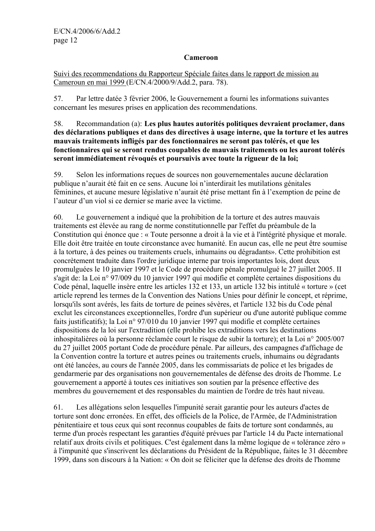#### **Cameroon**

Suivi des recommendations du Rapporteur Spéciale faites dans le rapport de mission au Cameroun en mai 1999 (E/CN.4/2000/9/Add.2, para. 78).

57. Par lettre datée 3 février 2006, le Gouvernement a fourni les informations suivantes concernant les mesures prises en application des recommendations.

#### 58. Recommandation (a): **Les plus hautes autorités politiques devraient proclamer, dans des déclarations publiques et dans des directives à usage interne, que la torture et les autres mauvais traitements infligés par des fonctionnaires ne seront pas tolérés, et que les fonctionnaires qui se seront rendus coupables de mauvais traitements ou les auront tolérés seront immédiatement révoqués et poursuivis avec toute la rigueur de la loi;**

59. Selon les informations reçues de sources non gouvernementales aucune déclaration publique n'aurait été fait en ce sens. Aucune loi n'interdirait les mutilations génitales féminines, et aucune mesure législative n'aurait été prise mettant fin à l'exemption de peine de l'auteur d'un viol si ce dernier se marie avec la victime.

60. Le gouvernement a indiqué que la prohibition de la torture et des autres mauvais traitements est élevée au rang de norme constitutionnelle par l'effet du préambule de la Constitution qui énonce que : « Toute personne a droit à la vie et à l'intégrité physique et morale. Elle doit être traitée en toute circonstance avec humanité. En aucun cas, elle ne peut être soumise à la torture, à des peines ou traitements cruels, inhumains ou dégradants». Cette prohibition est concrètement traduite dans l'ordre juridique interne par trois importantes lois, dont deux promulguées le 10 janvier 1997 et le Code de procédure pénale promulgué le 27 juillet 2005. II s'agit de: la Loi n° 97/009 du 10 janvier 1997 qui modifie et complète certaines dispositions du Code pénal, laquelle insère entre les articles 132 et 133, un article 132 bis intitulé « torture » (cet article reprend les termes de la Convention des Nations Unies pour définir le concept, et réprime, lorsqu'ils sont avérés, les faits de torture de peines sévères, et l'article 132 bis du Code pénal exclut les circonstances exceptionnelles, l'ordre d'un supérieur ou d'une autorité publique comme faits justificatifs); la Loi n° 97/010 du 10 janvier 1997 qui modifie et complète certaines dispositions de la loi sur l'extradition (elle prohibe les extraditions vers les destinations inhospitalières où la personne réclamée court le risque de subir la torture); et la Loi n° 2005/007 du 27 juillet 2005 portant Code de procédure pénale. Par ailleurs, des campagnes d'affichage de la Convention contre la torture et autres peines ou traitements cruels, inhumains ou dégradants ont été lancées, au cours de l'année 2005, dans les commissariats de police et les brigades de gendarmerie par des organisations non gouvernementales de défense des droits de l'homme. Le gouvernement a apporté à toutes ces initiatives son soutien par la présence effective des membres du gouvernement et des responsables du maintien de l'ordre de très haut niveau.

61. Les allégations selon lesquelles l'impunité serait garantie pour les auteurs d'actes de torture sont donc erronées. En effet, des officiels de la Police, de l'Armée, de l'Administration pénitentiaire et tous ceux qui sont reconnus coupables de faits de torture sont condamnés, au terme d'un procès respectant les garanties d'équité prévues par l'article 14 du Pacte international relatif aux droits civils et politiques. C'est également dans la même logique de « tolérance zéro » à l'impunité que s'inscrivent les déclarations du Président de la République, faites le 31 décembre 1999, dans son discours à la Nation: « On doit se féliciter que la défense des droits de l'homme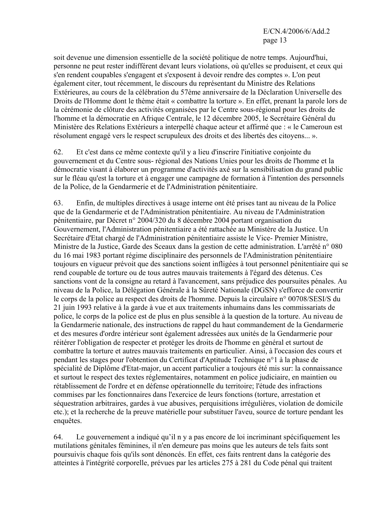soit devenue une dimension essentielle de la société politique de notre temps. Aujourd'hui, personne ne peut rester indifférent devant leurs violations, où qu'elles se produisent, et ceux qui s'en rendent coupables s'engagent et s'exposent à devoir rendre des comptes ». L'on peut également citer, tout récemment, le discours du représentant du Ministre des Relations Extérieures, au cours de la célébration du 57ème anniversaire de la Déclaration Universelle des Droits de l'Homme dont le thème était « combattre la torture ». En effet, prenant la parole lors de la cérémonie de clôture des activités organisées par le Centre sous-régional pour les droits de l'homme et la démocratie en Afrique Centrale, le 12 décembre 2005, le Secrétaire Général du Ministère des Relations Extérieurs a interpellé chaque acteur et affirmé que : « le Cameroun est résolument engagé vers le respect scrupuleux des droits et des libertés des citoyens... ».

62. Et c'est dans ce même contexte qu'il y a lieu d'inscrire l'initiative conjointe du gouvernement et du Centre sous- régional des Nations Unies pour les droits de l'homme et la démocratie visant à élaborer un programme d'activités axé sur la sensibilisation du grand public sur le fléau qu'est la torture et à engager une campagne de formation à l'intention des personnels de la Police, de la Gendarmerie et de l'Administration pénitentiaire.

63. Enfin, de multiples directives à usage interne ont été prises tant au niveau de la Police que de la Gendarmerie et de l'Administration pénitentiaire. Au niveau de l'Administration pénitentiaire, par Décret n° 2004/320 du 8 décembre 2004 portant organisation du Gouvernement, l'Administration pénitentiaire a été rattachée au Ministère de la Justice. Un Secrétaire d'Etat chargé de l'Administration pénitentiaire assiste le Vice- Premier Ministre, Ministre de la Justice, Garde des Sceaux dans la gestion de cette administration. L'arrêté n° 080 du 16 mai 1983 portant régime disciplinaire des personnels de l'Administration pénitentiaire toujours en vigueur prévoit que des sanctions soient infligées à tout personnel pénitentiaire qui se rend coupable de torture ou de tous autres mauvais traitements à l'égard des détenus. Ces sanctions vont de la consigne au retard à l'avancement, sans préjudice des poursuites pénales. Au niveau de la Police, la Délégation Générale à la Sûreté Nationale (DGSN) s'efforce de convertir le corps de la police au respect des droits de l'homme. Depuis la circulaire n° 00708/SESI/S du 21 juin 1993 relative à la garde à vue et aux traitements inhumains dans les commissariats de police, le corps de la police est de plus en plus sensible à la question de la torture. Au niveau de la Gendarmerie nationale, des instructions de rappel du haut commandement de la Gendarmerie et des mesures d'ordre intérieur sont également adressées aux unités de la Gendarmerie pour réitérer l'obligation de respecter et protéger les droits de l'homme en général et surtout de combattre la torture et autres mauvais traitements en particulier. Ainsi, à l'occasion des cours et pendant les stages pour l'obtention du Certificat d'Aptitude Technique n°1 à la phase de spécialité de Diplôme d'Etat-major, un accent particulier a toujours été mis sur: la connaissance et surtout le respect des textes réglementaires, notamment en police judiciaire, en maintien ou rétablissement de l'ordre et en défense opérationnelle du territoire; l'étude des infractions commises par les fonctionnaires dans l'exercice de leurs fonctions (torture, arrestation et séquestration arbitraires, gardes à vue abusives, perquisitions irrégulières, violation de domicile etc.); et la recherche de la preuve matérielle pour substituer l'aveu, source de torture pendant les enquêtes.

64. Le gouvernement a indiqué qu'il n y a pas encore de loi incriminant spécifiquement les mutilations génitales féminines, il n'en demeure pas moins que les auteurs de tels faits sont poursuivis chaque fois qu'ils sont dénoncés. En effet, ces faits rentrent dans la catégorie des atteintes à l'intégrité corporelle, prévues par les articles 275 à 281 du Code pénal qui traitent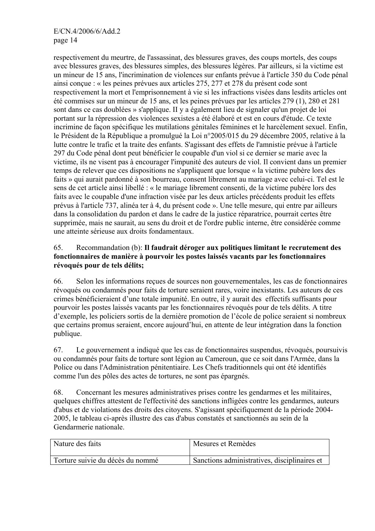respectivement du meurtre, de l'assassinat, des blessures graves, des coups mortels, des coups avec blessures graves, des blessures simples, des blessures légères. Par ailleurs, si la victime est un mineur de 15 ans, l'incrimination de violences sur enfants prévue à l'article 350 du Code pénal ainsi conçue : « les peines prévues aux articles 275, 277 et 278 du présent code sont respectivement la mort et l'emprisonnement à vie si les infractions visées dans lesdits articles ont été commises sur un mineur de 15 ans, et les peines prévues par les articles 279 (1), 280 et 281 sont dans ce cas doublées » s'applique. II y a également lieu de signaler qu'un projet de loi portant sur la répression des violences sexistes a été élaboré et est en cours d'étude. Ce texte incrimine de façon spécifique les mutilations génitales féminines et le harcèlement sexuel. Enfin, le Président de la République a promulgué la Loi n°2005/015 du 29 décembre 2005, relative à la lutte contre le trafic et la traite des enfants. S'agissant des effets de l'amnistie prévue à l'article 297 du Code pénal dont peut bénéficier le coupable d'un viol si ce dernier se marie avec la victime, ils ne visent pas à encourager l'impunité des auteurs de viol. Il convient dans un premier temps de relever que ces dispositions ne s'appliquent que lorsque « la victime pubère lors des faits » qui aurait pardonné à son bourreau, consent librement au mariage avec celui-ci. Tel est le sens de cet article ainsi libellé : « le mariage librement consenti, de la victime pubère lors des faits avec le coupable d'une infraction visée par les deux articles précédents produit les effets prévus à l'article 737, alinéa ter à 4, du présent code ». Une telle mesure, qui entre par ailleurs dans la consolidation du pardon et dans le cadre de la justice réparatrice, pourrait certes être supprimée, mais ne saurait, au sens du droit et de l'ordre public interne, être considérée comme une atteinte sérieuse aux droits fondamentaux.

## 65. Recommandation (b): **Il faudrait déroger aux politiques limitant le recrutement des fonctionnaires de manière à pourvoir les postes laissés vacants par les fonctionnaires révoqués pour de tels délits;**

66. Selon les informations reçues de sources non gouvernementales, les cas de fonctionnaires révoqués ou condamnés pour faits de torture seraient rares, voire inexistants. Les auteurs de ces crimes bénéficieraient d'une totale impunité. En outre, il y aurait des effectifs suffisants pour pourvoir les postes laissés vacants par les fonctionnaires révoqués pour de tels délits. A titre d'exemple, les policiers sortis de la dernière promotion de l'école de police seraient si nombreux que certains promus seraient, encore aujourd'hui, en attente de leur intégration dans la fonction publique.

67. Le gouvernement a indiqué que les cas de fonctionnaires suspendus, révoqués, poursuivis ou condamnés pour faits de torture sont légion au Cameroun, que ce soit dans l'Armée, dans la Police ou dans l'Administration pénitentiaire. Les Chefs traditionnels qui ont été identifiés comme l'un des pôles des actes de tortures, ne sont pas épargnés.

68. Concernant les mesures administratives prises contre les gendarmes et les militaires, quelques chiffres attestent de l'effectivité des sanctions infligées contre les gendarmes, auteurs d'abus et de violations des droits des citoyens. S'agissant spécifiquement de la période 2004- 2005, le tableau ci-après illustre des cas d'abus constatés et sanctionnés au sein de la Gendarmerie nationale.

| Nature des faits                 | Mesures et Remèdes                           |
|----------------------------------|----------------------------------------------|
| Torture suivie du décès du nommé | Sanctions administratives, disciplinaires et |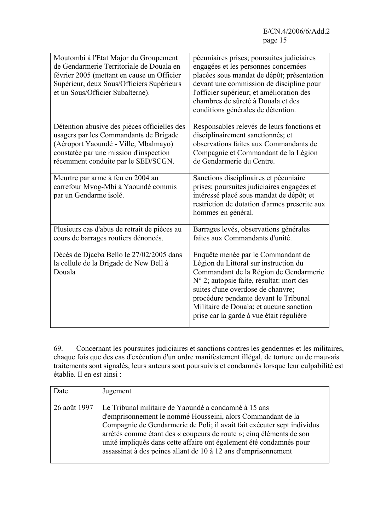| Moutombi à l'Etat Major du Groupement<br>de Gendarmerie Territoriale de Douala en<br>février 2005 (mettant en cause un Officier<br>Supérieur, deux Sous/Officiers Supérieurs<br>et un Sous/Officier Subalterne). | pécuniaires prises; poursuites judiciaires<br>engagées et les personnes concernées<br>placées sous mandat de dépôt; présentation<br>devant une commission de discipline pour<br>l'officier supérieur; et amélioration des<br>chambres de sûreté à Douala et des<br>conditions générales de détention.                                  |
|------------------------------------------------------------------------------------------------------------------------------------------------------------------------------------------------------------------|----------------------------------------------------------------------------------------------------------------------------------------------------------------------------------------------------------------------------------------------------------------------------------------------------------------------------------------|
| Détention abusive des pièces officielles des<br>usagers par les Commandants de Brigade<br>(Aéroport Yaoundé - Ville, Mbalmayo)<br>constatée par une mission d'inspection<br>récemment conduite par le SED/SCGN.  | Responsables relevés de leurs fonctions et<br>disciplinairement sanctionnés; et<br>observations faites aux Commandants de<br>Compagnie et Commandant de la Légion<br>de Gendarmerie du Centre.                                                                                                                                         |
| Meurtre par arme à feu en 2004 au<br>carrefour Mvog-Mbi à Yaoundé commis<br>par un Gendarme isolé.                                                                                                               | Sanctions disciplinaires et pécuniaire<br>prises; poursuites judiciaires engagées et<br>intéressé placé sous mandat de dépôt; et<br>restriction de dotation d'armes prescrite aux<br>hommes en général.                                                                                                                                |
| Plusieurs cas d'abus de retrait de pièces au<br>cours de barrages routiers dénoncés.                                                                                                                             | Barrages levés, observations générales<br>faites aux Commandants d'unité.                                                                                                                                                                                                                                                              |
| Décès de Djacba Bello le 27/02/2005 dans<br>la cellule de la Brigade de New Bell à<br>Douala                                                                                                                     | Enquête menée par le Commandant de<br>Légion du Littoral sur instruction du<br>Commandant de la Région de Gendarmerie<br>N° 2; autopsie faite, résultat: mort des<br>suites d'une overdose de chanvre;<br>procédure pendante devant le Tribunal<br>Militaire de Douala; et aucune sanction<br>prise car la garde à vue était régulière |

69. Concernant les poursuites judiciaires et sanctions contres les gendermes et les militaires, chaque fois que des cas d'exécution d'un ordre manifestement illégal, de torture ou de mauvais traitements sont signalés, leurs auteurs sont poursuivis et condamnés lorsque leur culpabilité est établie. Il en est ainsi :

| Date         | Jugement                                                                                                                                                                                                                                                                                                                                                                                                       |
|--------------|----------------------------------------------------------------------------------------------------------------------------------------------------------------------------------------------------------------------------------------------------------------------------------------------------------------------------------------------------------------------------------------------------------------|
| 26 août 1997 | Le Tribunal militaire de Yaoundé a condamné à 15 ans<br>d'emprisonnement le nommé Housseini, alors Commandant de la<br>Compagnie de Gendarmerie de Poli; il avait fait exécuter sept individus<br>arrêtés comme étant des « coupeurs de route »; cinq éléments de son<br>unité impliqués dans cette affaire ont également été condamnés pour<br>assassinat à des peines allant de 10 à 12 ans d'emprisonnement |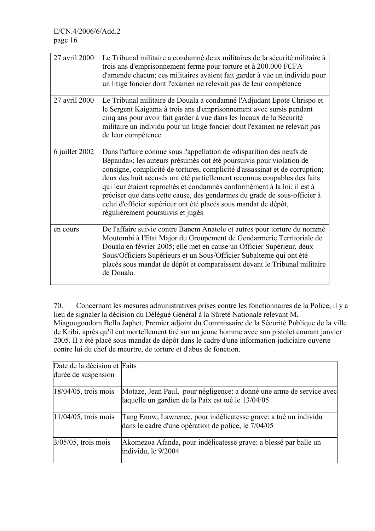| 27 avril 2000  | Le Tribunal militaire a condamné deux militaires de la sécurité militaire à<br>trois ans d'emprisonnement ferme pour torture et à 200.000 FCFA<br>d'amende chacun; ces militaires avaient fait garder à vue un individu pour<br>un litige foncier dont l'examen ne relevait pas de leur compétence                                                                                                                                                                                                                                                                     |
|----------------|------------------------------------------------------------------------------------------------------------------------------------------------------------------------------------------------------------------------------------------------------------------------------------------------------------------------------------------------------------------------------------------------------------------------------------------------------------------------------------------------------------------------------------------------------------------------|
| 27 avril 2000  | Le Tribunal militaire de Douala a condamné l'Adjudant Epote Chrispo et<br>le Sergent Kaigama à trois ans d'emprisonnement avec sursis pendant<br>cinq ans pour avoir fait garder à vue dans les locaux de la Sécurité<br>militaire un individu pour un litige foncier dont l'examen ne relevait pas<br>de leur compétence                                                                                                                                                                                                                                              |
| 6 juillet 2002 | Dans l'affaire connue sous l'appellation de «disparition des neufs de<br>Bépanda»; les auteurs présumés ont été poursuivis pour violation de<br>consigne, complicité de tortures, complicité d'assassinat et de corruption;<br>deux des huit accusés ont été partiellement reconnus coupables des faits<br>qui leur étaient reprochés et condamnés conformément à la loi; il est à<br>préciser que dans cette cause, des gendarmes du grade de sous-officier à<br>celui d'officier supérieur ont été placés sous mandat de dépôt,<br>régulièrement poursuivis et jugés |
| en cours       | De l'affaire suivie contre Banem Anatole et autres pour torture du nommé<br>Moutombi à l'Etat Major du Groupement de Gendarmerie Territoriale de<br>Douala en février 2005; elle met en cause un Officier Supérieur, deux<br>Sous/Officiers Supérieurs et un Sous/Officier Subalterne qui ont été<br>placés sous mandat de dépôt et comparaissent devant le Tribunal militaire<br>de Douala.                                                                                                                                                                           |

70. Concernant les mesures administratives prises contre les fonctionnaires de la Police, il y a lieu de signaler la décision du Délégué Général à la Sûreté Nationale relevant M. Miagougoudom Bello Japhet, Premier adjoint du Commissaire de la Sécurité Publique de la ville de Kribi, après qu'il eut mortellement tiré sur un jeune homme avec son pistolet courant janvier 2005. II a été placé sous mandat de dépôt dans le cadre d'une information judiciaire ouverte contre lui du chef de meurtre, de torture et d'abus de fonction.

| Date de la décision et Faits<br>durée de suspension |                                                                                                                            |
|-----------------------------------------------------|----------------------------------------------------------------------------------------------------------------------------|
| $18/04/05$ , trois mois                             | Motaze, Jean Paul, pour négligence: a donné une arme de service avec<br>laquelle un gardien de la Paix est tué le 13/04/05 |
| $11/04/05$ , trois mois                             | Tang Enow, Lawrence, pour indélicatesse grave: a tué un individu<br>dans le cadre d'une opération de police, le 7/04/05    |
| $3/05/05$ , trois mois                              | Akomezoa Afanda, pour indélicatesse grave: a blessé par balle un<br>individu, le 9/2004                                    |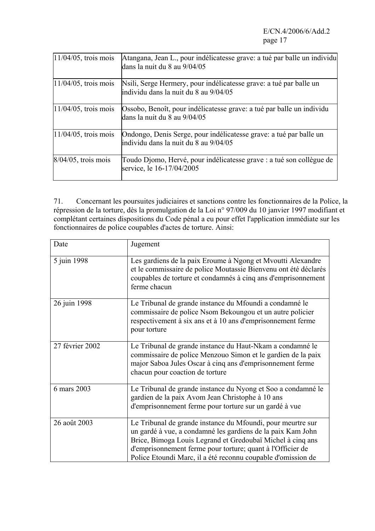| $11/04/05$ , trois mois | Atangana, Jean L., pour indélicatesse grave: a tué par balle un individu<br>dans la nuit du 8 au 9/04/05     |
|-------------------------|--------------------------------------------------------------------------------------------------------------|
| $11/04/05$ , trois mois | Nsili, Serge Hermery, pour indélicatesse grave: a tué par balle un<br>lindividu dans la nuit du 8 au 9/04/05 |
| $11/04/05$ , trois mois | Ossobo, Benoît, pour indélicatesse grave: a tué par balle un individu<br>dans la nuit du 8 au 9/04/05        |
| $11/04/05$ , trois mois | Ondongo, Denis Serge, pour indélicatesse grave: a tué par balle un<br>lindividu dans la nuit du 8 au 9/04/05 |
| $8/04/05$ , trois mois  | Toudo Djomo, Hervé, pour indélicatesse grave : a tué son collègue de<br>service, le 16-17/04/2005            |

71. Concernant les poursuites judiciaires et sanctions contre les fonctionnaires de la Police, la répression de la torture, dès la promulgation de la Loi n° 97/009 du 10 janvier 1997 modifiant et complétant certaines dispositions du Code pénal a eu pour effet l'application immédiate sur les fonctionnaires de police coupables d'actes de torture. Ainsi:

| Date            | Jugement                                                                                                                                                                                                                                                                                                               |
|-----------------|------------------------------------------------------------------------------------------------------------------------------------------------------------------------------------------------------------------------------------------------------------------------------------------------------------------------|
| 5 juin 1998     | Les gardiens de la paix Eroume à Ngong et Myoutti Alexandre<br>et le commissaire de police Moutassie Bienvenu ont été déclarés<br>coupables de torture et condamnés à cinq ans d'emprisonnement<br>ferme chacun                                                                                                        |
| 26 juin 1998    | Le Tribunal de grande instance du Mfoundi a condamné le<br>commissaire de police Nsom Bekoungou et un autre policier<br>respectivement à six ans et à 10 ans d'emprisonnement ferme<br>pour torture                                                                                                                    |
| 27 février 2002 | Le Tribunal de grande instance du Haut-Nkam a condamné le<br>commissaire de police Menzouo Simon et le gardien de la paix<br>major Saboa Jules Oscar à cinq ans d'emprisonnement ferme<br>chacun pour coaction de torture                                                                                              |
| 6 mars 2003     | Le Tribunal de grande instance du Nyong et Soo a condamné le<br>gardien de la paix Avom Jean Christophe à 10 ans<br>d'emprisonnement ferme pour torture sur un gardé à vue                                                                                                                                             |
| 26 août 2003    | Le Tribunal de grande instance du Mfoundi, pour meurtre sur<br>un gardé à vue, a condamné les gardiens de la paix Kam John<br>Brice, Bimoga Louis Legrand et Gredoubaï Michel à cinq ans<br>d'emprisonnement ferme pour torture; quant à l'Officier de<br>Police Etoundi Marc, il a été reconnu coupable d'omission de |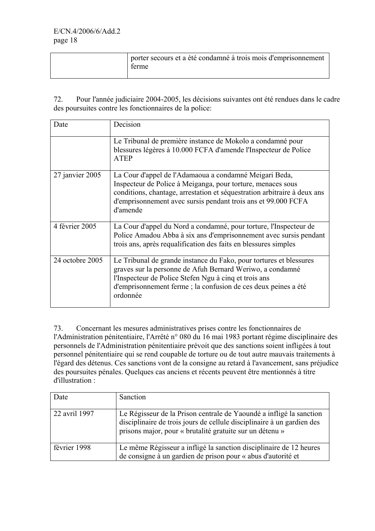| porter secours et a été condamné à trois mois d'emprisonnement<br>terme |
|-------------------------------------------------------------------------|
|                                                                         |

72. Pour l'année judiciaire 2004-2005, les décisions suivantes ont été rendues dans le cadre des poursuites contre les fonctionnaires de la police:

| Date            | Decision                                                                                                                                                                                                                                                                       |
|-----------------|--------------------------------------------------------------------------------------------------------------------------------------------------------------------------------------------------------------------------------------------------------------------------------|
|                 | Le Tribunal de première instance de Mokolo a condamné pour<br>blessures légères à 10.000 FCFA d'amende l'Inspecteur de Police<br><b>ATEP</b>                                                                                                                                   |
| 27 janvier 2005 | La Cour d'appel de l'Adamaoua a condamné Meigari Beda,<br>Inspecteur de Police à Meiganga, pour torture, menaces sous<br>conditions, chantage, arrestation et séquestration arbitraire à deux ans<br>d'emprisonnement avec sursis pendant trois ans et 99.000 FCFA<br>d'amende |
| 4 février 2005  | La Cour d'appel du Nord a condamné, pour torture, l'Inspecteur de<br>Police Amadou Abba à six ans d'emprisonnement avec sursis pendant<br>trois ans, après requalification des faits en blessures simples                                                                      |
| 24 octobre 2005 | Le Tribunal de grande instance du Fako, pour tortures et blessures<br>graves sur la personne de Afuh Bernard Weriwo, a condamné<br>l'Inspecteur de Police Stefen Ngu à cinq et trois ans<br>d'emprisonnement ferme ; la confusion de ces deux peines a été<br>ordonnée         |

73. Concernant les mesures administratives prises contre les fonctionnaires de l'Administration pénitentiaire, l'Arrêté n° 080 du 16 mai 1983 portant régime disciplinaire des personnels de l'Administration pénitentiaire prévoit que des sanctions soient infligées à tout personnel pénitentiaire qui se rend coupable de torture ou de tout autre mauvais traitements à l'égard des détenus. Ces sanctions vont de la consigne au retard à l'avancement, sans préjudice des poursuites pénales. Quelques cas anciens et récents peuvent être mentionnés à titre d'illustration :

| Date          | Sanction                                                                                                                                                                                                  |
|---------------|-----------------------------------------------------------------------------------------------------------------------------------------------------------------------------------------------------------|
| 22 avril 1997 | Le Régisseur de la Prison centrale de Yaoundé a infligé la sanction<br>disciplinaire de trois jours de cellule disciplinaire à un gardien des<br>prisons major, pour « brutalité gratuite sur un détenu » |
| février 1998  | Le même Régisseur a infligé la sanction disciplinaire de 12 heures<br>de consigne à un gardien de prison pour « abus d'autorité et                                                                        |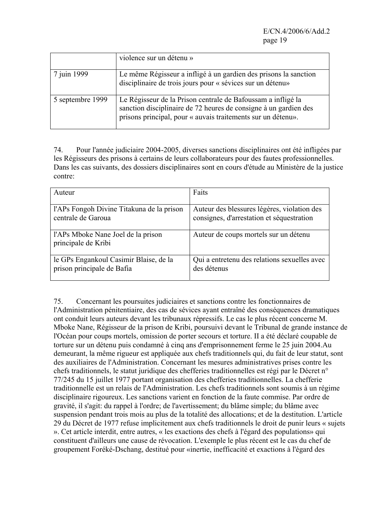|                  | violence sur un détenu »                                                                                                                                                                         |
|------------------|--------------------------------------------------------------------------------------------------------------------------------------------------------------------------------------------------|
| 7 juin 1999      | Le même Régisseur a infligé à un gardien des prisons la sanction<br>disciplinaire de trois jours pour « sévices sur un détenu»                                                                   |
| 5 septembre 1999 | Le Régisseur de la Prison centrale de Bafoussam a infligé la<br>sanction disciplinaire de 72 heures de consigne à un gardien des<br>prisons principal, pour « auvais traitements sur un détenu». |

74. Pour l'année judiciaire 2004-2005, diverses sanctions disciplinaires ont été infligées par les Régisseurs des prisons à certains de leurs collaborateurs pour des fautes professionnelles. Dans les cas suivants, des dossiers disciplinaires sont en cours d'étude au Ministère de la justice contre:

| Auteur                                                               | Faits                                                                                    |
|----------------------------------------------------------------------|------------------------------------------------------------------------------------------|
| l'APs Fongoh Divine Titakuna de la prison<br>centrale de Garoua      | Auteur des blessures légères, violation des<br>consignes, d'arrestation et séquestration |
| l'APs Mboke Nane Joel de la prison<br>principale de Kribi            | Auteur de coups mortels sur un détenu                                                    |
| le GPs Engankoul Casimir Blaise, de la<br>prison principale de Bafia | Qui a entretenu des relations sexuelles avec<br>des détenus                              |

75. Concernant les poursuites judiciaires et sanctions contre les fonctionnaires de l'Administration pénitentiaire, des cas de sévices ayant entraîné des conséquences dramatiques ont conduit leurs auteurs devant les tribunaux répressifs. Le cas le plus récent concerne M. Mboke Nane, Régisseur de la prison de Kribi, poursuivi devant le Tribunal de grande instance de l'Océan pour coups mortels, omission de porter secours et torture. II a été déclaré coupable de torture sur un détenu puis condamné à cinq ans d'emprisonnement ferme le 25 juin 2004.Au demeurant, la même rigueur est appliquée aux chefs traditionnels qui, du fait de leur statut, sont des auxiliaires de l'Administration. Concernant les mesures administratives prises contre les chefs traditionnels, le statut juridique des chefferies traditionnelles est régi par le Décret n° 77/245 du 15 juillet 1977 portant organisation des chefferies traditionnelles. La chefferie traditionnelle est un relais de l'Administration. Les chefs traditionnels sont soumis à un régime disciplinaire rigoureux. Les sanctions varient en fonction de la faute commise. Par ordre de gravité, il s'agit: du rappel à l'ordre; de l'avertissement; du blâme simple; du blâme avec suspension pendant trois mois au plus de la totalité des allocations; et de la destitution. L'article 29 du Décret de 1977 refuse implicitement aux chefs traditionnels le droit de punir leurs « sujets ». Cet article interdit, entre autres, « les exactions des chefs à l'égard des populations» qui constituent d'ailleurs une cause de révocation. L'exemple le plus récent est le cas du chef de groupement Foréké-Dschang, destitué pour «inertie, inefficacité et exactions à l'égard des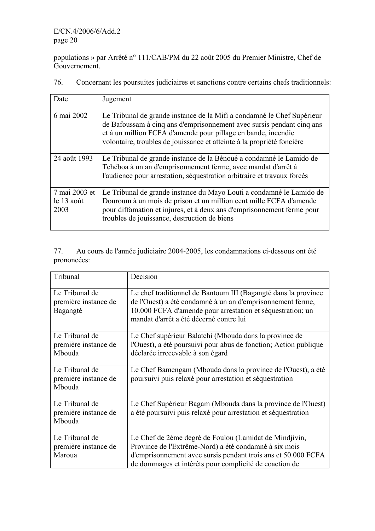populations » par Arrêté n° 111/CAB/PM du 22 août 2005 du Premier Ministre, Chef de Gouvernement.

| Date                                | Jugement                                                                                                                                                                                                                                                                                   |
|-------------------------------------|--------------------------------------------------------------------------------------------------------------------------------------------------------------------------------------------------------------------------------------------------------------------------------------------|
| 6 mai 2002                          | Le Tribunal de grande instance de la Mifi a condamné le Chef Supérieur<br>de Bafoussam à cinq ans d'emprisonnement avec sursis pendant cinq ans<br>et à un million FCFA d'amende pour pillage en bande, incendie<br>volontaire, troubles de jouissance et atteinte à la propriété foncière |
| 24 août 1993                        | Le Tribunal de grande instance de la Bénoué a condamné le Lamido de<br>Tchéboa à un an d'emprisonnement ferme, avec mandat d'arrêt à<br>l'audience pour arrestation, séquestration arbitraire et travaux forcés                                                                            |
| 7 mai 2003 et<br>le 13 août<br>2003 | Le Tribunal de grande instance du Mayo Louti a condamné le Lamido de<br>Douroum à un mois de prison et un million cent mille FCFA d'amende<br>pour diffamation et injures, et à deux ans d'emprisonnement ferme pour<br>troubles de jouissance, destruction de biens                       |

76. Concernant les poursuites judiciaires et sanctions contre certains chefs traditionnels:

77. Au cours de l'année judiciaire 2004-2005, les condamnations ci-dessous ont été prononcées:

| Tribunal                                           | Decision                                                                                                                                                                                                                                   |
|----------------------------------------------------|--------------------------------------------------------------------------------------------------------------------------------------------------------------------------------------------------------------------------------------------|
| Le Tribunal de<br>première instance de<br>Bagangté | Le chef traditionnel de Bantoum III (Bagangté dans la province<br>de l'Ouest) a été condamné à un an d'emprisonnement ferme,<br>10.000 FCFA d'amende pour arrestation et séquestration; un<br>mandat d'arrêt a été décerné contre lui      |
| Le Tribunal de<br>première instance de<br>Mbouda   | Le Chef supérieur Balatchi (Mbouda dans la province de<br>l'Ouest), a été poursuivi pour abus de fonction; Action publique<br>déclarée irrecevable à son égard                                                                             |
| Le Tribunal de<br>première instance de<br>Mbouda   | Le Chef Bamengam (Mbouda dans la province de l'Ouest), a été<br>poursuivi puis relaxé pour arrestation et séquestration                                                                                                                    |
| Le Tribunal de<br>première instance de<br>Mbouda   | Le Chef Supérieur Bagam (Mbouda dans la province de l'Ouest)<br>a été poursuivi puis relaxé pour arrestation et séquestration                                                                                                              |
| Le Tribunal de<br>première instance de<br>Maroua   | Le Chef de 2éme degré de Foulou (Lamidat de Mindjivin,<br>Province de l'Extrême-Nord) a été condamné à six mois<br>d'emprisonnement avec sursis pendant trois ans et 50.000 FCFA<br>de dommages et intérêts pour complicité de coaction de |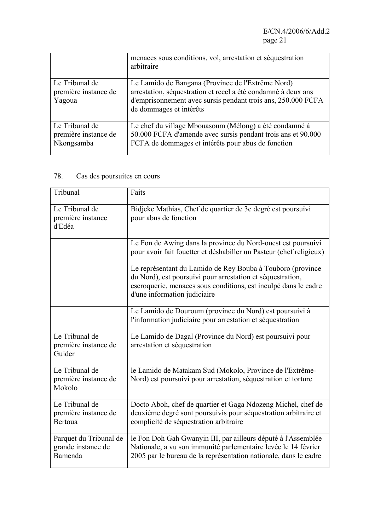|                                                      | menaces sous conditions, vol, arrestation et séquestration<br>arbitraire                                                                                                                                      |
|------------------------------------------------------|---------------------------------------------------------------------------------------------------------------------------------------------------------------------------------------------------------------|
| Le Tribunal de<br>première instance de<br>Yagoua     | Le Lamido de Bangana (Province de l'Extrême Nord)<br>arrestation, séquestration et recel a été condamné à deux ans<br>d'emprisonnement avec sursis pendant trois ans, 250.000 FCFA<br>de dommages et intérêts |
| Le Tribunal de<br>première instance de<br>Nkongsamba | Le chef du village Mbouasoum (Mélong) a été condamné à<br>50.000 FCFA d'amende avec sursis pendant trois ans et 90.000<br>FCFA de dommages et intérêts pour abus de fonction                                  |

## 78. Cas des poursuites en cours

| Tribunal                                                | Faits                                                                                                                                                                                                                       |
|---------------------------------------------------------|-----------------------------------------------------------------------------------------------------------------------------------------------------------------------------------------------------------------------------|
| Le Tribunal de<br>première instance<br>d'Edéa           | Bidjeke Mathias, Chef de quartier de 3e degré est poursuivi<br>pour abus de fonction                                                                                                                                        |
|                                                         | Le Fon de Awing dans la province du Nord-ouest est poursuivi<br>pour avoir fait fouetter et déshabiller un Pasteur (chef religieux)                                                                                         |
|                                                         | Le représentant du Lamido de Rey Bouba à Touboro (province<br>du Nord), est poursuivi pour arrestation et séquestration,<br>escroquerie, menaces sous conditions, est inculpé dans le cadre<br>d'une information judiciaire |
|                                                         | Le Lamido de Douroum (province du Nord) est poursuivi à<br>l'information judiciaire pour arrestation et séquestration                                                                                                       |
| Le Tribunal de<br>première instance de<br>Guider        | Le Lamido de Dagal (Province du Nord) est poursuivi pour<br>arrestation et séquestration                                                                                                                                    |
| Le Tribunal de<br>première instance de<br>Mokolo        | le Lamido de Matakam Sud (Mokolo, Province de l'Extrême-<br>Nord) est poursuivi pour arrestation, séquestration et torture                                                                                                  |
| Le Tribunal de<br>première instance de<br>Bertoua       | Docto Aboh, chef de quartier et Gaga Ndozeng Michel, chef de<br>deuxième degré sont poursuivis pour séquestration arbitraire et<br>complicité de séquestration arbitraire                                                   |
| Parquet du Tribunal de<br>grande instance de<br>Bamenda | le Fon Doh Gah Gwanyin III, par ailleurs député à l'Assemblée<br>Nationale, a vu son immunité parlementaire levée le 14 février<br>2005 par le bureau de la représentation nationale, dans le cadre                         |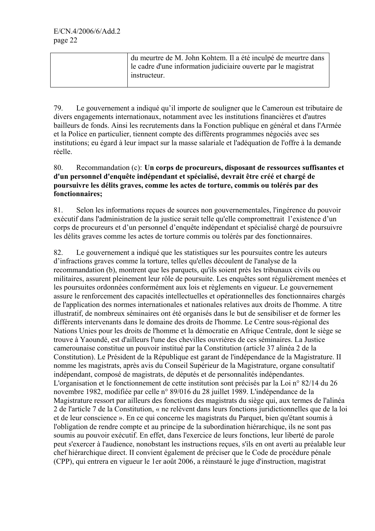| du meurtre de M. John Kohtem. Il a été inculpé de meurtre dans<br>le cadre d'une information judiciaire ouverte par le magistrat |
|----------------------------------------------------------------------------------------------------------------------------------|
| instructeur.                                                                                                                     |

79. Le gouvernement a indiqué qu'il importe de souligner que le Cameroun est tributaire de divers engagements internationaux, notamment avec les institutions financières et d'autres bailleurs de fonds. Ainsi les recrutements dans la Fonction publique en général et dans l'Armée et la Police en particulier, tiennent compte des différents programmes négociés avec ses institutions; eu égard à leur impact sur la masse salariale et l'adéquation de l'offre à la demande réelle.

## 80. Recommandation (c): **Un corps de procureurs, disposant de ressources suffisantes et d'un personnel d'enquête indépendant et spécialisé, devrait être créé et chargé de poursuivre les délits graves, comme les actes de torture, commis ou tolérés par des fonctionnaires;**

81. Selon les informations reçues de sources non gouvernementales, l'ingérence du pouvoir exécutif dans l'administration de la justice serait telle qu'elle compromettrait l'existence d'un corps de procureurs et d'un personnel d'enquête indépendant et spécialisé chargé de poursuivre les délits graves comme les actes de torture commis ou tolérés par des fonctionnaires.

82. Le gouvernement a indiqué que les statistiques sur les poursuites contre les auteurs d'infractions graves comme la torture, telles qu'elles découlent de l'analyse de la recommandation (b), montrent que les parquets, qu'ils soient près les tribunaux civils ou militaires, assurent pleinement leur rôle de poursuite. Les enquêtes sont régulièrement menées et les poursuites ordonnées conformément aux lois et règlements en vigueur. Le gouvernement assure le renforcement des capacités intellectuelles et opérationnelles des fonctionnaires chargés de l'application des normes internationales et nationales relatives aux droits de l'homme. A titre illustratif, de nombreux séminaires ont été organisés dans le but de sensibiliser et de former les différents intervenants dans le domaine des droits de l'homme. Le Centre sous-régional des Nations Unies pour les droits de l'homme et la démocratie en Afrique Centrale, dont le siège se trouve à Yaoundé, est d'ailleurs l'une des chevilles ouvrières de ces séminaires. La Justice camerounaise constitue un pouvoir institué par la Constitution (article 37 alinéa 2 de la Constitution). Le Président de la République est garant de l'indépendance de la Magistrature. II nomme les magistrats, après avis du Conseil Supérieur de la Magistrature, organe consultatif indépendant, composé de magistrats, de députés et de personnalités indépendantes. L'organisation et le fonctionnement de cette institution sont précisés par la Loi n° 82/14 du 26 novembre 1982, modifiée par celle n° 89/016 du 28 juillet 1989. L'indépendance de la Magistrature ressort par ailleurs des fonctions des magistrats du siège qui, aux termes de l'alinéa 2 de l'article 7 de la Constitution, « ne relèvent dans leurs fonctions juridictionnelles que de la loi et de leur conscience ». En ce qui concerne les magistrats du Parquet, bien qu'étant soumis à l'obligation de rendre compte et au principe de la subordination hiérarchique, ils ne sont pas soumis au pouvoir exécutif. En effet, dans l'exercice de leurs fonctions, leur liberté de parole peut s'exercer à l'audience, nonobstant les instructions reçues, s'ils en ont averti au préalable leur chef hiérarchique direct. II convient également de préciser que le Code de procédure pénale (CPP), qui entrera en vigueur le 1er août 2006, a réinstauré le juge d'instruction, magistrat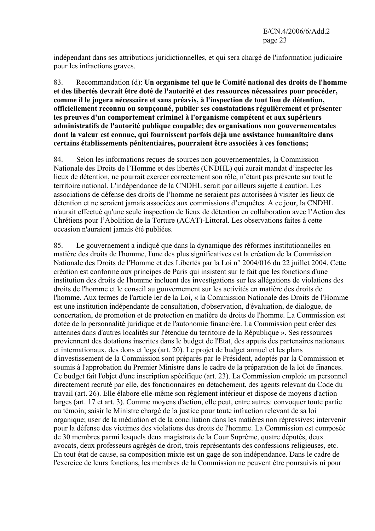indépendant dans ses attributions juridictionnelles, et qui sera chargé de l'information judiciaire pour les infractions graves.

83. Recommandation (d): **Un organisme tel que le Comité national des droits de l'homme et des libertés devrait être doté de l'autorité et des ressources nécessaires pour procéder, comme il le jugera nécessaire et sans préavis, à l'inspection de tout lieu de détention, officiellement reconnu ou soupçonné, publier ses constatations régulièrement et présenter les preuves d'un comportement criminel à l'organisme compétent et aux supérieurs administratifs de l'autorité publique coupable; des organisations non gouvernementales dont la valeur est connue, qui fournissent parfois déjà une assistance humanitaire dans certains établissements pénitentiaires, pourraient être associées à ces fonctions;**

84. Selon les informations reçues de sources non gouvernementales, la Commission Nationale des Droits de l'Homme et des libertés (CNDHL) qui aurait mandat d'inspecter les lieux de détention, ne pourrait exercer correctement son rôle, n'étant pas présente sur tout le territoire national. L'indépendance de la CNDHL serait par ailleurs sujette à caution. Les associations de défense des droits de l'homme ne seraient pas autorisées à visiter les lieux de détention et ne seraient jamais associées aux commissions d'enquêtes. A ce jour, la CNDHL n'aurait effectué qu'une seule inspection de lieux de détention en collaboration avec l'Action des Chrétiens pour l'Abolition de la Torture (ACAT)-Littoral. Les observations faites à cette occasion n'auraient jamais été publiées.

85. Le gouvernement a indiqué que dans la dynamique des réformes institutionnelles en matière des droits de l'homme, l'une des plus significatives est la création de la Commission Nationale des Droits de l'Homme et des Libertés par la Loi n° 2004/016 du 22 juillet 2004. Cette création est conforme aux principes de Paris qui insistent sur le fait que les fonctions d'une institution des droits de l'homme incluent des investigations sur les allégations de violations des droits de l'homme et le conseil au gouvernement sur les activités en matière des droits de l'homme. Aux termes de l'article ler de la Loi, « la Commission Nationale des Droits de l'Homme est une institution indépendante de consultation, d'observation, d'évaluation, de dialogue, de concertation, de promotion et de protection en matière de droits de l'homme. La Commission est dotée de la personnalité juridique et de l'autonomie financière. La Commission peut créer des antennes dans d'autres localités sur l'étendue du territoire de la République ». Ses ressources proviennent des dotations inscrites dans le budget de l'Etat, des appuis des partenaires nationaux et internationaux, des dons et legs (art. 20). Le projet de budget annuel et les plans d'investissement de la Commission sont préparés par le Président, adoptés par la Commission et soumis à l'approbation du Premier Ministre dans le cadre de la préparation de la loi de finances. Ce budget fait l'objet d'une inscription spécifique (art. 23). La Commission emploie un personnel directement recruté par elle, des fonctionnaires en détachement, des agents relevant du Code du travail (art. 26). Elle élabore elle-même son règlement intérieur et dispose de moyens d'action larges (art. 17 et art. 3). Comme moyens d'action, elle peut, entre autres: convoquer toute partie ou témoin; saisir le Ministre chargé de la justice pour toute infraction relevant de sa loi organique; user de la médiation et de la conciliation dans les matières non répressives; intervenir pour la défense des victimes des violations des droits de l'homme. La Commission est composée de 30 membres parmi lesquels deux magistrats de la Cour Suprême, quatre députés, deux avocats, deux professeurs agrégés de droit, trois représentants des confessions religieuses, etc. En tout état de cause, sa composition mixte est un gage de son indépendance. Dans le cadre de l'exercice de leurs fonctions, les membres de la Commission ne peuvent être poursuivis ni pour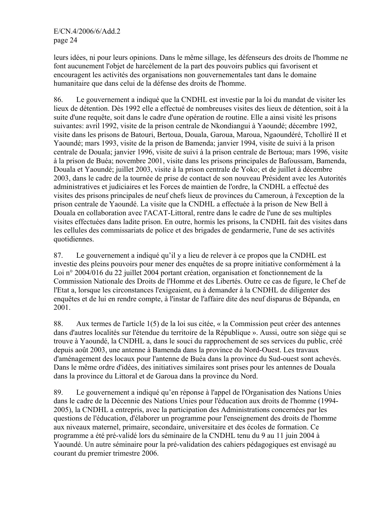leurs idées, ni pour leurs opinions. Dans le même sillage, les défenseurs des droits de l'homme ne font aucunement l'objet de harcèlement de la part des pouvoirs publics qui favorisent et encouragent les activités des organisations non gouvernementales tant dans le domaine humanitaire que dans celui de la défense des droits de l'homme.

86. Le gouvernement a indiqué que la CNDHL est investie par la loi du mandat de visiter les lieux de détention. Dès 1992 elle a effectué de nombreuses visites des lieux de détention, soit à la suite d'une requête, soit dans le cadre d'une opération de routine. Elle a ainsi visité les prisons suivantes: avril 1992, visite de la prison centrale de Nkondiangui à Yaoundé; décembre 1992, visite dans les prisons de Batouri, Bertoua, Douala, Garoua, Maroua, Ngaoundéré, Tcholliré II et Yaoundé; mars 1993, visite de la prison de Bamenda; janvier 1994, visite de suivi à la prison centrale de Douala; janvier 1996, visite de suivi à la prison centrale de Bertoua; mars 1996, visite à la prison de Buéa; novembre 2001, visite dans les prisons principales de Bafoussam, Bamenda, Douala et Yaoundé; juillet 2003, visite à la prison centrale de Yoko; et de juillet à décembre 2003, dans le cadre de la tournée de prise de contact de son nouveau Président avec les Autorités administratives et judiciaires et les Forces de maintien de l'ordre, la CNDHL a effectué des visites des prisons principales de neuf chefs lieux de provinces du Cameroun, à l'exception de la prison centrale de Yaoundé. La visite que la CNDHL a effectuée à la prison de New Bell à Douala en collaboration avec l'ACAT-Littoral, rentre dans le cadre de l'une de ses multiples visites effectuées dans ladite prison. En outre, hormis les prisons, la CNDHL fait des visites dans les cellules des commissariats de police et des brigades de gendarmerie, l'une de ses activités quotidiennes.

87. Le gouvernement a indiqué qu'il y a lieu de relever à ce propos que la CNDHL est investie des pleins pouvoirs pour mener des enquêtes de sa propre initiative conformément à la Loi n° 2004/016 du 22 juillet 2004 portant création, organisation et fonctionnement de la Commission Nationale des Droits de l'Homme et des Libertés. Outre ce cas de figure, le Chef de l'Etat a, lorsque les circonstances l'exigeaient, eu à demander à la CNDHL de diligenter des enquêtes et de lui en rendre compte, à l'instar de l'affaire dite des neuf disparus de Bépanda, en 2001.

88. Aux termes de l'article 1(5) de la loi sus citée, « la Commission peut créer des antennes dans d'autres localités sur l'étendue du territoire de la République ». Aussi, outre son siège qui se trouve à Yaoundé, la CNDHL a, dans le souci du rapprochement de ses services du public, créé depuis août 2003, une antenne à Bamenda dans la province du Nord-Ouest. Les travaux d'aménagement des locaux pour l'antenne de Buéa dans la province du Sud-ouest sont achevés. Dans le même ordre d'idées, des initiatives similaires sont prises pour les antennes de Douala dans la province du Littoral et de Garoua dans la province du Nord.

89. Le gouvernement a indiqué qu'en réponse à l'appel de l'Organisation des Nations Unies dans le cadre de la Décennie des Nations Unies pour l'éducation aux droits de l'homme (1994- 2005), la CNDHL a entrepris, avec la participation des Administrations concernées par les questions de l'éducation, d'élaborer un programme pour l'enseignement des droits de l'homme aux niveaux maternel, primaire, secondaire, universitaire et des écoles de formation. Ce programme a été pré-validé lors du séminaire de la CNDHL tenu du 9 au 11 juin 2004 à Yaoundé. Un autre séminaire pour la pré-validation des cahiers pédagogiques est envisagé au courant du premier trimestre 2006.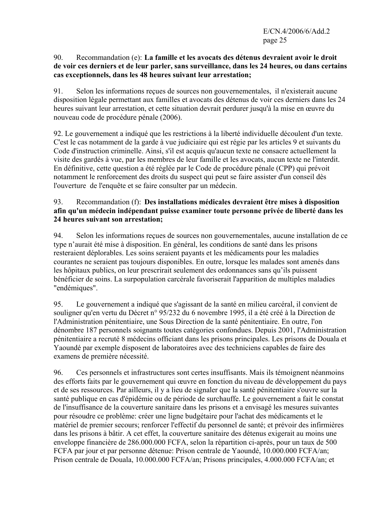#### 90. Recommandation (e): **La famille et les avocats des détenus devraient avoir le droit de voir ces derniers et de leur parler, sans surveillance, dans les 24 heures, ou dans certains cas exceptionnels, dans les 48 heures suivant leur arrestation;**

91. Selon les informations reçues de sources non gouvernementales, il n'existerait aucune disposition légale permettant aux familles et avocats des détenus de voir ces derniers dans les 24 heures suivant leur arrestation, et cette situation devrait perdurer jusqu'à la mise en œuvre du nouveau code de procédure pénale (2006).

92. Le gouvernement a indiqué que les restrictions à la liberté individuelle découlent d'un texte. C'est le cas notamment de la garde à vue judiciaire qui est régie par les articles 9 et suivants du Code d'instruction criminelle. Ainsi, s'il est acquis qu'aucun texte ne consacre actuellement la visite des gardés à vue, par les membres de leur famille et les avocats, aucun texte ne l'interdit. En définitive, cette question a été réglée par le Code de procédure pénale (CPP) qui prévoit notamment le renforcement des droits du suspect qui peut se faire assister d'un conseil dès l'ouverture de l'enquête et se faire consulter par un médecin.

## 93. Recommandation (f): **Des installations médicales devraient être mises à disposition afin qu'un médecin indépendant puisse examiner toute personne privée de liberté dans les 24 heures suivant son arrestation;**

94. Selon les informations reçues de sources non gouvernementales, aucune installation de ce type n'aurait été mise à disposition. En général, les conditions de santé dans les prisons resteraient déplorables. Les soins seraient payants et les médicaments pour les maladies courantes ne seraient pas toujours disponibles. En outre, lorsque les malades sont amenés dans les hôpitaux publics, on leur prescrirait seulement des ordonnances sans qu'ils puissent bénéficier de soins. La surpopulation carcérale favoriserait l'apparition de multiples maladies "endémiques".

95. Le gouvernement a indiqué que s'agissant de la santé en milieu carcéral, il convient de souligner qu'en vertu du Décret n° 95/232 du 6 novembre 1995, il a été créé à la Direction de l'Administration pénitentiaire, une Sous Direction de la santé pénitentiaire. En outre, l'on dénombre 187 personnels soignants toutes catégories confondues. Depuis 2001, l'Administration pénitentiaire a recruté 8 médecins officiant dans les prisons principales. Les prisons de Douala et Yaoundé par exemple disposent de laboratoires avec des techniciens capables de faire des examens de première nécessité.

96. Ces personnels et infrastructures sont certes insuffisants. Mais ils témoignent néanmoins des efforts faits par le gouvernement qui œuvre en fonction du niveau de développement du pays et de ses ressources. Par ailleurs, il y a lieu de signaler que la santé pénitentiaire s'ouvre sur la santé publique en cas d'épidémie ou de période de surchauffe. Le gouvernement a fait le constat de l'insuffisance de la couverture sanitaire dans les prisons et a envisagé les mesures suivantes pour résoudre ce problème: créer une ligne budgétaire pour l'achat des médicaments et le matériel de premier secours; renforcer l'effectif du personnel de santé; et prévoir des infirmières dans les prisons à bâtir. A cet effet, la couverture sanitaire des détenus exigerait au moins une enveloppe financière de 286.000.000 FCFA, selon la répartition ci-après, pour un taux de 500 FCFA par jour et par personne détenue: Prison centrale de Yaoundé, 10.000.000 FCFA/an; Prison centrale de Douala, 10.000.000 FCFA/an; Prisons principales, 4.000.000 FCFA/an; et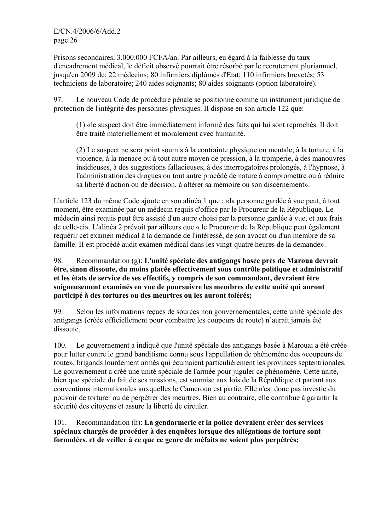Prisons secondaires, 3.000.000 FCFA/an. Par ailleurs, eu égard à la faiblesse du taux d'encadrement médical, le déficit observé pourrait être résorbé par le recrutement pluriannuel, jusqu'en 2009 de: 22 médecins; 80 infirmiers diplômés d'Etat; 110 infirmiers brevetés; 53 techniciens de laboratoire; 240 aides soignants; 80 aides soignants (option laboratoire).

97. Le nouveau Code de procédure pénale se positionne comme un instrument juridique de protection de l'intégrité des personnes physiques. II dispose en son article 122 que:

(1) «le suspect doit être immédiatement informé des faits qui lui sont reprochés. Il doit être traité matériellement et moralement avec humanité.

(2) Le suspect ne sera point soumis à la contrainte physique ou mentale, à la torture, à la violence, à la menace ou à tout autre moyen de pression, à la tromperie, à des manouvres insidieuses, à des suggestions fallacieuses, à des interrogatoires prolongés, à l'hypnose, à l'administration des drogues ou tout autre procédé de nature à compromettre ou à réduire sa liberté d'action ou de décision, à altérer sa mémoire ou son discernement».

L'article 123 du même Code ajoute en son alinéa 1 que : «la personne gardée à vue peut, à tout moment, être examinée par un médecin requis d'office par le Procureur de la République. Le médecin ainsi requis peut être assisté d'un autre choisi par la personne gardée à vue, et aux frais de celle-ci». L'alinéa 2 prévoit par ailleurs que « le Procureur de la République peut également requérir cet examen médical à la demande de l'intéressé, de son avocat ou d'un membre de sa famille. II est procédé audit examen médical dans les vingt-quatre heures de la demande».

#### 98. Recommandation (g): **L'unité spéciale des antigangs basée près de Maroua devrait être, sinon dissoute, du moins placée effectivement sous contrôle politique et administratif et les états de service de ses effectifs, y compris de son commandant, devraient être soigneusement examinés en vue de poursuivre les membres de cette unité qui auront participé à des tortures ou des meurtres ou les auront tolérés;**

99. Selon les informations reçues de sources non gouvernementales, cette unité spéciale des antigangs (créée officiellement pour combattre les coupeurs de route) n'aurait jamais été dissoute.

100. Le gouvernement a indiqué que l'unité spéciale des antigangs basée à Marouai a été créée pour lutter contre le grand banditisme connu sous l'appellation de phénomène des «coupeurs de route», brigands lourdement armés qui écumaient particulièrement les provinces septentrionales. Le gouvernement a créé une unité spéciale de l'armée pour juguler ce phénomène. Cette unité, bien que spéciale du fait de ses missions, est soumise aux lois de la République et partant aux conventions internationales auxquelles le Cameroun est partie. Elle n'est donc pas investie du pouvoir de torturer ou de perpétrer des meurtres. Bien au contraire, elle contribue à garantir la sécurité des citoyens et assure la liberté de circuler.

101. Recommandation (h): **La gendarmerie et la police devraient créer des services spéciaux chargés de procéder à des enquêtes lorsque des allégations de torture sont formulées, et de veiller à ce que ce genre de méfaits ne soient plus perpétrés;**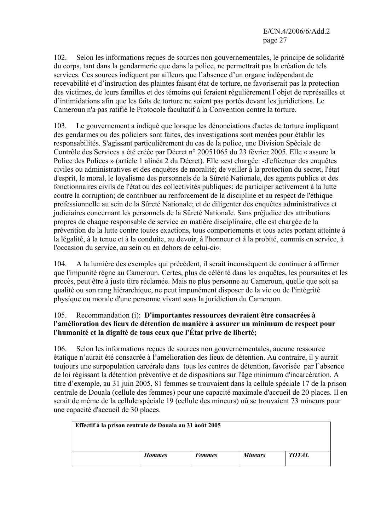102. Selon les informations reçues de sources non gouvernementales, le principe de solidarité du corps, tant dans la gendarmerie que dans la police, ne permettrait pas la création de tels services. Ces sources indiquent par ailleurs que l'absence d'un organe indépendant de recevabilité et d'instruction des plaintes faisant état de torture, ne favoriserait pas la protection des victimes, de leurs familles et des témoins qui feraient régulièrement l'objet de représailles et d'intimidations afin que les faits de torture ne soient pas portés devant les juridictions. Le Cameroun n'a pas ratifié le Protocole facultatif à la Convention contre la torture.

103. Le gouvernement a indiqué que lorsque les dénonciations d'actes de torture impliquant des gendarmes ou des policiers sont faites, des investigations sont menées pour établir les responsabilités. S'agissant particulièrement du cas de la police, une Division Spéciale de Contrôle des Services a été créée par Décret n° 20051065 du 23 février 2005. Elle « assure la Police des Polices » (article 1 alinéa 2 du Décret). Elle «est chargée: -d'effectuer des enquêtes civiles ou administratives et des enquêtes de moralité; de veiller à la protection du secret, l'état d'esprit, le moral, le loyalisme des personnels de la Sûreté Nationale, des agents publics et des fonctionnaires civils de l'état ou des collectivités publiques; de participer activement à la lutte contre la corruption; de contribuer au renforcement de la discipline et au respect de l'éthique professionnelle au sein de la Sûreté Nationale; et de diligenter des enquêtes administratives et judiciaires concernant les personnels de la Sûreté Nationale. Sans préjudice des attributions propres de chaque responsable de service en matière disciplinaire, elle est chargée de la prévention de la lutte contre toutes exactions, tous comportements et tous actes portant atteinte à la légalité, à la tenue et à la conduite, au devoir, à l'honneur et à la probité, commis en service, à l'occasion du service, au sein ou en dehors de celui-ci».

104. A la lumière des exemples qui précédent, il serait inconséquent de continuer à affirmer que l'impunité règne au Cameroun. Certes, plus de célérité dans les enquêtes, les poursuites et les procès, peut être à juste titre réclamée. Mais ne plus personne au Cameroun, quelle que soit sa qualité ou son rang hiérarchique, ne peut impunément disposer de la vie ou de l'intégrité physique ou morale d'une personne vivant sous la juridiction du Cameroun.

## 105. Recommandation (i): **D'importantes ressources devraient être consacrées à l'amélioration des lieux de détention de manière à assurer un minimum de respect pour l'humanité et la dignité de tous ceux que l'État prive de liberté;**

106. Selon les informations reçues de sources non gouvernementales, aucune ressource étatique n'aurait été consacrée à l'amélioration des lieux de détention. Au contraire, il y aurait toujours une surpopulation carcérale dans tous les centres de détention, favorisée par l'absence de loi régissant la détention préventive et de dispositions sur l'âge minimum d'incarcération. A titre d'exemple, au 31 juin 2005, 81 femmes se trouvaient dans la cellule spéciale 17 de la prison centrale de Douala (cellule des femmes) pour une capacité maximale d'accueil de 20 places. Il en serait de même de la cellule spéciale 19 (cellule des mineurs) où se trouvaient 73 mineurs pour une capacité d'accueil de 30 places.

| Effectif à la prison centrale de Douala au 31 août 2005 |               |               |                |              |  |
|---------------------------------------------------------|---------------|---------------|----------------|--------------|--|
|                                                         |               |               |                |              |  |
|                                                         | <b>Hommes</b> | <b>Femmes</b> | <b>Mineurs</b> | <b>TOTAL</b> |  |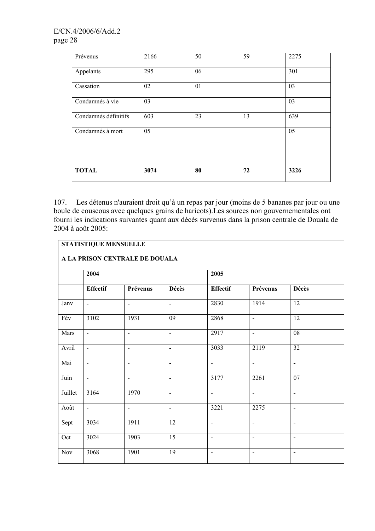| Prévenus             | 2166 | 50 | 59 | 2275 |
|----------------------|------|----|----|------|
| Appelants            | 295  | 06 |    | 301  |
| Cassation            | 02   | 01 |    | 03   |
| Condamnés à vie      | 03   |    |    | 03   |
| Condamnés définitifs | 603  | 23 | 13 | 639  |
| Condamnés à mort     | 05   |    |    | 05   |
|                      |      |    |    |      |
| <b>TOTAL</b>         | 3074 | 80 | 72 | 3226 |

107. Les détenus n'auraient droit qu'à un repas par jour (moins de 5 bananes par jour ou une boule de couscous avec quelques grains de haricots).Les sources non gouvernementales ont fourni les indications suivantes quant aux décès survenus dans la prison centrale de Douala de 2004 à août 2005:

## **STATISTIQUE MENSUELLE**

## **A LA PRISON CENTRALE DE DOUALA**

|         | 2004                     |                          |                          | $\overline{2005}$            |                          |                          |
|---------|--------------------------|--------------------------|--------------------------|------------------------------|--------------------------|--------------------------|
|         | <b>Effectif</b>          | Prévenus                 | <b>Décès</b>             | <b>Effectif</b>              | Prévenus                 | <b>Décès</b>             |
| Janv    | $\blacksquare$           | $\blacksquare$           | $\overline{\phantom{a}}$ | 2830                         | 1914                     | $\overline{12}$          |
| Fév     | 3102                     | 1931                     | 09                       | 2868                         | $\overline{\phantom{a}}$ | $\overline{12}$          |
| Mars    | $\overline{\phantom{a}}$ | $\overline{a}$           | $\overline{\phantom{a}}$ | 2917                         | $\overline{\phantom{a}}$ | 08                       |
| Avril   | $\blacksquare$           | $\overline{\phantom{a}}$ | $\blacksquare$           | 3033                         | 2119                     | $\overline{32}$          |
| Mai     | $\overline{\phantom{a}}$ | $\overline{\phantom{a}}$ | $\blacksquare$           | $\blacksquare$               | $\blacksquare$           | $\blacksquare$           |
| Juin    | $\overline{\phantom{a}}$ | $\blacksquare$           | $\blacksquare$           | 3177                         | 2261                     | 07                       |
| Juillet | 3164                     | 1970                     | $\overline{\phantom{a}}$ | $\blacksquare$               | $\blacksquare$           | $\blacksquare$           |
| Août    | $\blacksquare$           | $\blacksquare$           | $\blacksquare$           | 3221                         | 2275                     | $\overline{\phantom{a}}$ |
| Sept    | 3034                     | 1911                     | 12                       | $\blacksquare$               | $\overline{\phantom{a}}$ | $\overline{\phantom{a}}$ |
| Oct     | 3024                     | 1903                     | $\overline{15}$          | $\overline{\phantom{a}}$     | $\blacksquare$           | $\overline{\phantom{a}}$ |
| Nov     | 3068                     | 1901                     | 19                       | $\qquad \qquad \blacksquare$ | $\blacksquare$           | $\overline{\phantom{a}}$ |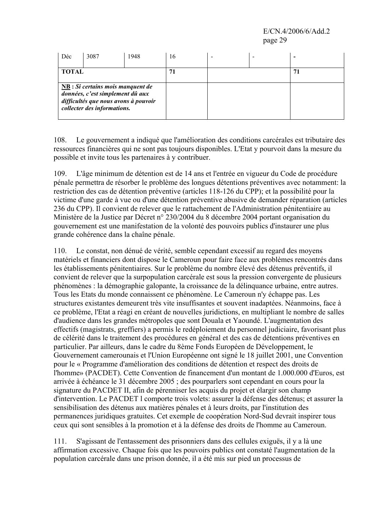| Déc          | 3087                                                                                                                                                              | 1948 | 16 |  |    |
|--------------|-------------------------------------------------------------------------------------------------------------------------------------------------------------------|------|----|--|----|
| <b>TOTAL</b> |                                                                                                                                                                   |      |    |  | 71 |
|              | $\underline{\text{NB}}$ : Si certains mois manquent de<br>données, c'est simplement dû aux<br>difficultés que nous avons à pouvoir<br>collecter des informations. |      |    |  |    |

108. Le gouvernement a indiqué que l'amélioration des conditions carcérales est tributaire des ressources financières qui ne sont pas toujours disponibles. L'Etat y pourvoit dans la mesure du possible et invite tous les partenaires à y contribuer.

109. L'âge minimum de détention est de 14 ans et l'entrée en vigueur du Code de procédure pénale permettra de résorber le problème des longues détentions préventives avec notamment: la restriction des cas de détention préventive (articles 118-126 du CPP); et la possibilité pour la victime d'une garde à vue ou d'une détention préventive abusive de demander réparation (articles 236 du CPP). Il convient de relever que le rattachement de l'Administration pénitentiaire au Ministère de la Justice par Décret n° 230/2004 du 8 décembre 2004 portant organisation du gouvernement est une manifestation de la volonté des pouvoirs publics d'instaurer une plus grande cohérence dans la chaîne pénale.

110. Le constat, non dénué de vérité, semble cependant excessif au regard des moyens matériels et financiers dont dispose le Cameroun pour faire face aux problèmes rencontrés dans les établissements pénitentiaires. Sur le problème du nombre élevé des détenus préventifs, il convient de relever que la surpopulation carcérale est sous la pression convergente de plusieurs phénomènes : la démographie galopante, la croissance de la délinquance urbaine, entre autres. Tous les Etats du monde connaissent ce phénomène. Le Cameroun n'y échappe pas. Les structures existantes demeurent très vite insuffisantes et souvent inadaptées. Néanmoins, face à ce problème, l'Etat a réagi en créant de nouvelles juridictions, en multipliant le nombre de salles d'audience dans les grandes métropoles que sont Douala et Yaoundé. L'augmentation des effectifs (magistrats, greffiers) a permis le redéploiement du personnel judiciaire, favorisant plus de célérité dans le traitement des procédures en général et des cas de détentions préventives en particulier. Par ailleurs, dans le cadre du 8ème Fonds Européen de Développement, le Gouvernement camerounais et l'Union Européenne ont signé le 18 juillet 2001, une Convention pour le « Programme d'amélioration des conditions de détention et respect des droits de l'homme» (PACDET). Cette Convention de financement d'un montant de 1.000.000 d'Euros, est arrivée à échéance le 31 décembre 2005 ; des pourparlers sont cependant en cours pour la signature du PACDET II, afin de pérenniser les acquis du projet et élargir son champ d'intervention. Le PACDET l comporte trois volets: assurer la défense des détenus; et assurer la sensibilisation des détenus aux matières pénales et à leurs droits, par l'institution des permanences juridiques gratuites. Cet exemple de coopération Nord-Sud devrait inspirer tous ceux qui sont sensibles à la promotion et à la défense des droits de l'homme au Cameroun.

111. S'agissant de l'entassement des prisonniers dans des cellules exiguës, il y a là une affirmation excessive. Chaque fois que les pouvoirs publics ont constaté l'augmentation de la population carcérale dans une prison donnée, il a été mis sur pied un processus de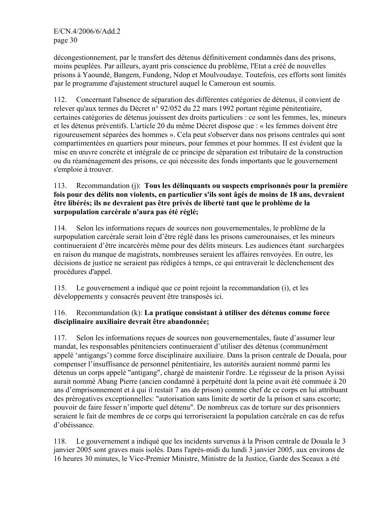décongestionnement, par le transfert des détenus définitivement condamnés dans des prisons, moins peuplées. Par ailleurs, ayant pris conscience du problème, l'Etat a créé de nouvelles prisons à Yaoundé, Bangem, Fundong, Ndop et Moulvoudaye. Toutefois, ces efforts sont limités par le programme d'ajustement structurel auquel le Cameroun est soumis.

112. Concernant l'absence de séparation des différentes catégories de détenus, il convient de relever qu'aux termes du Décret n° 92/052 du 22 mars 1992 portant régime pénitentiaire, certaines catégories de détenus jouissent des droits particuliers : ce sont les femmes, les, mineurs et les détenus préventifs. L'article 20 du même Décret dispose que : « les femmes doivent être rigoureusement séparées des hommes ». Cela peut s'observer dans nos prisons centrales qui sont compartimentées en quartiers pour mineurs, pour femmes et pour hommes. II est évident que la mise en œuvre concrète et intégrale de ce principe de séparation est tributaire de la construction ou du réaménagement des prisons, ce qui nécessite des fonds importants que le gouvernement s'emploie à trouver.

113. Recommandation (j): **Tous les délinquants ou suspects emprisonnés pour la première fois pour des délits non violents, en particulier s'ils sont âgés de moins de 18 ans, devraient être libérés; ils ne devraient pas être privés de liberté tant que le problème de la surpopulation carcérale n'aura pas été réglé;**

114. Selon les informations reçues de sources non gouvernementales, le problème de la surpopulation carcérale serait loin d'être réglé dans les prisons camerounaises, et les mineurs continueraient d'être incarcérés même pour des délits mineurs. Les audiences étant surchargées en raison du manque de magistrats, nombreuses seraient les affaires renvoyées. En outre, les décisions de justice ne seraient pas rédigées à temps, ce qui entraverait le déclenchement des procédures d'appel.

115. Le gouvernement a indiqué que ce point rejoint la recommandation (i), et les développements y consacrés peuvent être transposés ici.

## 116. Recommandation (k): **La pratique consistant à utiliser des détenus comme force disciplinaire auxiliaire devrait être abandonnée;**

117. Selon les informations reçues de sources non gouvernementales, faute d'assumer leur mandat, les responsables pénitenciers continueraient d'utiliser des détenus (communément appelé 'antigangs') comme force disciplinaire auxiliaire. Dans la prison centrale de Douala, pour compenser l'insuffisance de personnel pénitentiaire, les autorités auraient nommé parmi les détenus un corps appelé "antigang", chargé de maintenir l'ordre. Le régisseur de la prison Ayissi aurait nommé Abang Pierre (ancien condamné à perpétuité dont la peine avait été commuée à 20 ans d'emprisonnement et à qui il restait 7 ans de prison) comme chef de ce corps en lui attribuant des prérogatives exceptionnelles: "autorisation sans limite de sortir de la prison et sans escorte; pouvoir de faire fesser n'importe quel détenu". De nombreux cas de torture sur des prisonniers seraient le fait de membres de ce corps qui terroriseraient la population carcérale en cas de refus d'obéissance.

118. Le gouvernement a indiqué que les incidents survenus à la Prison centrale de Douala le 3 janvier 2005 sont graves mais isolés. Dans l'après-midi du lundi 3 janvier 2005, aux environs de 16 heures 30 minutes, le Vice-Premier Ministre, Ministre de la Justice, Garde des Sceaux a été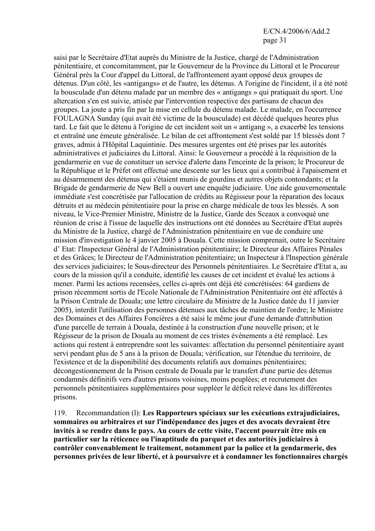saisi par le Secrétaire d'Etat auprès du Ministre de la Justice, chargé de l'Administration pénitentiaire, et concomitamment, par le Gouverneur de la Province du Littoral et le Procureur Général près la Cour d'appel du Littoral, de l'affrontement ayant opposé deux groupes de détenus. D'un côté, les «antigangs» et de l'autre, les détenus. A l'origine de l'incident, il a été noté la bousculade d'un détenu malade par un membre des « antigangs » qui pratiquait du sport. Une altercation s'en est suivie, attisée par l'intervention respective des partisans de chacun des groupes. La joute a pris fin par la mise en cellule du détenu malade. Le malade, en l'occurrence FOULAGNA Sunday (qui avait été victime de la bousculade) est décédé quelques heures plus tard. Le fait que le détenu à l'origine de cet incident soit un « antigang », a exacerbé les tensions et entraîné une émeute généralisée. Le bilan de cet affrontement s'est soldé par 15 blessés dont 7 graves, admis à l'Hôpital Laquintinie. Des mesures urgentes ont été prises par les autorités administratives et judiciaires du Littoral. Ainsi: le Gouverneur a procédé à la réquisition de la gendarmerie en vue de constituer un service d'alerte dans l'enceinte de la prison; le Procureur de la République et le Préfet ont effectué une descente sur les lieux qui a contribué à l'apaisement et au désarmement des détenus qui s'étaient munis de gourdins et autres objets contondants; et la Brigade de gendarmerie de New Bell a ouvert une enquête judiciaire. Une aide gouvernementale immédiate s'est concrétisée par l'allocation de crédits au Régisseur pour la réparation des locaux détruits et au médecin pénitentiaire pour la prise en charge médicale de tous les blessés. A son niveau, le Vice-Premier Ministre, Ministre de la Justice, Garde des Sceaux a convoqué une réunion de crise à l'issue de laquelle des instructions ont été données au Secrétaire d'Etat auprès du Ministre de la Justice, chargé de l'Administration pénitentiaire en vue de conduire une mission d'investigation le 4 janvier 2005 à Douala. Cette mission comprenait, outre le Secrétaire d' Etat: l'Inspecteur Général de l'Administration pénitentiaire; le Directeur des Affaires Pénales et des Grâces; le Directeur de l'Administration pénitentiaire; un Inspecteur à l'Inspection générale des services judiciaires; le Sous-directeur des Personnels pénitentiaires. Le Secrétaire d'Etat a, au cours de la mission qu'il a conduite, identifié les causes de cet incident et évalué les actions à mener. Parmi les actions recensées, celles ci-après ont déjà été concrétisées: 64 gardiens de prison récemment sortis de l'Ecole Nationale de l'Administration Pénitentiaire ont été affectés à la Prison Centrale de Douala; une lettre circulaire du Ministre de la Justice datée du 11 janvier 2005), interdit l'utilisation des personnes détenues aux tâches de maintien de l'ordre; le Ministre des Domaines et des Affaires Foncières a été saisi le même jour d'une demande d'attribution d'une parcelle de terrain à Douala, destinée à la construction d'une nouvelle prison; et le Régisseur de la prison de Douala au moment de ces tristes événements a été remplacé. Les actions qui restent à entreprendre sont les suivantes: affectation du personnel pénitentiaire ayant servi pendant plus de 5 ans à la prison de Douala; vérification, sur l'étendue du territoire, de l'existence et de la disponibilité des documents relatifs aux domaines pénitentiaires; décongestionnement de la Prison centrale de Douala par le transfert d'une partie des détenus condamnés définitifs vers d'autres prisons voisines, moins peuplées; et recrutement des personnels pénitentiaires supplémentaires pour suppléer le déficit relevé dans les différentes prisons.

119. Recommandation (l): **Les Rapporteurs spéciaux sur les exécutions extrajudiciaires, sommaires ou arbitraires et sur l'indépendance des juges et des avocats devraient être invités à se rendre dans le pays. Au cours de cette visite, l'accent pourrait être mis en particulier sur la réticence ou l'inaptitude du parquet et des autorités judiciaires à contrôler convenablement le traitement, notamment par la police et la gendarmerie, des personnes privées de leur liberté, et à poursuivre et à condamner les fonctionnaires chargés**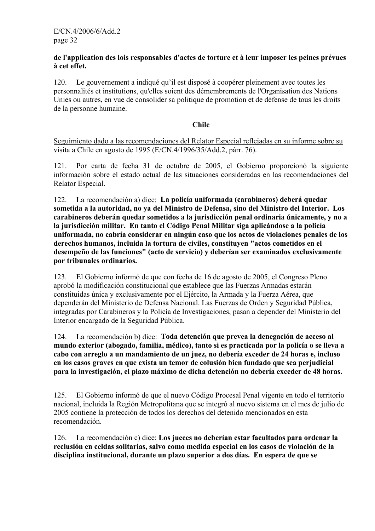#### **de l'application des lois responsables d'actes de torture et à leur imposer les peines prévues à cet effet.**

120. Le gouvernement a indiqué qu'il est disposé à coopérer pleinement avec toutes les personnalités et institutions, qu'elles soient des démembrements de l'Organisation des Nations Unies ou autres, en vue de consolider sa politique de promotion et de défense de tous les droits de la personne humaine.

#### **Chile**

Seguimiento dado a las recomendaciones del Relator Especial reflejadas en su informe sobre su visita a Chile en agosto de 1995 (E/CN.4/1996/35/Add.2, párr. 76).

121. Por carta de fecha 31 de octubre de 2005, el Gobierno proporcionó la siguiente información sobre el estado actual de las situaciones consideradas en las recomendaciones del Relator Especial.

122. La recomendación a) dice: **La policía uniformada (carabineros) deberá quedar sometida a la autoridad, no ya del Ministro de Defensa, sino del Ministro del Interior. Los carabineros deberán quedar sometidos a la jurisdicción penal ordinaria únicamente, y no a la jurisdicción militar. En tanto el Código Penal Militar siga aplicándose a la policía uniformada, no cabría considerar en ningún caso que los actos de violaciones penales de los derechos humanos, incluida la tortura de civiles, constituyen "actos cometidos en el desempeño de las funciones" (acto de servicio) y deberían ser examinados exclusivamente por tribunales ordinarios.** 

123. El Gobierno informó de que con fecha de 16 de agosto de 2005, el Congreso Pleno aprobó la modificación constitucional que establece que las Fuerzas Armadas estarán constituidas única y exclusivamente por el Ejército, la Armada y la Fuerza Aérea, que dependerán del Ministerio de Defensa Nacional. Las Fuerzas de Orden y Seguridad Pública, integradas por Carabineros y la Policía de Investigaciones, pasan a depender del Ministerio del Interior encargado de la Seguridad Pública.

124. La recomendación b) dice: **Toda detención que prevea la denegación de acceso al mundo exterior (abogado, familia, médico), tanto si es practicada por la policía o se lleva a cabo con arreglo a un mandamiento de un juez, no debería exceder de 24 horas e, incluso en los casos graves en que exista un temor de colusión bien fundado que sea perjudicial para la investigación, el plazo máximo de dicha detención no debería exceder de 48 horas.** 

125. El Gobierno informó de que el nuevo Código Procesal Penal vigente en todo el territorio nacional, incluida la Región Metropolitana que se integró al nuevo sistema en el mes de julio de 2005 contiene la protección de todos los derechos del detenido mencionados en esta recomendación.

126. La recomendación c) dice: **Los jueces no deberían estar facultados para ordenar la reclusión en celdas solitarias, salvo como medida especial en los casos de violación de la disciplina institucional, durante un plazo superior a dos días. En espera de que se**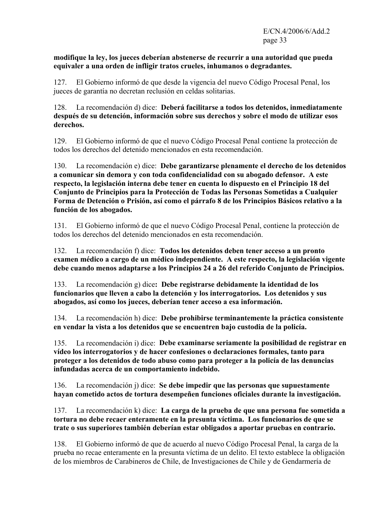#### **modifique la ley, los jueces deberían abstenerse de recurrir a una autoridad que pueda equivaler a una orden de infligir tratos crueles, inhumanos o degradantes.**

127.El Gobierno informó de que desde la vigencia del nuevo Código Procesal Penal, los jueces de garantía no decretan reclusión en celdas solitarias.

128. La recomendación d) dice: **Deberá facilitarse a todos los detenidos, inmediatamente después de su detención, información sobre sus derechos y sobre el modo de utilizar esos derechos.** 

129. El Gobierno informó de que el nuevo Código Procesal Penal contiene la protección de todos los derechos del detenido mencionados en esta recomendación.

130. La recomendación e) dice: **Debe garantizarse plenamente el derecho de los detenidos a comunicar sin demora y con toda confidencialidad con su abogado defensor. A este respecto, la legislación interna debe tener en cuenta lo dispuesto en el Principio 18 del Conjunto de Principios para la Protección de Todas las Personas Sometidas a Cualquier Forma de Detención o Prisión, así como el párrafo 8 de los Principios Básicos relativo a la función de los abogados.**

131. El Gobierno informó de que el nuevo Código Procesal Penal, contiene la protección de todos los derechos del detenido mencionados en esta recomendación.

132. La recomendación f) dice: **Todos los detenidos deben tener acceso a un pronto examen médico a cargo de un médico independiente. A este respecto, la legislación vigente debe cuando menos adaptarse a los Principios 24 a 26 del referido Conjunto de Principios.** 

133. La recomendación g) dice**: Debe registrarse debidamente la identidad de los funcionarios que lleven a cabo la detención y los interrogatorios. Los detenidos y sus abogados, así como los jueces, deberían tener acceso a esa información.** 

134. La recomendación h) dice: **Debe prohibirse terminantemente la práctica consistente en vendar la vista a los detenidos que se encuentren bajo custodia de la policía.** 

135. La recomendación i) dice: **Debe examinarse seriamente la posibilidad de registrar en vídeo los interrogatorios y de hacer confesiones o declaraciones formales, tanto para proteger a los detenidos de todo abuso como para proteger a la policía de las denuncias infundadas acerca de un comportamiento indebido.** 

136. La recomendación j) dice: **Se debe impedir que las personas que supuestamente hayan cometido actos de tortura desempeñen funciones oficiales durante la investigación.** 

137. La recomendación k) dice: **La carga de la prueba de que una persona fue sometida a tortura no debe recaer enteramente en la presunta víctima. Los funcionarios de que se trate o sus superiores también deberían estar obligados a aportar pruebas en contrario.** 

138. El Gobierno informó de que de acuerdo al nuevo Código Procesal Penal, la carga de la prueba no recae enteramente en la presunta víctima de un delito. El texto establece la obligación de los miembros de Carabineros de Chile, de Investigaciones de Chile y de Gendarmería de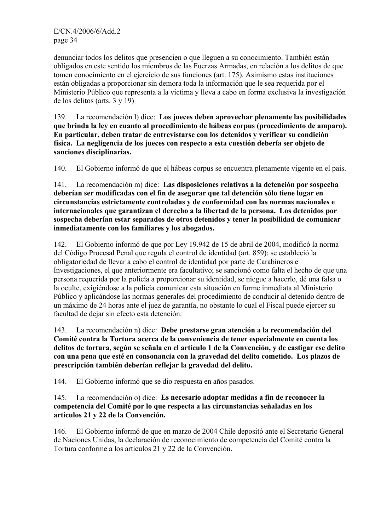denunciar todos los delitos que presencien o que lleguen a su conocimiento. También están obligados en este sentido los miembros de las Fuerzas Armadas, en relación a los delitos de que tomen conocimiento en el ejercicio de sus funciones (art. 175). Asimismo estas instituciones están obligadas a proporcionar sin demora toda la información que le sea requerida por el Ministerio Público que representa a la víctima y lleva a cabo en forma exclusiva la investigación de los delitos (arts. 3 y 19).

139. La recomendación l) dice: **Los jueces deben aprovechar plenamente las posibilidades que brinda la ley en cuanto al procedimiento de hábeas corpus (procedimiento de amparo). En particular, deben tratar de entrevistarse con los detenidos y verificar su condición física. La negligencia de los jueces con respecto a esta cuestión debería ser objeto de sanciones disciplinarias.** 

140. El Gobierno informó de que el hábeas corpus se encuentra plenamente vigente en el país.

141. La recomendación m) dice: **Las disposiciones relativas a la detención por sospecha deberían ser modificadas con el fin de asegurar que tal detención sólo tiene lugar en circunstancias estrictamente controladas y de conformidad con las normas nacionales e internacionales que garantizan el derecho a la libertad de la persona. Los detenidos por sospecha deberían estar separados de otros detenidos y tener la posibilidad de comunicar inmediatamente con los familiares y los abogados.** 

142. El Gobierno informó de que por Ley 19.942 de 15 de abril de 2004, modificó la norma del Código Procesal Penal que regula el control de identidad (art. 859): se estableció la obligatoriedad de llevar a cabo el control de identidad por parte de Carabineros e Investigaciones, el que anteriormente era facultativo; se sancionó como falta el hecho de que una persona requerida por la policía a proporcionar su identidad, se niegue a hacerlo, dé una falsa o la oculte, exigiéndose a la policía comunicar esta situación en forme inmediata al Ministerio Público y aplicándose las normas generales del procedimiento de conducir al detenido dentro de un máximo de 24 horas ante el juez de garantía, no obstante lo cual el Fiscal puede ejercer su facultad de dejar sin efecto esta detención.

143. La recomendación n) dice: **Debe prestarse gran atención a la recomendación del Comité contra la Tortura acerca de la conveniencia de tener especialmente en cuenta los delitos de tortura, según se señala en el artículo 1 de la Convención, y de castigar ese delito con una pena que esté en consonancia con la gravedad del delito cometido. Los plazos de prescripción también deberían reflejar la gravedad del delito.** 

144. El Gobierno informó que se dio respuesta en años pasados.

## 145. La recomendación o) dice: **Es necesario adoptar medidas a fin de reconocer la competencia del Comité por lo que respecta a las circunstancias señaladas en los artículos 21 y 22 de la Convención.**

146. El Gobierno informó de que en marzo de 2004 Chile depositó ante el Secretario General de Naciones Unidas, la declaración de reconocimiento de competencia del Comité contra la Tortura conforme a los artículos 21 y 22 de la Convención.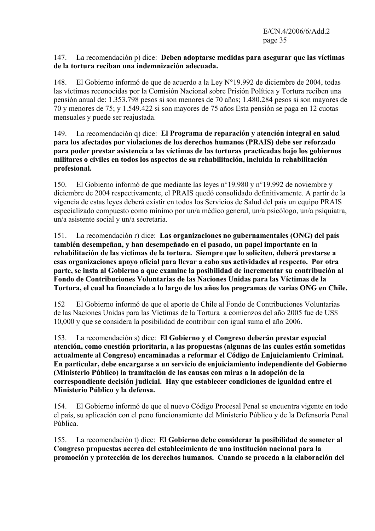#### 147. La recomendación p) dice: **Deben adoptarse medidas para asegurar que las víctimas de la tortura reciban una indemnización adecuada.**

148. El Gobierno informó de que de acuerdo a la Ley N°19.992 de diciembre de 2004, todas las víctimas reconocidas por la Comisión Nacional sobre Prisión Política y Tortura reciben una pensión anual de: 1.353.798 pesos si son menores de 70 años; 1.480.284 pesos si son mayores de 70 y menores de 75; y 1.549.422 si son mayores de 75 años Esta pensión se paga en 12 cuotas mensuales y puede ser reajustada.

## 149. La recomendación q) dice: **El Programa de reparación y atención integral en salud para los afectados por violaciones de los derechos humanos (PRAIS) debe ser reforzado para poder prestar asistencia a las víctimas de las torturas practicadas bajo los gobiernos militares o civiles en todos los aspectos de su rehabilitación, incluida la rehabilitación profesional.**

150. El Gobierno informó de que mediante las leyes n°19.980 y n°19.992 de noviembre y diciembre de 2004 respectivamente, el PRAIS quedó consolidado definitivamente. A partir de la vigencia de estas leyes deberá existir en todos los Servicios de Salud del país un equipo PRAIS especializado compuesto como mínimo por un/a médico general, un/a psicólogo, un/a psiquiatra, un/a asistente social y un/a secretaria.

151. La recomendación r) dice: **Las organizaciones no gubernamentales (ONG) del país también desempeñan, y han desempeñado en el pasado, un papel importante en la rehabilitación de las víctimas de la tortura. Siempre que lo soliciten, deberá prestarse a esas organizaciones apoyo oficial para llevar a cabo sus actividades al respecto. Por otra parte, se insta al Gobierno a que examine la posibilidad de incrementar su contribución al Fondo de Contribuciones Voluntarias de las Naciones Unidas para las Víctimas de la Tortura, el cual ha financiado a lo largo de los años los programas de varias ONG en Chile.** 

152 El Gobierno informó de que el aporte de Chile al Fondo de Contribuciones Voluntarias de las Naciones Unidas para las Víctimas de la Tortura a comienzos del año 2005 fue de US\$ 10,000 y que se considera la posibilidad de contribuir con igual suma el año 2006.

153. La recomendación s) dice: **El Gobierno y el Congreso deberán prestar especial atención, como cuestión prioritaria, a las propuestas (algunas de las cuales están sometidas actualmente al Congreso) encaminadas a reformar el Código de Enjuiciamiento Criminal. En particular, debe encargarse a un servicio de enjuiciamiento independiente del Gobierno (Ministerio Público) la tramitación de las causas con miras a la adopción de la correspondiente decisión judicial. Hay que establecer condiciones de igualdad entre el Ministerio Público y la defensa.** 

154. El Gobierno informó de que el nuevo Código Procesal Penal se encuentra vigente en todo el país, su aplicación con el peno funcionamiento del Ministerio Público y de la Defensoría Penal Pública.

155. La recomendación t) dice: **El Gobierno debe considerar la posibilidad de someter al Congreso propuestas acerca del establecimiento de una institución nacional para la promoción y protección de los derechos humanos. Cuando se proceda a la elaboración del**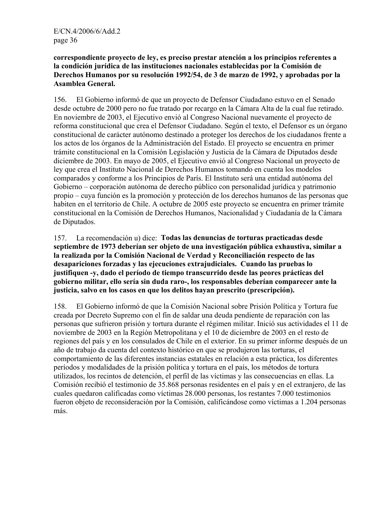#### **correspondiente proyecto de ley, es preciso prestar atención a los principios referentes a la condición jurídica de las instituciones nacionales establecidas por la Comisión de Derechos Humanos por su resolución 1992/54, de 3 de marzo de 1992, y aprobadas por la Asamblea General.**

156. El Gobierno informó de que un proyecto de Defensor Ciudadano estuvo en el Senado desde octubre de 2000 pero no fue tratado por recargo en la Cámara Alta de la cual fue retirado. En noviembre de 2003, el Ejecutivo envió al Congreso Nacional nuevamente el proyecto de reforma constitucional que crea el Defensor Ciudadano. Según el texto, el Defensor es un órgano constitucional de carácter autónomo destinado a proteger los derechos de los ciudadanos frente a los actos de los órganos de la Administración del Estado. El proyecto se encuentra en primer trámite constitucional en la Comisión Legislación y Justicia de la Cámara de Diputados desde diciembre de 2003. En mayo de 2005, el Ejecutivo envió al Congreso Nacional un proyecto de ley que crea el Instituto Nacional de Derechos Humanos tomando en cuenta los modelos comparados y conforme a los Principios de París. El Instituto será una entidad autónoma del Gobierno – corporación autónoma de derecho público con personalidad jurídica y patrimonio propio – cuya función es la promoción y protección de los derechos humanos de las personas que habiten en el territorio de Chile. A octubre de 2005 este proyecto se encuentra en primer trámite constitucional en la Comisión de Derechos Humanos, Nacionalidad y Ciudadanía de la Cámara de Diputados.

157. La recomendación u) dice: **Todas las denuncias de torturas practicadas desde septiembre de 1973 deberían ser objeto de una investigación pública exhaustiva, similar a la realizada por la Comisión Nacional de Verdad y Reconciliación respecto de las desapariciones forzadas y las ejecuciones extrajudiciales. Cuando las pruebas lo justifiquen -y, dado el período de tiempo transcurrido desde las peores prácticas del gobierno militar, ello sería sin duda raro-, los responsables deberían comparecer ante la justicia, salvo en los casos en que los delitos hayan prescrito (prescripción).** 

158. El Gobierno informó de que la Comisión Nacional sobre Prisión Política y Tortura fue creada por Decreto Supremo con el fin de saldar una deuda pendiente de reparación con las personas que sufrieron prisión y tortura durante el régimen militar. Inició sus actividades el 11 de noviembre de 2003 en la Región Metropolitana y el 10 de diciembre de 2003 en el resto de regiones del país y en los consulados de Chile en el exterior. En su primer informe después de un año de trabajo da cuenta del contexto histórico en que se produjeron las torturas, el comportamiento de las diferentes instancias estatales en relación a esta práctica, los diferentes períodos y modalidades de la prisión política y tortura en el país, los métodos de tortura utilizados, los recintos de detención, el perfil de las víctimas y las consecuencias en ellas. La Comisión recibió el testimonio de 35.868 personas residentes en el país y en el extranjero, de las cuales quedaron calificadas como víctimas 28.000 personas, los restantes 7.000 testimonios fueron objeto de reconsideración por la Comisión, calificándose como víctimas a 1.204 personas más.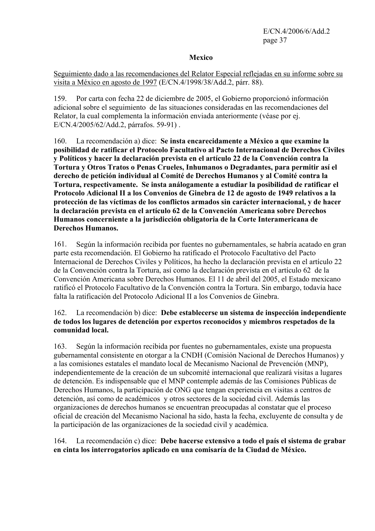### **Mexico**

Seguimiento dado a las recomendaciones del Relator Especial reflejadas en su informe sobre su visita a México en agosto de 1997 (E/CN.4/1998/38/Add.2, párr. 88).

159. Por carta con fecha 22 de diciembre de 2005, el Gobierno proporcionó información adicional sobre el seguimiento de las situaciones consideradas en las recomendaciones del Relator, la cual complementa la información enviada anteriormente (véase por ej. E/CN.4/2005/62/Add.2, párrafos. 59-91) .

160. La recomendación a) dice: **Se insta encarecidamente a México a que examine la posibilidad de ratificar el Protocolo Facultativo al Pacto Internacional de Derechos Civiles y Políticos y hacer la declaración prevista en el artículo 22 de la Convención contra la Tortura y Otros Tratos o Penas Crueles, Inhumanos o Degradantes, para permitir así el derecho de petición individual al Comité de Derechos Humanos y al Comité contra la Tortura, respectivamente. Se insta análogamente a estudiar la posibilidad de ratificar el Protocolo Adicional II a los Convenios de Ginebra de 12 de agosto de 1949 relativos a la protección de las víctimas de los conflictos armados sin carácter internacional, y de hacer la declaración prevista en el artículo 62 de la Convención Americana sobre Derechos Humanos concerniente a la jurisdicción obligatoria de la Corte Interamericana de Derechos Humanos.** 

161. Según la información recibida por fuentes no gubernamentales, se habría acatado en gran parte esta recomendación. El Gobierno ha ratificado el Protocolo Facultativo del Pacto Internacional de Derechos Civiles y Políticos, ha hecho la declaración prevista en el artículo 22 de la Convención contra la Tortura, así como la declaración prevista en el artículo 62 de la Convención Americana sobre Derechos Humanos. El 11 de abril del 2005, el Estado mexicano ratificó el Protocolo Facultativo de la Convención contra la Tortura. Sin embargo, todavía hace falta la ratificación del Protocolo Adicional II a los Convenios de Ginebra.

## 162. La recomendación b) dice: **Debe establecerse un sistema de inspección independiente de todos los lugares de detención por expertos reconocidos y miembros respetados de la comunidad local.**

163. Según la información recibida por fuentes no gubernamentales, existe una propuesta gubernamental consistente en otorgar a la CNDH (Comisión Nacional de Derechos Humanos) y a las comisiones estatales el mandato local de Mecanismo Nacional de Prevención (MNP), independientemente de la creación de un subcomité internacional que realizará visitas a lugares de detención. Es indispensable que el MNP contemple además de las Comisiones Públicas de Derechos Humanos, la participación de ONG que tengan experiencia en visitas a centros de detención, así como de académicos y otros sectores de la sociedad civil. Además las organizaciones de derechos humanos se encuentran preocupadas al constatar que el proceso oficial de creación del Mecanismo Nacional ha sido, hasta la fecha, excluyente de consulta y de la participación de las organizaciones de la sociedad civil y académica.

164. La recomendación c) dice: **Debe hacerse extensivo a todo el país el sistema de grabar en cinta los interrogatorios aplicado en una comisaría de la Ciudad de México.**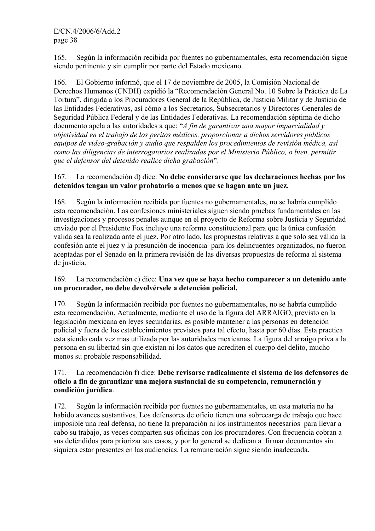165. Según la información recibida por fuentes no gubernamentales, esta recomendación sigue siendo pertinente y sin cumplir por parte del Estado mexicano.

166. El Gobierno informó, que el 17 de noviembre de 2005, la Comisión Nacional de Derechos Humanos (CNDH) expidió la "Recomendación General No. 10 Sobre la Práctica de La Tortura", dirigida a los Procuradores General de la República, de Justicia Militar y de Justicia de las Entidades Federativas, así cómo a los Secretarios, Subsecretarios y Directores Generales de Seguridad Pública Federal y de las Entidades Federativas. La recomendación séptima de dicho documento apela a las autoridades a que: "*A fin de garantizar una mayor imparcialidad y objetividad en el trabajo de los peritos médicos, proporcionar a dichos servidores públicos equipos de video-grabación y audio que respalden los procedimientos de revisión médica, así como las diligencias de interrogatorios realizadas por el Ministerio Público, o bien, permitir que el defensor del detenido realice dicha grabación*".

## 167. La recomendación d) dice: **No debe considerarse que las declaraciones hechas por los detenidos tengan un valor probatorio a menos que se hagan ante un juez.**

168. Según la información recibida por fuentes no gubernamentales, no se habría cumplido esta recomendación. Las confesiones ministeriales siguen siendo pruebas fundamentales en las investigaciones y procesos penales aunque en el proyecto de Reforma sobre Justicia y Seguridad enviado por el Presidente Fox incluye una reforma constitucional para que la única confesión valida sea la realizada ante el juez. Por otro lado, las propuestas relativas a que solo sea válida la confesión ante el juez y la presunción de inocencia para los delincuentes organizados, no fueron aceptadas por el Senado en la primera revisión de las diversas propuestas de reforma al sistema de justicia.

## 169. La recomendación e) dice: **Una vez que se haya hecho comparecer a un detenido ante un procurador, no debe devolvérsele a detención policial.**

170. Según la información recibida por fuentes no gubernamentales, no se habría cumplido esta recomendación. Actualmente, mediante el uso de la figura del ARRAIGO, previsto en la legislación mexicana en leyes secundarias, es posible mantener a las personas en detención policial y fuera de los establecimientos previstos para tal efecto, hasta por 60 días. Esta practica esta siendo cada vez mas utilizada por las autoridades mexicanas. La figura del arraigo priva a la persona en su libertad sin que existan ni los datos que acrediten el cuerpo del delito, mucho menos su probable responsabilidad.

## 171. La recomendación f) dice: **Debe revisarse radicalmente el sistema de los defensores de oficio a fin de garantizar una mejora sustancial de su competencia, remuneración y condición jurídica**.

172. Según la información recibida por fuentes no gubernamentales, en esta materia no ha habido avances sustantivos. Los defensores de oficio tienen una sobrecarga de trabajo que hace imposible una real defensa, no tiene la preparación ni los instrumentos necesarios para llevar a cabo su trabajo, as veces comparten sus oficinas con los procuradores. Con frecuencia cobran a sus defendidos para priorizar sus casos, y por lo general se dedican a firmar documentos sin siquiera estar presentes en las audiencias. La remuneración sigue siendo inadecuada.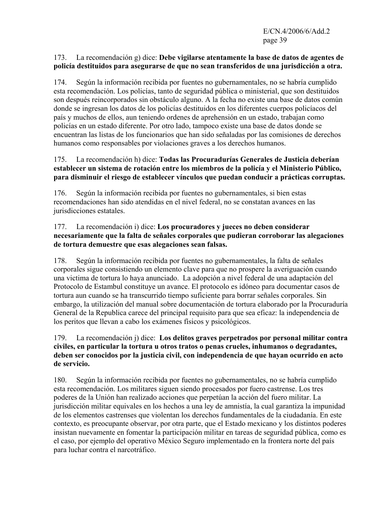#### 173. La recomendación g) dice: **Debe vigilarse atentamente la base de datos de agentes de policía destituidos para asegurarse de que no sean transferidos de una jurisdicción a otra.**

174. Según la información recibida por fuentes no gubernamentales, no se habría cumplido esta recomendación. Los policías, tanto de seguridad pública o ministerial, que son destituidos son después reincorporados sin obstáculo alguno. A la fecha no existe una base de datos común donde se ingresan los datos de los policías destituidos en los diferentes cuerpos policíacos del país y muchos de ellos, aun teniendo ordenes de aprehensión en un estado, trabajan como policías en un estado diferente. Por otro lado, tampoco existe una base de datos donde se encuentran las listas de los funcionarios que han sido señaladas por las comisiones de derechos humanos como responsables por violaciones graves a los derechos humanos.

## 175. La recomendación h) dice: **Todas las Procuradurías Generales de Justicia deberían establecer un sistema de rotación entre los miembros de la policía y el Ministerio Público, para disminuir el riesgo de establecer vínculos que puedan conducir a prácticas corruptas.**

176. Según la información recibida por fuentes no gubernamentales, si bien estas recomendaciones han sido atendidas en el nivel federal, no se constatan avances en las jurisdicciones estatales.

## 177. La recomendación i) dice: **Los procuradores y jueces no deben considerar necesariamente que la falta de señales corporales que pudieran corroborar las alegaciones de tortura demuestre que esas alegaciones sean falsas.**

178. Según la información recibida por fuentes no gubernamentales, la falta de señales corporales sigue consistiendo un elemento clave para que no prospere la averiguación cuando una victima de tortura lo haya anunciado. La adopción a nivel federal de una adaptación del Protocolo de Estambul constituye un avance. El protocolo es idóneo para documentar casos de tortura aun cuando se ha transcurrido tiempo suficiente para borrar señales corporales. Sin embargo, la utilización del manual sobre documentación de tortura elaborado por la Procuraduría General de la Republica carece del principal requisito para que sea eficaz: la independencia de los peritos que llevan a cabo los exámenes físicos y psicológicos.

## 179. La recomendación j) dice: **Los delitos graves perpetrados por personal militar contra civiles, en particular la tortura u otros tratos o penas crueles, inhumanos o degradantes, deben ser conocidos por la justicia civil, con independencia de que hayan ocurrido en acto de servicio.**

180. Según la información recibida por fuentes no gubernamentales, no se habría cumplido esta recomendación. Los militares siguen siendo procesados por fuero castrense. Los tres poderes de la Unión han realizado acciones que perpetúan la acción del fuero militar. La jurisdicción militar equivales en los hechos a una ley de amnistía, la cual garantiza la impunidad de los elementos castrenses que violentan los derechos fundamentales de la ciudadanía. En este contexto, es preocupante observar, por otra parte, que el Estado mexicano y los distintos poderes insistan nuevamente en fomentar la participación militar en tareas de seguridad pública, como es el caso, por ejemplo del operativo México Seguro implementado en la frontera norte del país para luchar contra el narcotráfico.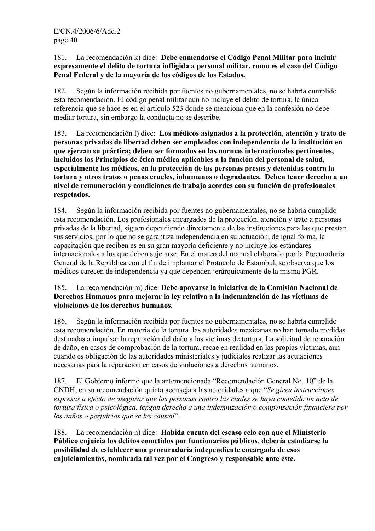## 181. La recomendación k) dice: **Debe enmendarse el Código Penal Militar para incluir expresamente el delito de tortura infligida a personal militar, como es el caso del Código Penal Federal y de la mayoría de los códigos de los Estados.**

182. Según la información recibida por fuentes no gubernamentales, no se habría cumplido esta recomendación. El código penal militar aún no incluye el delito de tortura, la única referencia que se hace es en el artículo 523 donde se menciona que en la confesión no debe mediar tortura, sin embargo la conducta no se describe.

183. La recomendación l) dice: **Los médicos asignados a la protección, atención y trato de personas privadas de libertad deben ser empleados con independencia de la institución en que ejerzan su práctica; deben ser formados en las normas internacionales pertinentes, incluidos los Principios de ética médica aplicables a la función del personal de salud, especialmente los médicos, en la protección de las personas presas y detenidas contra la tortura y otros tratos o penas crueles, inhumanos o degradantes. Deben tener derecho a un nivel de remuneración y condiciones de trabajo acordes con su función de profesionales respetados.**

184. Según la información recibida por fuentes no gubernamentales, no se habría cumplido esta recomendación. Los profesionales encargados de la protección, atención y trato a personas privadas de la libertad, siguen dependiendo directamente de las instituciones para las que prestan sus servicios, por lo que no se garantiza independencia en su actuación, de igual forma, la capacitación que reciben es en su gran mayoría deficiente y no incluye los estándares internacionales a los que deben sujetarse. En el marco del manual elaborado por la Procuraduría General de la República con el fin de implantar el Protocolo de Estambul, se observa que los médicos carecen de independencia ya que dependen jerárquicamente de la misma PGR.

## 185. La recomendación m) dice: **Debe apoyarse la iniciativa de la Comisión Nacional de Derechos Humanos para mejorar la ley relativa a la indemnización de las víctimas de violaciones de los derechos humanos.**

186. Según la información recibida por fuentes no gubernamentales, no se habría cumplido esta recomendación. En materia de la tortura, las autoridades mexicanas no han tomado medidas destinadas a impulsar la reparación del daño a las víctimas de tortura. La solicitud de reparación de daño, en casos de comprobación de la tortura, recae en realidad en las propias víctimas, aun cuando es obligación de las autoridades ministeriales y judiciales realizar las actuaciones necesarias para la reparación en casos de violaciones a derechos humanos.

187. El Gobierno informó que la antemencionada "Recomendación General No. 10" de la CNDH, en su recomendación quinta aconseja a las autoridades a que "*Se giren instrucciones expresas a efecto de asegurar que las personas contra las cuales se haya cometido un acto de tortura física o psicológica, tengan derecho a una indemnización o compensación financiera por los daños o perjuicios que se les causen*".

188. La recomendación n) dice: **Habida cuenta del escaso celo con que el Ministerio Público enjuicia los delitos cometidos por funcionarios públicos, debería estudiarse la posibilidad de establecer una procuraduría independiente encargada de esos enjuiciamientos, nombrada tal vez por el Congreso y responsable ante éste.**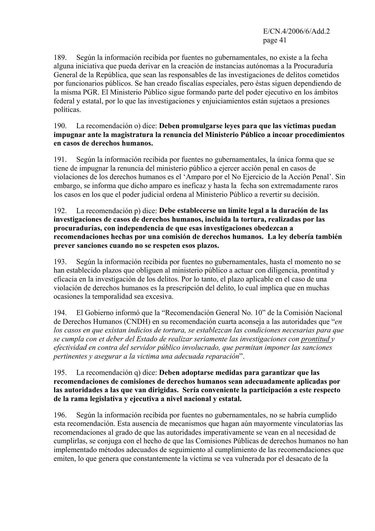189. Según la información recibida por fuentes no gubernamentales, no existe a la fecha alguna iniciativa que pueda derivar en la creación de instancias autónomas a la Procuraduría General de la República, que sean las responsables de las investigaciones de delitos cometidos por funcionarios públicos. Se han creado fiscalías especiales, pero éstas siguen dependiendo de la misma PGR. El Ministerio Público sigue formando parte del poder ejecutivo en los ámbitos federal y estatal, por lo que las investigaciones y enjuiciamientos están sujetaos a presiones políticas.

## 190. La recomendación o) dice: **Deben promulgarse leyes para que las víctimas puedan impugnar ante la magistratura la renuncia del Ministerio Público a incoar procedimientos en casos de derechos humanos.**

191. Según la información recibida por fuentes no gubernamentales, la única forma que se tiene de impugnar la renuncia del ministerio público a ejercer acción penal en casos de violaciones de los derechos humanos es el 'Amparo por el No Ejercicio de la Acción Penal'. Sin embargo, se informa que dicho amparo es ineficaz y hasta la fecha son extremadamente raros los casos en los que el poder judicial ordena al Ministerio Público a revertir su decisión.

#### 192. La recomendación p) dice: **Debe establecerse un límite legal a la duración de las investigaciones de casos de derechos humanos, incluida la tortura, realizadas por las procuradurías, con independencia de que esas investigaciones obedezcan a recomendaciones hechas por una comisión de derechos humanos. La ley debería también prever sanciones cuando no se respeten esos plazos.**

193. Según la información recibida por fuentes no gubernamentales, hasta el momento no se han establecido plazos que obliguen al ministerio público a actuar con diligencia, prontitud y eficacia en la investigación de los delitos. Por lo tanto, el plazo aplicable en el caso de una violación de derechos humanos es la prescripción del delito, lo cual implica que en muchas ocasiones la temporalidad sea excesiva.

194. El Gobierno informó que la "Recomendación General No. 10" de la Comisión Nacional de Derechos Humanos (CNDH) en su recomendación cuarta aconseja a las autoridades que "*en los casos en que existan indicios de tortura, se establezcan las condiciones necesarias para que se cumpla con et deber del Estado de realizar seriamente las investigaciones con prontitud y efectividad en contra del servidor público involucrado, que permitan imponer las sanciones pertinentes y asegurar a la victima una adecuada reparación*".

### 195. La recomendación q) dice: **Deben adoptarse medidas para garantizar que las recomendaciones de comisiones de derechos humanos sean adecuadamente aplicadas por las autoridades a las que van dirigidas. Sería conveniente la participación a este respecto de la rama legislativa y ejecutiva a nivel nacional y estatal.**

196. Según la información recibida por fuentes no gubernamentales, no se habría cumplido esta recomendación. Esta ausencia de mecanismos que hagan aún mayormente vinculatorias las recomendaciones al grado de que las autoridades imperativamente se vean en al necesidad de cumplirlas, se conjuga con el hecho de que las Comisiones Públicas de derechos humanos no han implementado métodos adecuados de seguimiento al cumplimiento de las recomendaciones que emiten, lo que genera que constantemente la víctima se vea vulnerada por el desacato de la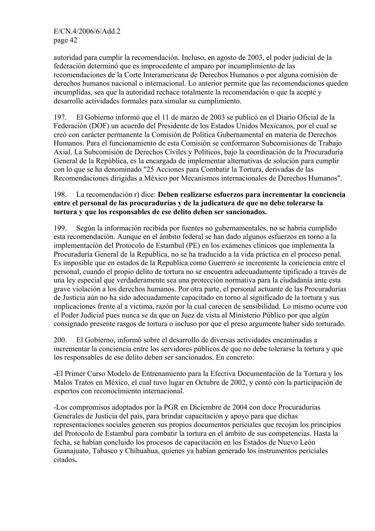autoridad para cumplir la recomendación. Incluso, en agosto de 2003, el poder judicial de la federación determinó que es improcedente el amparo por incumplimiento de las recomendaciones de la Corte Interamericana de Derechos Humanos o por alguna comisión de derechos humanos nacional o internacional. Lo anterior permite que las recomendaciones queden incumplidas, sea que la autoridad rechace totalmente la recomendación o que la acepte y desarrolle actividades formales para simular su cumplimiento.

197. El Gobierno informó que el 11 de marzo de 2003 se publicó en el Diario Oficial de la Federación (DOF) un acuerdo del Presidente de los Estados Unidos Mexicanos, por el cual se creó con carácter permanente la Comisión de Política Gubernamental en materia de Derechos Humanos. Para el funcionamiento de esta Comisión se conformaron Subcomisiones de Trabajo Axial. La Subcomisión de Derechos Civiles y Políticos, bajo la coordinación de la Procuraduría General de la República, es la encargada de implementar alternativas de solución para cumplir con lo que se ha denominado "25 Acciones para Combatir la Tortura, derivadas de las Recomendaciones dirigidas a México por Mecanismos internacionales de Derechos Humanos".

## 198. La recomendación r) dice: **Deben realizarse esfuerzos para incrementar la conciencia entre el personal de las procuradurías y de la judicatura de que no debe tolerarse la tortura y que los responsables de ese delito deben ser sancionados.**

199. Según la información recibida por fuentes no gubernamentales, no se habría cumplido esta recomendación. Aunque en el ámbito federal se han dado algunos esfuerzos en torno a la implementación del Protocolo de Estambul (PE) en los exámenes clínicos que implementa la Procuraduría General de la Republica, no se ha traducido a la vida práctica en el proceso penal. Es imposible que en estados de la Republica como Guerrero se incremente la conciencia entre el personal, cuando el propio delito de tortura no se encuentra adecuadamente tipificado a través de una ley especial que verdaderamente sea una protección normativa para la ciudadanía ante esta grave violación a los derechos humanos. Por otra parte, el personal actuante de las Procuradurías de Justicia aún no ha sido adecuadamente capacitado en torno al significado de la tortura y sus implicaciones frente al a victima, razón por la cual carecen de sensibilidad. Lo mismo ocurre con el Poder Judicial pues nunca se da que un Juez de vista al Ministerio Público por que algún consignado presente rasgos de tortura o incluso por que el preso argumente haber sido torturado.

200. El Gobierno, informó sobre el desarrollo de diversas actividades encaminadas a incrementar la conciencia entre los servidores públicos de que no debe tolerarse la tortura y que los responsables de ese delito deben ser sancionados. En concreto:

**-**El Primer Curso Modelo de Entrenamiento para la Efectiva Documentación de la Tortura y los Malos Tratos en México, el cual tuvo lugar en Octubre de 2002, y contó con la participación de expertos con reconocimiento internacional.

-Los compromisos adoptados por la PGR en Diciembre de 2004 con doce Procuradurias Generales de Justicia del país, para brindar capacitación y apoyo para que dichas representaciones sociales generen sus propios documentos periciales que recojan los principios del Protocolo de Estambul para combatir la tortura en el ámbito de sus competencias. Hasta la fecha, se habían concluido los procesos de capacitación en los Estados de Nuevo León Guanajuato, Tabasco y Chihuahua, quienes ya habían generado los instrumentos periciales citados**.**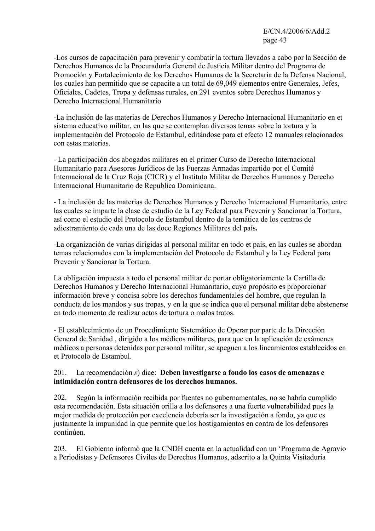-Los cursos de capacitación para prevenir y combatir la tortura llevados a cabo por la Sección de Derechos Humanos de la Procuraduría General de Justicia Militar dentro del Programa de Promoción y Fortalecimiento de los Derechos Humanos de la Secretaria de la Defensa Nacional, los cuales han permitido que se capacite a un total de 69,049 elementos entre Generales, Jefes, Oficiales, Cadetes, Tropa y defensas rurales, en 291 eventos sobre Derechos Humanos y Derecho Internacional Humanitario

-La inclusión de las materias de Derechos Humanos y Derecho Internacional Humanitario en et sistema educativo militar, en las que se contemplan diversos temas sobre la tortura y la implementación del Protocolo de Estambul, editándose para et efecto 12 manuales relacionados con estas materias.

- La participación dos abogados militares en el primer Curso de Derecho Internacional Humanitario para Asesores Jurídicos de las Fuerzas Armadas impartido por el Comité Internacional de la Cruz Roja (CICR) y el Instituto Militar de Derechos Humanos y Derecho Internacional Humanitario de Republica Dominicana.

- La inclusión de las materias de Derechos Humanos y Derecho Internacional Humanitario, entre las cuales se imparte la clase de estudio de la Ley Federal para Prevenir y Sancionar la Tortura, así como el estudio del Protocolo de Estambul dentro de la temática de los centros de adiestramiento de cada una de las doce Regiones Militares del país**.** 

-La organización de varias dirigidas al personal militar en todo et país, en las cuales se abordan temas relacionados con la implementación del Protocolo de Estambul y la Ley Federal para Prevenir y Sancionar la Tortura.

La obligación impuesta a todo el personal militar de portar obligatoriamente la Cartilla de Derechos Humanos y Derecho Internacional Humanitario, cuyo propósito es proporcionar información breve y concisa sobre los derechos fundamentales del hombre, que regulan la conducta de los mandos y sus tropas, y en la que se indica que el personal militar debe abstenerse en todo momento de realizar actos de tortura o malos tratos.

- El establecimiento de un Procedimiento Sistemático de Operar por parte de la Dirección General de Sanidad , dirigido a los médicos militares, para que en la aplicación de exámenes médicos a personas detenidas por personal militar, se apeguen a los lineamientos establecidos en et Protocolo de Estambul.

## 201. La recomendación *s*) dice: **Deben investigarse a fondo los casos de amenazas e intimidación contra defensores de los derechos humanos.**

202. Según la información recibida por fuentes no gubernamentales, no se habría cumplido esta recomendación. Esta situación orilla a los defensores a una fuerte vulnerabilidad pues la mejor medida de protección por excelencia debería ser la investigación a fondo, ya que es justamente la impunidad la que permite que los hostigamientos en contra de los defensores continúen.

203. El Gobierno informó que la CNDH cuenta en la actualidad con un 'Programa de Agravio a Periodistas y Defensores Civiles de Derechos Humanos, adscrito a la Quinta Visitaduría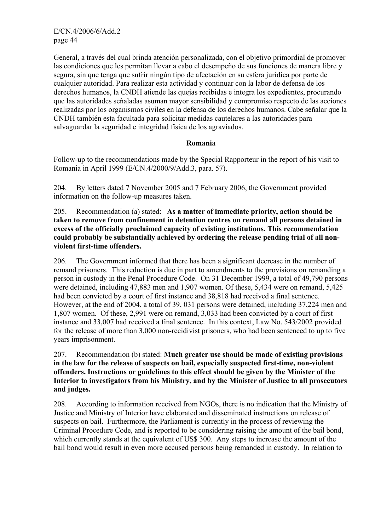General, a través del cual brinda atención personalizada, con el objetivo primordial de promover las condiciones que les permitan llevar a cabo el desempeño de sus funciones de manera libre y segura, sin que tenga que sufrir ningún tipo de afectación en su esfera jurídica por parte de cualquier autoridad. Para realizar esta actividad y continuar con la labor de defensa de los derechos humanos, la CNDH atiende las quejas recibidas e integra los expedientes, procurando que las autoridades señaladas asuman mayor sensibilidad y compromiso respecto de las acciones realizadas por los organismos civiles en la defensa de los derechos humanos. Cabe señalar que la CNDH también esta facultada para solicitar medidas cautelares a las autoridades para salvaguardar la seguridad e integridad física de los agraviados.

#### **Romania**

Follow-up to the recommendations made by the Special Rapporteur in the report of his visit to Romania in April 1999 (E/CN.4/2000/9/Add.3, para. 57).

204. By letters dated 7 November 2005 and 7 February 2006, the Government provided information on the follow-up measures taken.

205. Recommendation (a) stated: **As a matter of immediate priority, action should be taken to remove from confinement in detention centres on remand all persons detained in excess of the officially proclaimed capacity of existing institutions. This recommendation could probably be substantially achieved by ordering the release pending trial of all nonviolent first-time offenders.** 

206. The Government informed that there has been a significant decrease in the number of remand prisoners. This reduction is due in part to amendments to the provisions on remanding a person in custody in the Penal Procedure Code. On 31 December 1999, a total of 49,790 persons were detained, including 47,883 men and 1,907 women. Of these, 5,434 were on remand, 5,425 had been convicted by a court of first instance and 38,818 had received a final sentence. However, at the end of 2004, a total of 39, 031 persons were detained, including 37,224 men and 1,807 women. Of these, 2,991 were on remand, 3,033 had been convicted by a court of first instance and 33,007 had received a final sentence. In this context, Law No. 543/2002 provided for the release of more than 3,000 non-recidivist prisoners, who had been sentenced to up to five years imprisonment.

207. Recommendation (b) stated: **Much greater use should be made of existing provisions in the law for the release of suspects on bail, especially suspected first-time, non-violent offenders. Instructions or guidelines to this effect should be given by the Minister of the Interior to investigators from his Ministry, and by the Minister of Justice to all prosecutors and judges.** 

208. According to information received from NGOs, there is no indication that the Ministry of Justice and Ministry of Interior have elaborated and disseminated instructions on release of suspects on bail. Furthermore, the Parliament is currently in the process of reviewing the Criminal Procedure Code, and is reported to be considering raising the amount of the bail bond, which currently stands at the equivalent of US\$ 300. Any steps to increase the amount of the bail bond would result in even more accused persons being remanded in custody. In relation to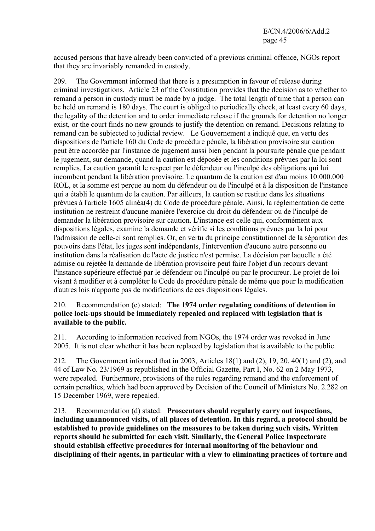accused persons that have already been convicted of a previous criminal offence, NGOs report that they are invariably remanded in custody.

209. The Government informed that there is a presumption in favour of release during criminal investigations. Article 23 of the Constitution provides that the decision as to whether to remand a person in custody must be made by a judge. The total length of time that a person can be held on remand is 180 days. The court is obliged to periodically check, at least every 60 days, the legality of the detention and to order immediate release if the grounds for detention no longer exist, or the court finds no new grounds to justify the detention on remand. Decisions relating to remand can be subjected to judicial review.Le Gouvernement a indiqué que, en vertu des dispositions de l'article 160 du Code de procédure pénale, la libération provisoire sur caution peut être accordée par l'instance de jugement aussi bien pendant la poursuite pénale que pendant le jugement, sur demande, quand la caution est déposée et les conditions prévues par la loi sont remplies. La caution garantit le respect par le défendeur ou l'inculpé des obligations qui lui incombent pendant la libération provisoire. Le quantum de la caution est d'au moins 10.000.000 ROL, et la somme est perçue au nom du défendeur ou de l'inculpé et à la disposition de l'instance qui a établi le quantum de la caution. Par ailleurs, la caution se restitue dans les situations prévues á l'article 1605 alinéa(4) du Code de procédure pénale. Ainsi, la réglementation de cette institution ne restreint d'aucune manière l'exercice du droit du défendeur ou de l'inculpé de demander la libération provisoire sur caution. L'instance est celle qui, conformément aux dispositions légales, examine la demande et vérifie si les conditions prévues par la loi pour l'admission de celle-ci sont remplies. Or, en vertu du principe constitutionnel de la séparation des pouvoirs dans l'état, les juges sont indépendants, l'intervention d'aucune autre personne ou institution dans la réalisation de l'acte de justice n'est permise. La décision par laquelle a été admise ou rejetée la demande de libération provisoire peut faire l'objet d'un recours devant l'instance supérieure effectué par le défendeur ou l'inculpé ou par le procureur. Le projet de loi visant à modifier et à compléter le Code de procédure pénale de même que pour la modification d'autres lois n'apporte pas de modifications de ces dispositions légales.

### 210. Recommendation (c) stated: **The 1974 order regulating conditions of detention in police lock-ups should be immediately repealed and replaced with legislation that is available to the public.**

211. According to information received from NGOs, the 1974 order was revoked in June 2005. It is not clear whether it has been replaced by legislation that is available to the public.

212. The Government informed that in 2003, Articles 18(1) and (2), 19, 20, 40(1) and (2), and 44 of Law No. 23/1969 as republished in the Official Gazette, Part I, No. 62 on 2 May 1973, were repealed. Furthermore, provisions of the rules regarding remand and the enforcement of certain penalties, which had been approved by Decision of the Council of Ministers No. 2.282 on 15 December 1969, were repealed.

213. Recommendation (d) stated: **Prosecutors should regularly carry out inspections, including unannounced visits, of all places of detention. In this regard, a protocol should be established to provide guidelines on the measures to be taken during such visits. Written reports should be submitted for each visit. Similarly, the General Police Inspectorate should establish effective procedures for internal monitoring of the behaviour and disciplining of their agents, in particular with a view to eliminating practices of torture and**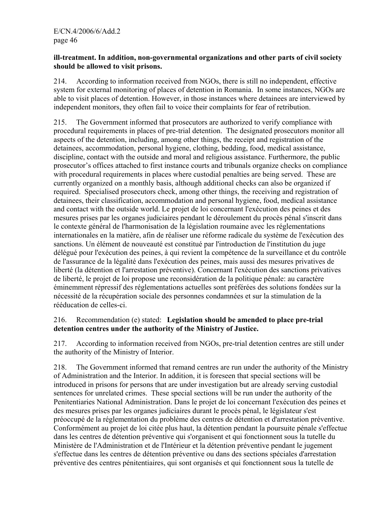#### **ill-treatment. In addition, non-governmental organizations and other parts of civil society should be allowed to visit prisons.**

214. According to information received from NGOs, there is still no independent, effective system for external monitoring of places of detention in Romania. In some instances, NGOs are able to visit places of detention. However, in those instances where detainees are interviewed by independent monitors, they often fail to voice their complaints for fear of retribution.

215. The Government informed that prosecutors are authorized to verify compliance with procedural requirements in places of pre-trial detention. The designated prosecutors monitor all aspects of the detention, including, among other things, the receipt and registration of the detainees, accommodation, personal hygiene, clothing, bedding, food, medical assistance, discipline, contact with the outside and moral and religious assistance. Furthermore, the public prosecutor's offices attached to first instance courts and tribunals organize checks on compliance with procedural requirements in places where custodial penalties are being served. These are currently organized on a monthly basis, although additional checks can also be organized if required. Specialised prosecutors check, among other things, the receiving and registration of detainees, their classification, accommodation and personal hygiene, food, medical assistance and contact with the outside world. Le projet de loi concernant l'exécution des peines et des mesures prises par les organes judiciaires pendant le déroulement du procès pénal s'inscrit dans le contexte général de l'harmonisation de la législation roumaine avec les réglementations internationales en la matière, afin de réaliser une réforme radicale du système de l'exécution des sanctions. Un élément de nouveauté est constitué par l'introduction de l'institution du juge délégué pour l'exécution des peines, à qui revient la compétence de la surveillance et du contrôle de l'assurance de la légalité dans l'exécution des peines, mais aussi des mesures privatives de liberté (la détention et l'arrestation préventive). Concernant l'exécution des sanctions privatives de liberté, le projet de loi propose une reconsidération de la politique pénale: au caractère éminemment répressif des réglementations actuelles sont préférées des solutions fondées sur la nécessité de la récupération sociale des personnes condamnées et sur la stimulation de la rééducation de celles-ci.

## 216. Recommendation (e) stated: **Legislation should be amended to place pre-trial detention centres under the authority of the Ministry of Justice.**

217. According to information received from NGOs, pre-trial detention centres are still under the authority of the Ministry of Interior.

218. The Government informed that remand centres are run under the authority of the Ministry of Administration and the Interior. In addition, it is foreseen that special sections will be introduced in prisons for persons that are under investigation but are already serving custodial sentences for unrelated crimes. These special sections will be run under the authority of the Penitentiaries National Administration. Dans le projet de loi concernant l'exécution des peines et des mesures prises par les organes judiciaires durant le procès pénal, le législateur s'est préoccupé de la réglementation du problème des centres de détention et d'arrestation préventive. Conformément au projet de loi citée plus haut, la détention pendant la poursuite pénale s'effectue dans les centres de détention préventive qui s'organisent et qui fonctionnent sous la tutelle du Ministère de l'Administration et de l'Intérieur et la détention préventive pendant le jugement s'effectue dans les centres de détention préventive ou dans des sections spéciales d'arrestation préventive des centres pénitentiaires, qui sont organisés et qui fonctionnent sous la tutelle de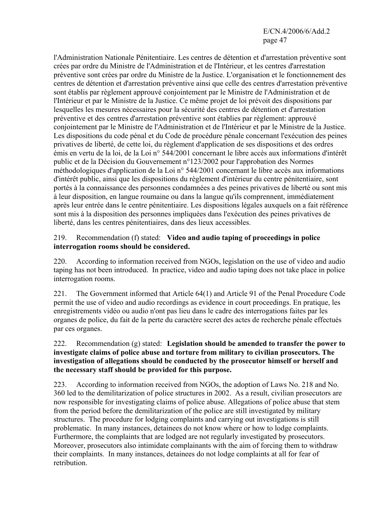l'Administration Nationale Pénitentiaire. Les centres de détention et d'arrestation préventive sont crées par ordre du Ministre de l'Administration et de l'Intérieur, et les centres d'arrestation préventive sont crées par ordre du Ministre de la Justice. L'organisation et le fonctionnement des centres de détention et d'arrestation préventive ainsi que celle des centres d'arrestation préventive sont établis par règlement approuvé conjointement par le Ministre de l'Administration et de l'Intérieur et par le Ministre de la Justice. Ce même projet de loi prévoit des dispositions par lesquelles les mesures nécessaires pour la sécurité des centres de détention et d'arrestation préventive et des centres d'arrestation préventive sont établies par règlement: approuvé conjointement par le Ministre de l'Administration et de l'Intérieur et par le Ministre de la Justice. Les dispositions du code pénal et du Code de procédure pénale concernant l'exécution des peines privatives de liberté, de cette loi, du règlement d'application de ses dispositions et des ordres émis en vertu de la loi, de la Loi n° 544/2001 concernant le libre accès aux informations d'intérêt public et de la Décision du Gouvernement n°123/2002 pour l'approbation des Normes méthodologiques d'application de la Loi n° 544/2001 concernant le libre accès aux informations d'intérêt public, ainsi que les dispositions du règlement d'intérieur du centre pénitentiaire, sont portés à la connaissance des personnes condamnées a des peines privatives de liberté ou sont mis à leur disposition, en langue roumaine ou dans la langue qu'ils comprennent, immédiatement après leur entrée dans le centre pénitentiaire. Les dispositions légales auxquels on a fait référence sont mis à la disposition des personnes impliquées dans l'exécution des peines privatives de liberté, dans les centres pénitentiaires, dans des lieux accessibles.

#### 219. Recommendation (f) stated: **Video and audio taping of proceedings in police interrogation rooms should be considered.**

220. According to information received from NGOs, legislation on the use of video and audio taping has not been introduced. In practice, video and audio taping does not take place in police interrogation rooms.

221. The Government informed that Article 64(1) and Article 91 of the Penal Procedure Code permit the use of video and audio recordings as evidence in court proceedings. En pratique, les enregistrements vidéo ou audio n'ont pas lieu dans le cadre des interrogations faites par les organes de police, du fait de la perte du caractère secret des actes de recherche pénale effectués par ces organes.

### 222. Recommendation (g) stated: **Legislation should be amended to transfer the power to investigate claims of police abuse and torture from military to civilian prosecutors. The investigation of allegations should be conducted by the prosecutor himself or herself and the necessary staff should be provided for this purpose.**

223. According to information received from NGOs, the adoption of Laws No. 218 and No. 360 led to the demilitarization of police structures in 2002. As a result, civilian prosecutors are now responsible for investigating claims of police abuse. Allegations of police abuse that stem from the period before the demilitarization of the police are still investigated by military structures. The procedure for lodging complaints and carrying out investigations is still problematic. In many instances, detainees do not know where or how to lodge complaints. Furthermore, the complaints that are lodged are not regularly investigated by prosecutors. Moreover, prosecutors also intimidate complainants with the aim of forcing them to withdraw their complaints. In many instances, detainees do not lodge complaints at all for fear of retribution.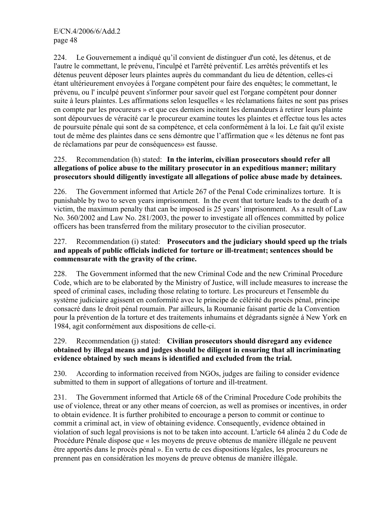224. Le Gouvernement a indiqué qu'il convient de distinguer d'un coté, les détenus, et de l'autre le commettant, le prévenu, l'inculpé et l'arrêté préventif. Les arrêtés préventifs et les détenus peuvent déposer leurs plaintes auprès du commandant du lieu de détention, celles-ci étant ultérieurement envoyées á l'organe compétent pour faire des enquêtes; le commettant, le prévenu, ou l' inculpé peuvent s'informer pour savoir quel est l'organe compétent pour donner suite à leurs plaintes. Les affirmations selon lesquelles « les réclamations faites ne sont pas prises en compte par les procureurs » et que ces derniers incitent les demandeurs à retirer leurs plainte sont dépourvues de véracité car le procureur examine toutes les plaintes et effectue tous les actes de poursuite pénale qui sont de sa compétence, et cela conformément à la loi. Le fait qu'il existe tout de même des plaintes dans ce sens démontre que l'affirmation que « les détenus ne font pas de réclamations par peur de conséquences» est fausse.

## 225. Recommendation (h) stated: **In the interim, civilian prosecutors should refer all allegations of police abuse to the military prosecutor in an expeditious manner; military prosecutors should diligently investigate all allegations of police abuse made by detainees.**

226. The Government informed that Article 267 of the Penal Code criminalizes torture. It is punishable by two to seven years imprisonment. In the event that torture leads to the death of a victim, the maximum penalty that can be imposed is 25 years' imprisonment. As a result of Law No. 360/2002 and Law No. 281/2003, the power to investigate all offences committed by police officers has been transferred from the military prosecutor to the civilian prosecutor.

## 227. Recommendation (i) stated: **Prosecutors and the judiciary should speed up the trials and appeals of public officials indicted for torture or ill-treatment; sentences should be commensurate with the gravity of the crime.**

228. The Government informed that the new Criminal Code and the new Criminal Procedure Code, which are to be elaborated by the Ministry of Justice, will include measures to increase the speed of criminal cases, including those relating to torture. Les procureurs et l'ensemble du système judiciaire agissent en conformité avec le principe de célérité du procès pénal, principe consacré dans le droit pénal roumain. Par ailleurs, la Roumanie faisant partie de la Convention pour la prévention de la torture et des traitements inhumains et dégradants signée á New York en 1984, agit conformément aux dispositions de celle-ci.

## 229. Recommendation (j) stated: **Civilian prosecutors should disregard any evidence obtained by illegal means and judges should be diligent in ensuring that all incriminating evidence obtained by such means is identified and excluded from the trial.**

230. According to information received from NGOs, judges are failing to consider evidence submitted to them in support of allegations of torture and ill-treatment.

231. The Government informed that Article 68 of the Criminal Procedure Code prohibits the use of violence, threat or any other means of coercion, as well as promises or incentives, in order to obtain evidence. It is further prohibited to encourage a person to commit or continue to commit a criminal act, in view of obtaining evidence. Consequently, evidence obtained in violation of such legal provisions is not to be taken into account. L'article 64 alinéa 2 du Code de Procédure Pénale dispose que « les moyens de preuve obtenus de manière illégale ne peuvent être apportés dans le procès pénal ». En vertu de ces dispositions légales, les procureurs ne prennent pas en considération les moyens de preuve obtenus de manière illégale.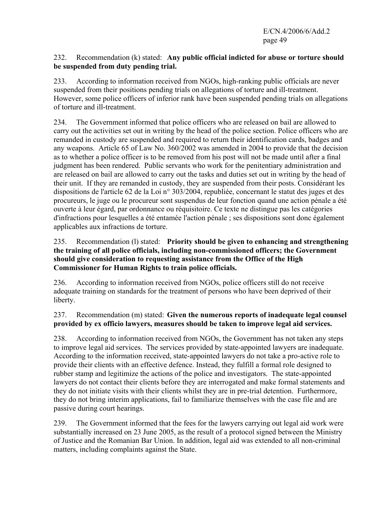### 232. Recommendation (k) stated: **Any public official indicted for abuse or torture should be suspended from duty pending trial.**

233. According to information received from NGOs, high-ranking public officials are never suspended from their positions pending trials on allegations of torture and ill-treatment. However, some police officers of inferior rank have been suspended pending trials on allegations of torture and ill-treatment.

234. The Government informed that police officers who are released on bail are allowed to carry out the activities set out in writing by the head of the police section. Police officers who are remanded in custody are suspended and required to return their identification cards, badges and any weapons. Article 65 of Law No. 360/2002 was amended in 2004 to provide that the decision as to whether a police officer is to be removed from his post will not be made until after a final judgment has been rendered. Public servants who work for the penitentiary administration and are released on bail are allowed to carry out the tasks and duties set out in writing by the head of their unit. If they are remanded in custody, they are suspended from their posts. Considérant les dispositions de l'article 62 de la Loi n° 303/2004, republiée, concernant le statut des juges et des procureurs, le juge ou le procureur sont suspendus de leur fonction quand une action pénale a été ouverte à leur égard, par ordonnance ou réquisitoire. Ce texte ne distingue pas les catégories d'infractions pour lesquelles a été entamée l'action pénale ; ses dispositions sont donc également applicables aux infractions de torture.

## 235. Recommendation (l) stated: **Priority should be given to enhancing and strengthening the training of all police officials, including non-commissioned officers; the Government should give consideration to requesting assistance from the Office of the High Commissioner for Human Rights to train police officials.**

236. According to information received from NGOs, police officers still do not receive adequate training on standards for the treatment of persons who have been deprived of their liberty.

# 237. Recommendation (m) stated: **Given the numerous reports of inadequate legal counsel provided by ex officio lawyers, measures should be taken to improve legal aid services.**

238. According to information received from NGOs, the Government has not taken any steps to improve legal aid services. The services provided by state-appointed lawyers are inadequate. According to the information received, state-appointed lawyers do not take a pro-active role to provide their clients with an effective defence. Instead, they fulfill a formal role designed to rubber stamp and legitimize the actions of the police and investigators. The state-appointed lawyers do not contact their clients before they are interrogated and make formal statements and they do not initiate visits with their clients whilst they are in pre-trial detention. Furthermore, they do not bring interim applications, fail to familiarize themselves with the case file and are passive during court hearings.

239. The Government informed that the fees for the lawyers carrying out legal aid work were substantially increased on 23 June 2005, as the result of a protocol signed between the Ministry of Justice and the Romanian Bar Union. In addition, legal aid was extended to all non-criminal matters, including complaints against the State.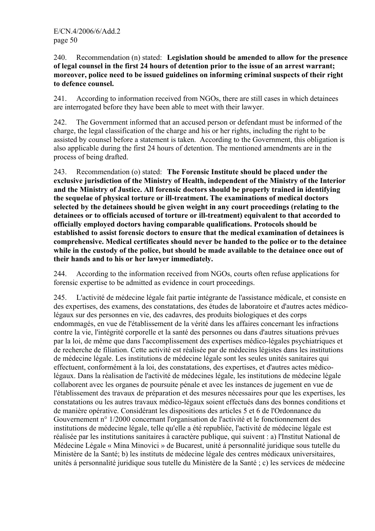240. Recommendation (n) stated: **Legislation should be amended to allow for the presence of legal counsel in the first 24 hours of detention prior to the issue of an arrest warrant; moreover, police need to be issued guidelines on informing criminal suspects of their right to defence counsel.** 

241. According to information received from NGOs, there are still cases in which detainees are interrogated before they have been able to meet with their lawyer.

242. The Government informed that an accused person or defendant must be informed of the charge, the legal classification of the charge and his or her rights, including the right to be assisted by counsel before a statement is taken. According to the Government, this obligation is also applicable during the first 24 hours of detention. The mentioned amendments are in the process of being drafted.

243. Recommendation (o) stated: **The Forensic Institute should be placed under the exclusive jurisdiction of the Ministry of Health, independent of the Ministry of the Interior and the Ministry of Justice. All forensic doctors should be properly trained in identifying the sequelae of physical torture or ill-treatment. The examinations of medical doctors selected by the detainees should be given weight in any court proceedings (relating to the detainees or to officials accused of torture or ill-treatment) equivalent to that accorded to officially employed doctors having comparable qualifications. Protocols should be established to assist forensic doctors to ensure that the medical examination of detainees is comprehensive. Medical certificates should never be handed to the police or to the detainee while in the custody of the police, but should be made available to the detainee once out of their hands and to his or her lawyer immediately.** 

244. According to the information received from NGOs, courts often refuse applications for forensic expertise to be admitted as evidence in court proceedings.

245. L'activité de médecine légale fait partie intégrante de l'assistance médicale, et consiste en des expertises, des examens, des constatations, des études de laboratoire et d'autres actes médicolégaux sur des personnes en vie, des cadavres, des produits biologiques et des corps endommagés, en vue de l'établissement de la vérité dans les affaires concernant les infractions contre la vie, l'intégrité corporelle et la santé des personnes ou dans d'autres situations prévues par la loi, de même que dans l'accomplissement des expertises médico-légales psychiatriques et de recherche de filiation. Cette activité est réalisée par de médecins légistes dans les institutions de médecine légale. Les institutions de médecine légale sont les seules unités sanitaires qui effectuent, conformément à la loi, des constatations, des expertises, et d'autres actes médicolégaux. Dans la réalisation de l'activité de médecines légale, les institutions de médecine légale collaborent avec les organes de poursuite pénale et avec les instances de jugement en vue de l'établissement des travaux de préparation et des mesures nécessaires pour que les expertises, les constatations ou les autres travaux médico-légaux soient effectués dans des bonnes conditions et de manière opérative. Considérant les dispositions des articles 5 et 6 de l'Ordonnance du Gouvernement n° 1/2000 concernant l'organisation de l'activité et le fonctionnement des institutions de médecine légale, telle qu'elle a été republiée, l'activité de médecine légale est réalisée par les institutions sanitaires à caractère publique, qui suivent : a) l'Institut National de Médecine Légale « Mina Minovici » de Bucarest, unité á personnalité juridique sous tutelle du Ministère de la Santé; b) les instituts de médecine légale des centres médicaux universitaires, unités á personnalité juridique sous tutelle du Ministère de la Santé ; c) les services de médecine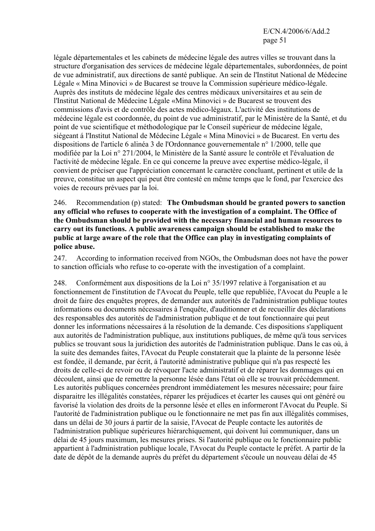légale départementales et les cabinets de médecine légale des autres villes se trouvant dans la structure d'organisation des services de médecine légale départementales, subordonnées, de point de vue administratif, aux directions de santé publique. An sein de l'Institut National de Médecine Légale « Mina Minovici » de Bucarest se trouve la Commission supérieure médico-légale. Auprès des instituts de médecine légale des centres médicaux universitaires et au sein de l'Institut National de Médecine Légale «Mina Minovici » de Bucarest se trouvent des commissions d'avis et de contrôle des actes médico-légaux. L'activité des institutions de médecine légale est coordonnée, du point de vue administratif, par le Ministère de la Santé, et du point de vue scientifique et méthodologique par le Conseil supérieur de médecine légale, siégeant á l'Institut National de Médecine Légale « Mina Minovici » de Bucarest. En vertu des dispositions de l'article 6 alinéa 3 de l'Ordonnance gouvernementale n° 1/2000, telle que modifiée par la Loi n° 271/2004, le Ministère de la Santé assure le contrôle et l'évaluation de l'activité de médecine légale. En ce qui concerne la preuve avec expertise médico-légale, il convient de préciser que l'appréciation concernant le caractère concluant, pertinent et utile de la preuve, constitue un aspect qui peut être contesté en même temps que le fond, par l'exercice des voies de recours prévues par la loi.

246. Recommendation (p) stated: **The Ombudsman should be granted powers to sanction any official who refuses to cooperate with the investigation of a complaint. The Office of the Ombudsman should be provided with the necessary financial and human resources to carry out its functions. A public awareness campaign should be established to make the public at large aware of the role that the Office can play in investigating complaints of police abuse.** 

247. According to information received from NGOs, the Ombudsman does not have the power to sanction officials who refuse to co-operate with the investigation of a complaint.

248. Conformément aux dispositions de la Loi n° 35/1997 relative à l'organisation et au fonctionnement de l'institution de l'Avocat du Peuple, telle que republiée, l'Avocat du Peuple a le droit de faire des enquêtes propres, de demander aux autorités de l'administration publique toutes informations ou documents nécessaires à l'enquête, d'auditionner et de recueillir des déclarations des responsables des autorités de l'administration publique et de tout fonctionnaire qui peut donner les informations nécessaires á la résolution de la demande. Ces dispositions s'appliquent aux autorités de l'administration publique, aux institutions publiques, de même qu'à tous services publics se trouvant sous la juridiction des autorités de l'administration publique. Dans le cas où, à la suite des demandes faites, l'Avocat du Peuple constaterait que la plainte de la personne lésée est fondée, il demande, par écrit, á l'autorité administrative publique qui n'a pas respecté les droits de celle-ci de revoir ou de révoquer l'acte administratif et de réparer les dommages qui en découlent, ainsi que de remettre la personne lésée dans l'état où elle se trouvait précédemment. Les autorités publiques concernées prendront immédiatement les mesures nécessaire; pour faire disparaitre les illégalités constatées, réparer les préjudices et écarter les causes qui ont généré ou favorisé la violation des droits de la personne lésée et elles en informeront l'Avocat du Peuple. Si l'autorité de l'administration publique ou le fonctionnaire ne met pas fin aux illégalités commises, dans un délai de 30 jours á partir de la saisie, l'Avocat de Peuple contacte les autorités de l'administration publique supérieures hiérarchiquement, qui doivent lui communiquer, dans un délai de 45 jours maximum, les mesures prises. Si l'autorité publique ou le fonctionnaire public appartient à l'administration publique locale, l'Avocat du Peuple contacte le préfet. A partir de la date de dépôt de la demande auprès du préfet du département s'écoule un nouveau délai de 45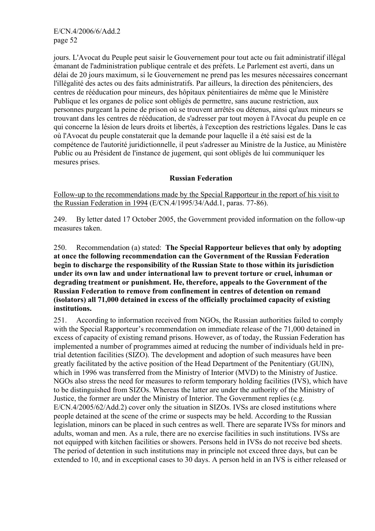jours. L'Avocat du Peuple peut saisir le Gouvernement pour tout acte ou fait administratif illégal émanant de l'administration publique centrale et des préfets. Le Parlement est averti, dans un délai de 20 jours maximum, si le Gouvernement ne prend pas les mesures nécessaires concernant l'illégalité des actes ou des faits administratifs. Par ailleurs, la direction des pénitenciers, des centres de rééducation pour mineurs, des hôpitaux pénitentiaires de même que le Ministère Publique et les organes de police sont obligés de permettre, sans aucune restriction, aux personnes purgeant la peine de prison où se trouvent arrêtés ou détenus, ainsi qu'aux mineurs se trouvant dans les centres de rééducation, de s'adresser par tout moyen à l'Avocat du peuple en ce qui concerne la lésion de leurs droits et libertés, à l'exception des restrictions légales. Dans le cas où l'Avocat du peuple constaterait que la demande pour laquelle il a été saisi est de la compétence de l'autorité juridictionnelle, il peut s'adresser au Ministre de la Justice, au Ministère Public ou au Président de l'instance de jugement, qui sont obligés de lui communiquer les mesures prises.

#### **Russian Federation**

Follow-up to the recommendations made by the Special Rapporteur in the report of his visit to the Russian Federation in 1994 (E/CN.4/1995/34/Add.1, paras. 77-86).

249. By letter dated 17 October 2005, the Government provided information on the follow-up measures taken.

250. Recommendation (a) stated: **The Special Rapporteur believes that only by adopting at once the following recommendation can the Government of the Russian Federation begin to discharge the responsibility of the Russian State to those within its jurisdiction under its own law and under international law to prevent torture or cruel, inhuman or degrading treatment or punishment. He, therefore, appeals to the Government of the Russian Federation to remove from confinement in centres of detention on remand (isolators) all 71,000 detained in excess of the officially proclaimed capacity of existing institutions.**

251. According to information received from NGOs, the Russian authorities failed to comply with the Special Rapporteur's recommendation on immediate release of the 71,000 detained in excess of capacity of existing remand prisons. However, as of today, the Russian Federation has implemented a number of programmes aimed at reducing the number of individuals held in pretrial detention facilities (SIZO). The development and adoption of such measures have been greatly facilitated by the active position of the Head Department of the Penitentiary (GUIN), which in 1996 was transferred from the Ministry of Interior (MVD) to the Ministry of Justice. NGOs also stress the need for measures to reform temporary holding facilities (IVS), which have to be distinguished from SIZOs. Whereas the latter are under the authority of the Ministry of Justice, the former are under the Ministry of Interior. The Government replies (e.g. E/CN.4/2005/62/Add.2) cover only the situation in SIZOs. IVSs are closed institutions where people detained at the scene of the crime or suspects may be held. According to the Russian legislation, minors can be placed in such centres as well. There are separate IVSs for minors and adults, woman and men. As a rule, there are no exercise facilities in such institutions. IVSs are not equipped with kitchen facilities or showers. Persons held in IVSs do not receive bed sheets. The period of detention in such institutions may in principle not exceed three days, but can be extended to 10, and in exceptional cases to 30 days. A person held in an IVS is either released or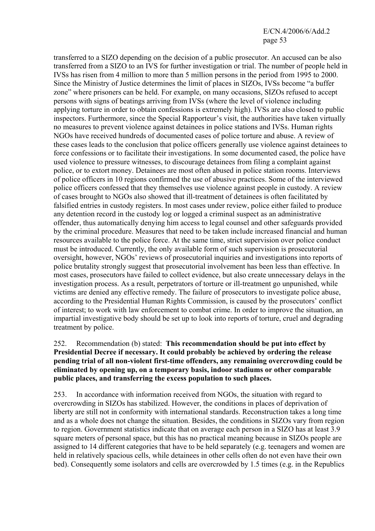transferred to a SIZO depending on the decision of a public prosecutor. An accused can be also transferred from a SIZO to an IVS for further investigation or trial. The number of people held in IVSs has risen from 4 million to more than 5 million persons in the period from 1995 to 2000. Since the Ministry of Justice determines the limit of places in SIZOs, IVSs become "a buffer zone" where prisoners can be held. For example, on many occasions, SIZOs refused to accept persons with signs of beatings arriving from IVSs (where the level of violence including applying torture in order to obtain confessions is extremely high). IVSs are also closed to public inspectors. Furthermore, since the Special Rapporteur's visit, the authorities have taken virtually no measures to prevent violence against detainees in police stations and IVSs. Human rights NGOs have received hundreds of documented cases of police torture and abuse. A review of these cases leads to the conclusion that police officers generally use violence against detainees to force confessions or to facilitate their investigations. In some documented cased, the police have used violence to pressure witnesses, to discourage detainees from filing a complaint against police, or to extort money. Detainees are most often abused in police station rooms. Interviews of police officers in 10 regions confirmed the use of abusive practices. Some of the interviewed police officers confessed that they themselves use violence against people in custody. A review of cases brought to NGOs also showed that ill-treatment of detainees is often facilitated by falsified entries in custody registers. In most cases under review, police either failed to produce any detention record in the custody log or logged a criminal suspect as an administrative offender, thus automatically denying him access to legal counsel and other safeguards provided by the criminal procedure. Measures that need to be taken include increased financial and human resources available to the police force. At the same time, strict supervision over police conduct must be introduced. Currently, the only available form of such supervision is prosecutorial oversight, however, NGOs' reviews of prosecutorial inquiries and investigations into reports of police brutality strongly suggest that prosecutorial involvement has been less than effective. In most cases, prosecutors have failed to collect evidence, but also create unnecessary delays in the investigation process. As a result, perpetrators of torture or ill-treatment go unpunished, while victims are denied any effective remedy. The failure of prosecutors to investigate police abuse, according to the Presidential Human Rights Commission, is caused by the prosecutors' conflict of interest; to work with law enforcement to combat crime. In order to improve the situation, an impartial investigative body should be set up to look into reports of torture, cruel and degrading treatment by police.

#### 252. Recommendation (b) stated: **This recommendation should be put into effect by Presidential Decree if necessary. It could probably be achieved by ordering the release pending trial of all non-violent first-time offenders, any remaining overcrowding could be eliminated by opening up, on a temporary basis, indoor stadiums or other comparable public places, and transferring the excess population to such places.**

253. In accordance with information received from NGOs, the situation with regard to overcrowding in SIZOs has stabilized. However, the conditions in places of deprivation of liberty are still not in conformity with international standards. Reconstruction takes a long time and as a whole does not change the situation. Besides, the conditions in SIZOs vary from region to region. Government statistics indicate that on average each person in a SIZO has at least 3.9 square meters of personal space, but this has no practical meaning because in SIZOs people are assigned to 14 different categories that have to be held separately (e.g. teenagers and women are held in relatively spacious cells, while detainees in other cells often do not even have their own bed). Consequently some isolators and cells are overcrowded by 1.5 times (e.g. in the Republics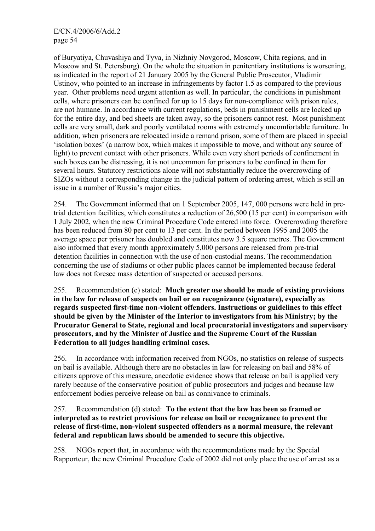of Buryatiya, Chuvashiya and Тyva, in Nizhniy Novgorod, Moscow, Chita regions, and in Moscow and St. Petersburg). On the whole the situation in penitentiary institutions is worsening, as indicated in the report of 21 January 2005 by the General Public Prosecutor, Vladimir Ustinov, who pointed to an increase in infringements by factor 1.5 as compared to the previous year. Other problems need urgent attention as well. In particular, the conditions in punishment cells, where prisoners can be confined for up to 15 days for non-compliance with prison rules, are not humane. In accordance with current regulations, beds in punishment cells are locked up for the entire day, and bed sheets are taken away, so the prisoners cannot rest. Most punishment cells are very small, dark and poorly ventilated rooms with extremely uncomfortable furniture. In addition, when prisoners are relocated inside a remand prison, some of them are placed in special 'isolation boxes' (a narrow box, which makes it impossible to move, and without any source of light) to prevent contact with other prisoners. While even very short periods of confinement in such boxes can be distressing, it is not uncommon for prisoners to be confined in them for several hours. Statutory restrictions alone will not substantially reduce the overcrowding of SIZOs without a corresponding change in the judicial pattern of ordering arrest, which is still an issue in a number of Russia's major cities.

254. The Government informed that on 1 September 2005, 147, 000 persons were held in pretrial detention facilities, which constitutes a reduction of 26,500 (15 per cent) in comparison with 1 July 2002, when the new Criminal Procedure Code entered into force. Overcrowding therefore has been reduced from 80 per cent to 13 per cent. In the period between 1995 and 2005 the average space per prisoner has doubled and constitutes now 3.5 square metres. The Government also informed that every month approximately 5,000 persons are released from pre-trial detention facilities in connection with the use of non-custodial means. The recommendation concerning the use of stadiums or other public places cannot be implemented because federal law does not foresee mass detention of suspected or accused persons.

255. Recommendation (c) stated: **Much greater use should be made of existing provisions in the law for release of suspects on bail or on recognizance (signature), especially as regards suspected first-time non-violent offenders. Instructions or guidelines to this effect should be given by the Minister of the Interior to investigators from his Ministry; by the Procurator General to State, regional and local procuratorial investigators and supervisory prosecutors, and by the Minister of Justice and the Supreme Court of the Russian Federation to all judges handling criminal cases.**

256. In accordance with information received from NGOs, no statistics on release of suspects on bail is available. Although there are no obstacles in law for releasing on bail and 58% of citizens approve of this measure, anecdotic evidence shows that release on bail is applied very rarely because of the conservative position of public prosecutors and judges and because law enforcement bodies perceive release on bail as connivance to criminals.

## 257. Recommendation (d) stated: **To the extent that the law has been so framed or interpreted as to restrict provisions for release on bail or recognizance to prevent the release of first-time, non-violent suspected offenders as a normal measure, the relevant federal and republican laws should be amended to secure this objective.**

258. NGOs report that, in accordance with the recommendations made by the Special Rapporteur, the new Criminal Procedure Code of 2002 did not only place the use of arrest as a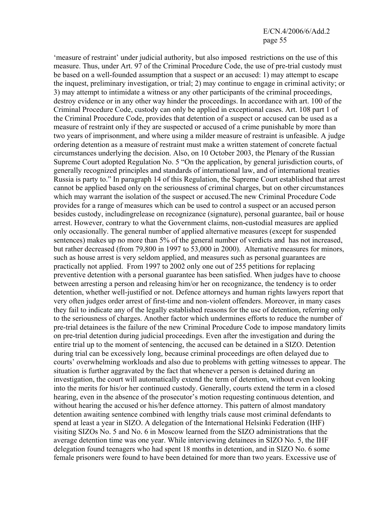'measure of restraint' under judicial authority, but also imposed restrictions on the use of this measure. Thus, under Art. 97 of the Criminal Procedure Code, the use of pre-trial custody must be based on a well-founded assumption that a suspect or an accused: 1) may attempt to escape the inquest, preliminary investigation, or trial; 2) may continue to engage in criminal activity; or 3) may attempt to intimidate a witness or any other participants of the criminal proceedings, destroy evidence or in any other way hinder the proceedings. In accordance with art. 100 of the Criminal Procedure Code, custody can only be applied in exceptional cases. Art. 108 part 1 of the Criminal Procedure Code, provides that detention of a suspect or accused can be used as a measure of restraint only if they are suspected or accused of a crime punishable by more than two years of imprisonment, and where using a milder measure of restraint is unfeasible. A judge ordering detention as a measure of restraint must make a written statement of concrete factual circumstances underlying the decision. Also, on 10 October 2003, the Plenary of the Russian Supreme Court adopted Regulation No. 5 "On the application, by general jurisdiction courts, of generally recognized principles and standards of international law, and of international treaties Russia is party to." In paragraph 14 of this Regulation, the Supreme Court established that arrest cannot be applied based only on the seriousness of criminal charges, but on other circumstances which may warrant the isolation of the suspect or accused.The new Criminal Procedure Code provides for a range of measures which can be used to control a suspect or an accused person besides custody, includingrelease on recognizance (signature), personal guarantee, bail or house arrest. However, contrary to what the Government claims, non-custodial measures are applied only occasionally. The general number of applied alternative measures (except for suspended sentences) makes up no more than 5% of the general number of verdicts and has not increased, but rather decreased (from 79,800 in 1997 to 53,000 in 2000). Alternative measures for minors, such as house arrest is very seldom applied, and measures such as personal guarantees are practically not applied. From 1997 to 2002 only one out of 255 petitions for replacing preventive detention with a personal guarantee has been satisfied. When judges have to choose between arresting a person and releasing him/or her on recognizance, the tendency is to order detention, whether well-justified or not. Defence attorneys and human rights lawyers report that very often judges order arrest of first-time and non-violent offenders. Moreover, in many cases they fail to indicate any of the legally established reasons for the use of detention, referring only to the seriousness of charges. Another factor which undermines efforts to reduce the number of pre-trial detainees is the failure of the new Criminal Procedure Code to impose mandatory limits on pre-trial detention during judicial proceedings. Even after the investigation and during the entire trial up to the moment of sentencing, the accused can be detained in a SIZO. Detention during trial can be excessively long, because criminal proceedings are often delayed due to courts' overwhelming workloads and also due to problems with getting witnesses to appear. The situation is further aggravated by the fact that whenever a person is detained during an investigation, the court will automatically extend the term of detention, without even looking into the merits for his/or her continued custody. Generally, courts extend the term in a closed hearing, even in the absence of the prosecutor's motion requesting continuous detention, and without hearing the accused or his/her defence attorney. This pattern of almost mandatory detention awaiting sentence combined with lengthy trials cause most criminal defendants to spend at least a year in SIZO. A delegation of the International Helsinki Federation (IHF) visiting SIZOs No. 5 and No. 6 in Moscow learned from the SIZO administrations that the average detention time was one year. While interviewing detainees in SIZO No. 5, the IHF delegation found teenagers who had spent 18 months in detention, and in SIZO No. 6 some female prisoners were found to have been detained for more than two years. Excessive use of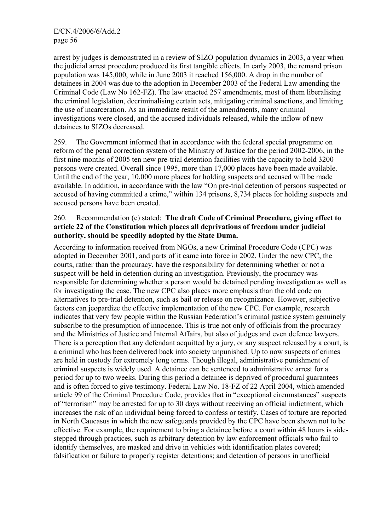arrest by judges is demonstrated in a review of SIZO population dynamics in 2003, a year when the judicial arrest procedure produced its first tangible effects. In early 2003, the remand prison population was 145,000, while in June 2003 it reached 156,000. A drop in the number of detainees in 2004 was due to the adoption in December 2003 of the Federal Law amending the Criminal Code (Law No 162-FZ). The law enacted 257 amendments, most of them liberalising the criminal legislation, decriminalising certain acts, mitigating criminal sanctions, and limiting the use of incarceration. As an immediate result of the amendments, many criminal investigations were closed, and the accused individuals released, while the inflow of new detainees to SIZOs decreased.

259. The Government informed that in accordance with the federal special programme on reform of the penal correction system of the Ministry of Justice for the period 2002-2006, in the first nine months of 2005 ten new pre-trial detention facilities with the capacity to hold 3200 persons were created. Overall since 1995, more than 17,000 places have been made available. Until the end of the year, 10,000 more places for holding suspects and accused will be made available. In addition, in accordance with the law "On pre-trial detention of persons suspected or accused of having committed a crime," within 134 prisons, 8,734 places for holding suspects and accused persons have been created.

## 260. Recommendation (e) stated: **The draft Code of Criminal Procedure, giving effect to article 22 of the Constitution which places all deprivations of freedom under judicial authority, should be speedily adopted by the State Duma.**

According to information received from NGOs, a new Criminal Procedure Code (CPC) was adopted in December 2001, and parts of it came into force in 2002. Under the new CPC, the courts, rather than the procuracy, have the responsibility for determining whether or not a suspect will be held in detention during an investigation. Previously, the procuracy was responsible for determining whether a person would be detained pending investigation as well as for investigating the case. The new CPC also places more emphasis than the old code on alternatives to pre-trial detention, such as bail or release on recognizance. However, subjective factors can jeopardize the effective implementation of the new CPC. For example, research indicates that very few people within the Russian Federation's criminal justice system genuinely subscribe to the presumption of innocence. This is true not only of officials from the procuracy and the Ministries of Justice and Internal Affairs, but also of judges and even defence lawyers. There is a perception that any defendant acquitted by a jury, or any suspect released by a court, is a criminal who has been delivered back into society unpunished. Up to now suspects of crimes are held in custody for extremely long terms. Though illegal, administrative punishment of criminal suspects is widely used. A detainee can be sentenced to administrative arrest for a period for up to two weeks. During this period a detainee is deprived of procedural guarantees and is often forced to give testimony. Federal Law No. 18-FZ of 22 April 2004, which amended article 99 of the Criminal Procedure Code, provides that in "exceptional circumstances" suspects of "terrorism" may be arrested for up to 30 days without receiving an official indictment, which increases the risk of an individual being forced to confess or testify. Cases of torture are reported in North Caucasus in which the new safeguards provided by the CPC have been shown not to be effective. For example, the requirement to bring a detainee before a court within 48 hours is sidestepped through practices, such as arbitrary detention by law enforcement officials who fail to identify themselves, are masked and drive in vehicles with identification plates covered; falsification or failure to properly register detentions; and detention of persons in unofficial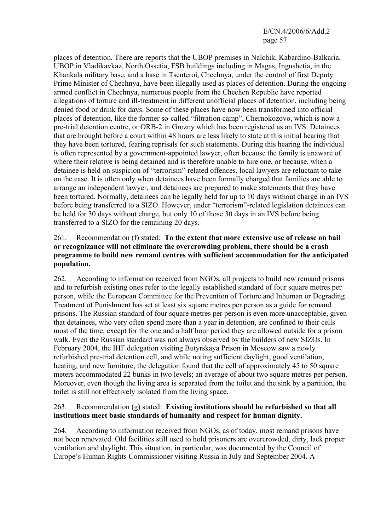places of detention. There are reports that the UBOP premises in Nalchik, Kabardino-Balkaria, UBOP in Vladikavkaz, North Ossetia, FSB buildings including in Magas, Ingushetia, in the Khankala military base, and a base in Tsenteroi, Chechnya, under the control of first Deputy Prime Minister of Chechnya, have been illegally used as places of detention. During the ongoing armed conflict in Chechnya, numerous people from the Chechen Republic have reported allegations of torture and ill-treatment in different unofficial places of detention, including being denied food or drink for days. Some of these places have now been transformed into official places of detention, like the former so-called "filtration camp", Chernokozovo, which is now a pre-trial detention centre, or ORB-2 in Grozny which has been registered as an IVS. Detainees that are brought before a court within 48 hours are less likely to state at this initial hearing that they have been tortured, fearing reprisals for such statements. During this hearing the individual is often represented by a government-appointed lawyer, often because the family is unaware of where their relative is being detained and is therefore unable to hire one, or because, when a detainee is held on suspicion of "terrorism"-related offences, local lawyers are reluctant to take on the case. It is often only when detainees have been formally charged that families are able to arrange an independent lawyer, and detainees are prepared to make statements that they have been tortured. Normally, detainees can be legally held for up to 10 days without charge in an IVS before being transferred to a SIZO. However, under "terrorism"-related legislation detainees can be held for 30 days without charge, but only 10 of those 30 days in an IVS before being transferred to a SIZO for the remaining 20 days.

#### 261. Recommendation (f) stated: **To the extent that more extensive use of release on bail or recognizance will not eliminate the overcrowding problem, there should be a crash programme to build new remand centres with sufficient accommodation for the anticipated population.**

262. According to information received from NGOs, all projects to build new remand prisons and to refurbish existing ones refer to the legally established standard of four square metres per person, while the European Committee for the Prevention of Torture and Inhuman or Degrading Treatment of Punishment has set at least six square metres per person as a guide for remand prisons. The Russian standard of four square metres per person is even more unacceptable, given that detainees, who very often spend more than a year in detention, are confined to their cells most of the time, except for the one and a half hour period they are allowed outside for a prison walk. Even the Russian standard was not always observed by the builders of new SIZOs. In February 2004, the IHF delegation visiting Butyrskaya Prison in Moscow saw a newly refurbished pre-trial detention cell, and while noting sufficient daylight, good ventilation, heating, and new furniture, the delegation found that the cell of approximately 45 to 50 square meters accommodated 22 bunks in two levels; an average of about two square metres per person. Moreover, even though the living area is separated from the toilet and the sink by a partition, the toilet is still not effectively isolated from the living space.

## 263. Recommendation (g) stated: **Existing institutions should be refurbished so that all institutions meet basic standards of humanity and respect for human dignity.**

264. According to information received from NGOs, as of today, most remand prisons have not been renovated. Old facilities still used to hold prisoners are overcrowded, dirty, lack proper ventilation and daylight. This situation, in particular, was documented by the Council of Europe's Human Rights Commissioner visiting Russia in July and September 2004. A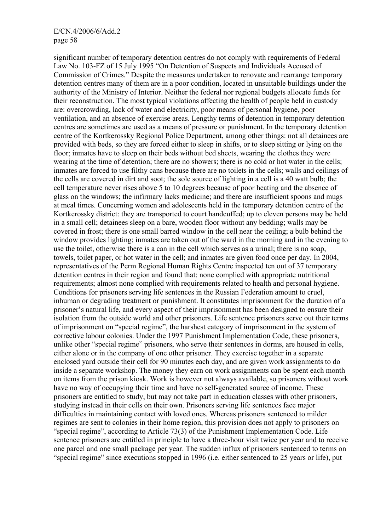significant number of temporary detention centres do not comply with requirements of Federal Law No. 103-FZ of 15 July 1995 "On Detention of Suspects and Individuals Accused of Commission of Crimes." Despite the measures undertaken to renovate and rearrange temporary detention centres many of them are in a poor condition, located in unsuitable buildings under the authority of the Ministry of Interior. Neither the federal nor regional budgets allocate funds for their reconstruction. The most typical violations affecting the health of people held in custody are: overcrowding, lack of water and electricity, poor means of personal hygiene, poor ventilation, and an absence of exercise areas. Lengthy terms of detention in temporary detention centres are sometimes are used as a means of pressure or punishment. In the temporary detention centre of the Kortkerossky Regional Police Department, among other things: not all detainees are provided with beds, so they are forced either to sleep in shifts, or to sleep sitting or lying on the floor; inmates have to sleep on their beds without bed sheets, wearing the clothes they were wearing at the time of detention; there are no showers; there is no cold or hot water in the cells; inmates are forced to use filthy cans because there are no toilets in the cells; walls and ceilings of the cells are covered in dirt and soot; the sole source of lighting in a cell is a 40 watt bulb; the cell temperature never rises above 5 to 10 degrees because of poor heating and the absence of glass on the windows; the infirmary lacks medicine; and there are insufficient spoons and mugs at meal times. Concerning women and adolescents held in the temporary detention centre of the Kortkerossky district: they are transported to court handcuffed; up to eleven persons may be held in a small cell; detainees sleep on a bare, wooden floor without any bedding; walls may be covered in frost; there is one small barred window in the cell near the ceiling; a bulb behind the window provides lighting; inmates are taken out of the ward in the morning and in the evening to use the toilet, otherwise there is a can in the cell which serves as a urinal; there is no soap, towels, toilet paper, or hot water in the cell; and inmates are given food once per day. In 2004, representatives of the Perm Regional Human Rights Centre inspected ten out of 37 temporary detention centres in their region and found that: none complied with appropriate nutritional requirements; almost none complied with requirements related to health and personal hygiene. Conditions for prisoners serving life sentences in the Russian Federation amount to cruel, inhuman or degrading treatment or punishment. It constitutes imprisonment for the duration of a prisoner's natural life, and every aspect of their imprisonment has been designed to ensure their isolation from the outside world and other prisoners. Life sentence prisoners serve out their terms of imprisonment on "special regime", the harshest category of imprisonment in the system of corrective labour colonies. Under the 1997 Punishment Implementation Code, these prisoners, unlike other "special regime" prisoners, who serve their sentences in dorms, are housed in cells, either alone or in the company of one other prisoner. They exercise together in a separate enclosed yard outside their cell for 90 minutes each day, and are given work assignments to do inside a separate workshop. The money they earn on work assignments can be spent each month on items from the prison kiosk. Work is however not always available, so prisoners without work have no way of occupying their time and have no self-generated source of income. These prisoners are entitled to study, but may not take part in education classes with other prisoners, studying instead in their cells on their own. Prisoners serving life sentences face major difficulties in maintaining contact with loved ones. Whereas prisoners sentenced to milder regimes are sent to colonies in their home region, this provision does not apply to prisoners on "special regime", according to Article 73(3) of the Punishment Implementation Code. Life sentence prisoners are entitled in principle to have a three-hour visit twice per year and to receive one parcel and one small package per year. The sudden influx of prisoners sentenced to terms on "special regime" since executions stopped in 1996 (i.e. either sentenced to 25 years or life), put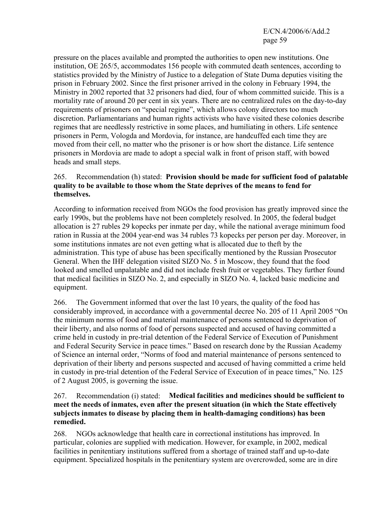pressure on the places available and prompted the authorities to open new institutions. One institution, OE 265/5, accommodates 156 people with commuted death sentences, according to statistics provided by the Ministry of Justice to a delegation of State Duma deputies visiting the prison in February 2002. Since the first prisoner arrived in the colony in February 1994, the Ministry in 2002 reported that 32 prisoners had died, four of whom committed suicide. This is a mortality rate of around 20 per cent in six years. There are no centralized rules on the day-to-day requirements of prisoners on "special regime", which allows colony directors too much discretion. Parliamentarians and human rights activists who have visited these colonies describe regimes that are needlessly restrictive in some places, and humiliating in others. Life sentence prisoners in Perm, Vologda and Mordovia, for instance, are handcuffed each time they are moved from their cell, no matter who the prisoner is or how short the distance. Life sentence prisoners in Mordovia are made to adopt a special walk in front of prison staff, with bowed heads and small steps.

#### 265. Recommendation (h) stated: **Provision should be made for sufficient food of palatable quality to be available to those whom the State deprives of the means to fend for themselves.**

According to information received from NGOs the food provision has greatly improved since the early 1990s, but the problems have not been completely resolved. In 2005, the federal budget allocation is 27 rubles 29 kopecks per inmate per day, while the national average minimum food ration in Russia at the 2004 year-end was 34 rubles 73 kopecks per person per day. Moreover, in some institutions inmates are not even getting what is allocated due to theft by the administration. This type of abuse has been specifically mentioned by the Russian Prosecutor General. When the IHF delegation visited SIZO No. 5 in Moscow, they found that the food looked and smelled unpalatable and did not include fresh fruit or vegetables. They further found that medical facilities in SIZO No. 2, and especially in SIZO No. 4, lacked basic medicine and equipment.

266. The Government informed that over the last 10 years, the quality of the food has considerably improved, in accordance with a governmental decree No. 205 of 11 April 2005 "On the minimum norms of food and material maintenance of persons sentenced to deprivation of their liberty, and also norms of food of persons suspected and accused of having committed a crime held in custody in pre-trial detention of the Federal Service of Execution of Punishment and Federal Security Service in peace times." Based on research done by the Russian Academy of Science an internal order, "Norms of food and material maintenance of persons sentenced to deprivation of their liberty and persons suspected and accused of having committed a crime held in custody in pre-trial detention of the Federal Service of Execution of in peace times," No. 125 of 2 August 2005, is governing the issue.

### 267. Recommendation (i) stated: **Medical facilities and medicines should be sufficient to meet the needs of inmates, even after the present situation (in which the State effectively subjects inmates to disease by placing them in health-damaging conditions) has been remedied.**

268. NGOs acknowledge that health care in correctional institutions has improved. In particular, colonies are supplied with medication. However, for example, in 2002, medical facilities in penitentiary institutions suffered from a shortage of trained staff and up-to-date equipment. Specialized hospitals in the penitentiary system are overcrowded, some are in dire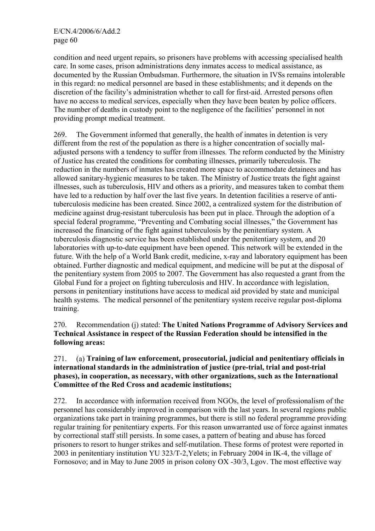condition and need urgent repairs, so prisoners have problems with accessing specialised health care. In some cases, prison administrations deny inmates access to medical assistance, as documented by the Russian Ombudsman. Furthermore, the situation in IVSs remains intolerable in this regard: no medical personnel are based in these establishments; and it depends on the discretion of the facility's administration whether to call for first-aid. Arrested persons often have no access to medical services, especially when they have been beaten by police officers. The number of deaths in custody point to the negligence of the facilities' personnel in not providing prompt medical treatment.

269. The Government informed that generally, the health of inmates in detention is very different from the rest of the population as there is a higher concentration of socially maladjusted persons with a tendency to suffer from illnesses. The reform conducted by the Ministry of Justice has created the conditions for combating illnesses, primarily tuberculosis. The reduction in the numbers of inmates has created more space to accommodate detainees and has allowed sanitary-hygienic measures to be taken. The Ministry of Justice treats the fight against illnesses, such as tuberculosis, HIV and others as a priority, and measures taken to combat them have led to a reduction by half over the last five years. In detention facilities a reserve of antituberculosis medicine has been created. Since 2002, a centralized system for the distribution of medicine against drug-resistant tuberculosis has been put in place. Through the adoption of a special federal programme, "Preventing and Combating social illnesses," the Government has increased the financing of the fight against tuberculosis by the penitentiary system. A tuberculosis diagnostic service has been established under the penitentiary system, and 20 laboratories with up-to-date equipment have been opened. This network will be extended in the future. With the help of a World Bank credit, medicine, x-ray and laboratory equipment has been obtained. Further diagnostic and medical equipment, and medicine will be put at the disposal of the penitentiary system from 2005 to 2007. The Government has also requested a grant from the Global Fund for a project on fighting tuberculosis and HIV. In accordance with legislation, persons in penitentiary institutions have access to medical aid provided by state and municipal health systems. The medical personnel of the penitentiary system receive regular post-diploma training.

270. Recommendation (j) stated: **The United Nations Programme of Advisory Services and Technical Assistance in respect of the Russian Federation should be intensified in the following areas:** 

### 271. (a) **Training of law enforcement, prosecutorial, judicial and penitentiary officials in international standards in the administration of justice (pre-trial, trial and post-trial phases), in cooperation, as necessary, with other organizations, such as the International Committee of the Red Cross and academic institutions;**

272. In accordance with information received from NGOs, the level of professionalism of the personnel has considerably improved in comparison with the last years. In several regions public organizations take part in training programmes, but there is still no federal programme providing regular training for penitentiary experts. For this reason unwarranted use of force against inmates by correctional staff still persists. In some cases, a pattern of beating and abuse has forced prisoners to resort to hunger strikes and self-mutilation. These forms of protest were reported in 2003 in penitentiary institution YU 323/T-2,Yelets; in February 2004 in IK-4, the village of Fornosovo; and in May to June 2005 in prison colony OX -30/3, Lgov. The most effective way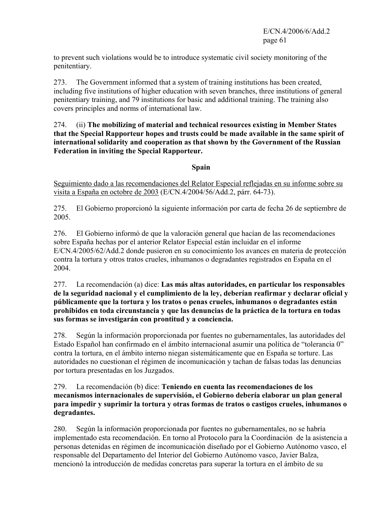to prevent such violations would be to introduce systematic civil society monitoring of the penitentiary.

273. The Government informed that a system of training institutions has been created, including five institutions of higher education with seven branches, three institutions of general penitentiary training, and 79 institutions for basic and additional training. The training also covers principles and norms of international law.

274. (ii) **The mobilizing of material and technical resources existing in Member States that the Special Rapporteur hopes and trusts could be made available in the same spirit of international solidarity and cooperation as that shown by the Government of the Russian Federation in inviting the Special Rapporteur.**

## **Spain**

Seguimiento dado a las recomendaciones del Relator Especial reflejadas en su informe sobre su visita a España en octobre de 2003 (E/CN.4/2004/56/Add.2, párr. 64-73).

275. El Gobierno proporcionó la siguiente información por carta de fecha 26 de septiembre de 2005.

276. El Gobierno informó de que la valoración general que hacían de las recomendaciones sobre España hechas por el anterior Relator Especial están incluidar en el informe E/CN.4/2005/62/Add.2 donde pusieron en su conocimiento los avances en materia de protección contra la tortura y otros tratos crueles, inhumanos o degradantes registrados en España en el 2004.

277. La recomendación (a) dice: **Las más altas autoridades, en particular los responsables de la seguridad nacional y el cumplimiento de la ley, deberían reafirmar y declarar oficial y públicamente que la tortura y los tratos o penas crueles, inhumanos o degradantes están prohibidos en toda circunstancia y que las denuncias de la práctica de la tortura en todas sus formas se investigarán con prontitud y a conciencia.** 

278. Según la información proporcionada por fuentes no gubernamentales, las autoridades del Estado Español han confirmado en el ámbito internacional asumir una política de "tolerancia 0" contra la tortura, en el ámbito interno niegan sistemáticamente que en España se torture. Las autoridades no cuestionan el régimen de incomunicación y tachan de falsas todas las denuncias por tortura presentadas en los Juzgados.

### 279. La recomendación (b) dice: **Teniendo en cuenta las recomendaciones de los mecanismos internacionales de supervisión, el Gobierno debería elaborar un plan general para impedir y suprimir la tortura y otras formas de tratos o castigos crueles, inhumanos o degradantes.**

280. Según la información proporcionada por fuentes no gubernamentales, no se habría implementado esta recomendación. En torno al Protocolo para la Coordinación de la asistencia a personas detenidas en régimen de incomunicación diseñado por el Gobierno Autónomo vasco, el responsable del Departamento del Interior del Gobierno Autónomo vasco, Javier Balza, mencionó la introducción de medidas concretas para superar la tortura en el ámbito de su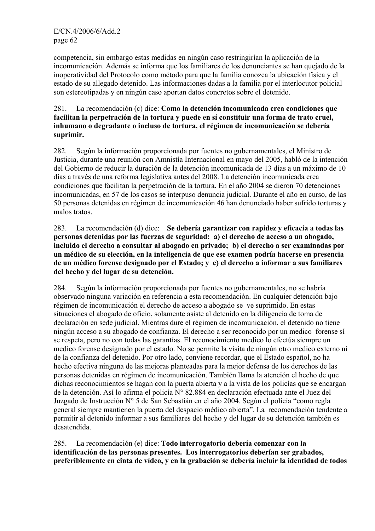competencia, sin embargo estas medidas en ningún caso restringirían la aplicación de la incomunicación. Además se informa que los familiares de los denunciantes se han quejado de la inoperatividad del Protocolo como método para que la familia conozca la ubicación física y el estado de su allegado detenido. Las informaciones dadas a la familia por el interlocutor policial son estereotipadas y en ningún caso aportan datos concretos sobre el detenido.

#### 281. La recomendación (c) dice: **Como la detención incomunicada crea condiciones que facilitan la perpetración de la tortura y puede en sí constituir una forma de trato cruel, inhumano o degradante o incluso de tortura, el régimen de incomunicación se debería suprimir.**

282. Según la información proporcionada por fuentes no gubernamentales, el Ministro de Justicia, durante una reunión con Amnistía Internacional en mayo del 2005, habló de la intención del Gobierno de reducir la duración de la detención incomunicada de 13 días a un máximo de 10 días a través de una reforma legislativa antes del 2008. La detención incomunicada crea condiciones que facilitan la perpetración de la tortura. En el año 2004 se dieron 70 detenciones incomunicadas, en 57 de los casos se interpuso denuncia judicial. Durante el año en curso, de las 50 personas detenidas en régimen de incomunicación 46 han denunciado haber sufrido torturas y malos tratos.

283. La recomendación (d) dice: **Se debería garantizar con rapidez y eficacia a todas las personas detenidas por las fuerzas de seguridad: a) el derecho de acceso a un abogado, incluido el derecho a consultar al abogado en privado; b) el derecho a ser examinadas por un médico de su elección, en la inteligencia de que ese examen podría hacerse en presencia de un médico forense designado por el Estado; y c) el derecho a informar a sus familiares del hecho y del lugar de su detención.** 

284. Según la información proporcionada por fuentes no gubernamentales, no se habría observado ninguna variación en referencia a esta recomendación. En cualquier detención bajo régimen de incomunicación el derecho de acceso a abogado se ve suprimido. En estas situaciones el abogado de oficio, solamente asiste al detenido en la diligencia de toma de declaración en sede judicial. Mientras dure el régimen de incomunicación, el detenido no tiene ningún acceso a su abogado de confianza. El derecho a ser reconocido por un medico forense sí se respeta, pero no con todas las garantías. El reconocimiento medico lo efectúa siempre un medico forense designado por el estado. No se permite la visita de ningún otro medico externo ni de la confianza del detenido. Por otro lado, conviene recordar, que el Estado español, no ha hecho efectiva ninguna de las mejoras planteadas para la mejor defensa de los derechos de las personas detenidas en régimen de incomunicación. También llama la atención el hecho de que dichas reconocimientos se hagan con la puerta abierta y a la vista de los policías que se encargan de la detención. Así lo afirma el policía N° 82.884 en declaración efectuada ante el Juez del Juzgado de Instrucción N° 5 de San Sebastián en el año 2004. Según el policía "como regla general siempre mantienen la puerta del despacio médico abierta". La recomendación tendente a permitir al detenido informar a sus familiares del hecho y del lugar de su detención también es desatendida.

285. La recomendación (e) dice: **Todo interrogatorio debería comenzar con la identificación de las personas presentes. Los interrogatorios deberían ser grabados, preferiblemente en cinta de vídeo, y en la grabación se debería incluir la identidad de todos**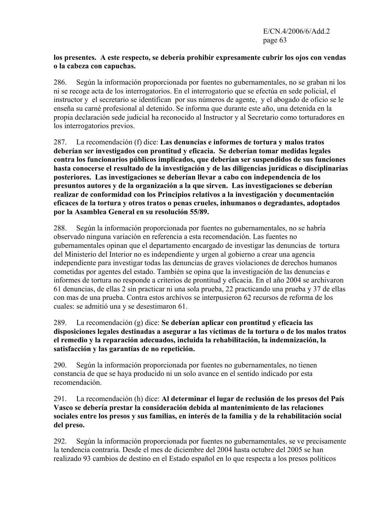#### **los presentes. A este respecto, se debería prohibir expresamente cubrir los ojos con vendas o la cabeza con capuchas.**

286. Según la información proporcionada por fuentes no gubernamentales, no se graban ni los ni se recoge acta de los interrogatorios. En el interrogatorio que se efectúa en sede policial, el instructor y el secretario se identifican por sus números de agente, y el abogado de oficio se le enseña su carné profesional al detenido. Se informa que durante este año, una detenida en la propia declaración sede judicial ha reconocido al Instructor y al Secretario como torturadores en los interrogatorios previos.

287. La recomendación (f) dice: **Las denuncias e informes de tortura y malos tratos deberían ser investigados con prontitud y eficacia. Se deberían tomar medidas legales contra los funcionarios públicos implicados, que deberían ser suspendidos de sus funciones hasta conocerse el resultado de la investigación y de las diligencias jurídicas o disciplinarias posteriores. Las investigaciones se deberían llevar a cabo con independencia de los presuntos autores y de la organización a la que sirven. Las investigaciones se deberían realizar de conformidad con los Principios relativos a la investigación y documentación eficaces de la tortura y otros tratos o penas crueles, inhumanos o degradantes, adoptados por la Asamblea General en su resolución 55/89.** 

288. Según la información proporcionada por fuentes no gubernamentales, no se habría observado ninguna variación en referencia a esta recomendación. Las fuentes no gubernamentales opinan que el departamento encargado de investigar las denuncias de tortura del Ministerio del Interior no es independiente y urgen al gobierno a crear una agencia independiente para investigar todas las denuncias de graves violaciones de derechos humanos cometidas por agentes del estado. También se opina que la investigación de las denuncias e informes de tortura no responde a criterios de prontitud y eficacia. En el año 2004 se archivaron 61 denuncias, de ellas 2 sin practicar ni una sola prueba, 22 practicando una prueba y 37 de ellas con mas de una prueba. Contra estos archivos se interpusieron 62 recursos de reforma de los cuales: se admitió una y se desestimaron 61.

289. La recomendación (g) dice: **Se deberían aplicar con prontitud y eficacia las disposiciones legales destinadas a asegurar a las víctimas de la tortura o de los malos tratos el remedio y la reparación adecuados, incluida la rehabilitación, la indemnización, la satisfacción y las garantías de no repetición.**

290. Según la información proporcionada por fuentes no gubernamentales, no tienen constancia de que se haya producido ni un solo avance en el sentido indicado por esta recomendación.

291. La recomendación (h) dice: **Al determinar el lugar de reclusión de los presos del País Vasco se debería prestar la consideración debida al mantenimiento de las relaciones sociales entre los presos y sus familias, en interés de la familia y de la rehabilitación social del preso.** 

292. Según la información proporcionada por fuentes no gubernamentales, se ve precisamente la tendencia contraria. Desde el mes de diciembre del 2004 hasta octubre del 2005 se han realizado 93 cambios de destino en el Estado español en lo que respecta a los presos políticos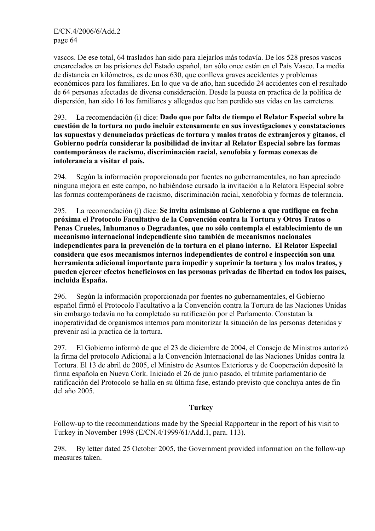vascos. De ese total, 64 traslados han sido para alejarlos más todavía. De los 528 presos vascos encarcelados en las prisiones del Estado español, tan sólo once están en el País Vasco. La media de distancia en kilómetros, es de unos 630, que conlleva graves accidentes y problemas económicos para los familiares. En lo que va de año, han sucedido 24 accidentes con el resultado de 64 personas afectadas de diversa consideración. Desde la puesta en practica de la política de dispersión, han sido 16 los familiares y allegados que han perdido sus vidas en las carreteras.

### 293. La recomendación (i) dice: **Dado que por falta de tiempo el Relator Especial sobre la cuestión de la tortura no pudo incluir extensamente en sus investigaciones y constataciones las supuestas y denunciadas prácticas de tortura y malos tratos de extranjeros y gitanos, el Gobierno podría considerar la posibilidad de invitar al Relator Especial sobre las formas contemporáneas de racismo, discriminación racial, xenofobia y formas conexas de intolerancia a visitar el país.**

294. Según la información proporcionada por fuentes no gubernamentales, no han apreciado ninguna mejora en este campo, no habiéndose cursado la invitación a la Relatora Especial sobre las formas contemporáneas de racismo, discriminación racial, xenofobia y formas de tolerancia.

295. La recomendación (j) dice: **Se invita asimismo al Gobierno a que ratifique en fecha próxima el Protocolo Facultativo de la Convención contra la Tortura y Otros Tratos o Penas Crueles, Inhumanos o Degradantes, que no sólo contempla el establecimiento de un mecanismo internacional independiente sino también de mecanismos nacionales independientes para la prevención de la tortura en el plano interno. El Relator Especial considera que esos mecanismos internos independientes de control e inspección son una herramienta adicional importante para impedir y suprimir la tortura y los malos tratos, y pueden ejercer efectos beneficiosos en las personas privadas de libertad en todos los países, incluida España.** 

296. Según la información proporcionada por fuentes no gubernamentales, el Gobierno español firmó el Protocolo Facultativo a la Convención contra la Tortura de las Naciones Unidas sin embargo todavía no ha completado su ratificación por el Parlamento. Constatan la inoperatividad de organismos internos para monitorizar la situación de las personas detenidas y prevenir así la practica de la tortura.

297. El Gobierno informó de que el 23 de diciembre de 2004, el Consejo de Ministros autorizó la firma del protocolo Adicional a la Convención Internacional de las Naciones Unidas contra la Tortura. El 13 de abril de 2005, el Ministro de Asuntos Exteriores y de Cooperación depositó la firma española en Nueva Cork. Iniciado el 26 de junio pasado, el trámite parlamentario de ratificación del Protocolo se halla en su última fase, estando previsto que concluya antes de fin del año 2005.

# **Turkey**

Follow-up to the recommendations made by the Special Rapporteur in the report of his visit to Turkey in November 1998 (E/CN.4/1999/61/Add.1, para. 113).

298. By letter dated 25 October 2005, the Government provided information on the follow-up measures taken.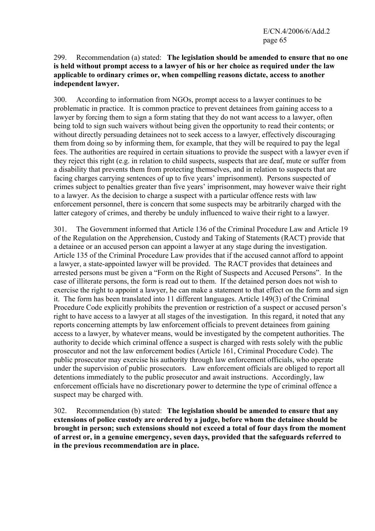#### 299. Recommendation (a) stated: **The legislation should be amended to ensure that no one is held without prompt access to a lawyer of his or her choice as required under the law applicable to ordinary crimes or, when compelling reasons dictate, access to another independent lawyer.**

300. According to information from NGOs, prompt access to a lawyer continues to be problematic in practice. It is common practice to prevent detainees from gaining access to a lawyer by forcing them to sign a form stating that they do not want access to a lawyer, often being told to sign such waivers without being given the opportunity to read their contents; or without directly persuading detainees not to seek access to a lawyer, effectively discouraging them from doing so by informing them, for example, that they will be required to pay the legal fees. The authorities are required in certain situations to provide the suspect with a lawyer even if they reject this right (e.g. in relation to child suspects, suspects that are deaf, mute or suffer from a disability that prevents them from protecting themselves, and in relation to suspects that are facing charges carrying sentences of up to five years' imprisonment). Persons suspected of crimes subject to penalties greater than five years' imprisonment, may however waive their right to a lawyer. As the decision to charge a suspect with a particular offence rests with law enforcement personnel, there is concern that some suspects may be arbitrarily charged with the latter category of crimes, and thereby be unduly influenced to waive their right to a lawyer.

301. The Government informed that Article 136 of the Criminal Procedure Law and Article 19 of the Regulation on the Apprehension, Custody and Taking of Statements (RACT) provide that a detainee or an accused person can appoint a lawyer at any stage during the investigation. Article 135 of the Criminal Procedure Law provides that if the accused cannot afford to appoint a lawyer, a state-appointed lawyer will be provided. The RACT provides that detainees and arrested persons must be given a "Form on the Right of Suspects and Accused Persons". In the case of illiterate persons, the form is read out to them. If the detained person does not wish to exercise the right to appoint a lawyer, he can make a statement to that effect on the form and sign it. The form has been translated into 11 different languages. Article 149(3) of the Criminal Procedure Code explicitly prohibits the prevention or restriction of a suspect or accused person's right to have access to a lawyer at all stages of the investigation. In this regard, it noted that any reports concerning attempts by law enforcement officials to prevent detainees from gaining access to a lawyer, by whatever means, would be investigated by the competent authorities. The authority to decide which criminal offence a suspect is charged with rests solely with the public prosecutor and not the law enforcement bodies (Article 161, Criminal Procedure Code). The public prosecutor may exercise his authority through law enforcement officials, who operate under the supervision of public prosecutors. Law enforcement officials are obliged to report all detentions immediately to the public prosecutor and await instructions. Accordingly, law enforcement officials have no discretionary power to determine the type of criminal offence a suspect may be charged with.

302. Recommendation (b) stated: **The legislation should be amended to ensure that any extensions of police custody are ordered by a judge, before whom the detainee should be brought in person; such extensions should not exceed a total of four days from the moment of arrest or, in a genuine emergency, seven days, provided that the safeguards referred to in the previous recommendation are in place.**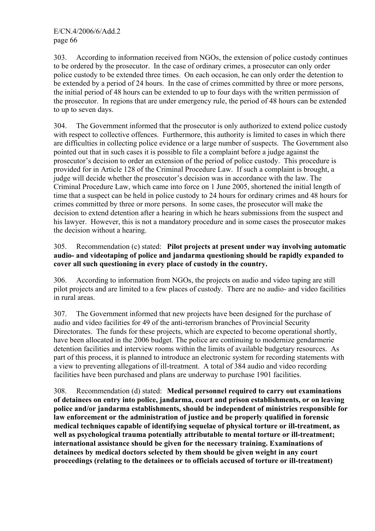303. According to information received from NGOs, the extension of police custody continues to be ordered by the prosecutor. In the case of ordinary crimes, a prosecutor can only order police custody to be extended three times. On each occasion, he can only order the detention to be extended by a period of 24 hours. In the case of crimes committed by three or more persons, the initial period of 48 hours can be extended to up to four days with the written permission of the prosecutor. In regions that are under emergency rule, the period of 48 hours can be extended to up to seven days.

304. The Government informed that the prosecutor is only authorized to extend police custody with respect to collective offences. Furthermore, this authority is limited to cases in which there are difficulties in collecting police evidence or a large number of suspects. The Government also pointed out that in such cases it is possible to file a complaint before a judge against the prosecutor's decision to order an extension of the period of police custody. This procedure is provided for in Article 128 of the Criminal Procedure Law. If such a complaint is brought, a judge will decide whether the prosecutor's decision was in accordance with the law. The Criminal Procedure Law, which came into force on 1 June 2005, shortened the initial length of time that a suspect can be held in police custody to 24 hours for ordinary crimes and 48 hours for crimes committed by three or more persons. In some cases, the prosecutor will make the decision to extend detention after a hearing in which he hears submissions from the suspect and his lawyer. However, this is not a mandatory procedure and in some cases the prosecutor makes the decision without a hearing.

## 305. Recommendation (c) stated: **Pilot projects at present under way involving automatic audio- and videotaping of police and jandarma questioning should be rapidly expanded to cover all such questioning in every place of custody in the country.**

306. According to information from NGOs, the projects on audio and video taping are still pilot projects and are limited to a few places of custody. There are no audio- and video facilities in rural areas.

307. The Government informed that new projects have been designed for the purchase of audio and video facilities for 49 of the anti-terrorism branches of Provincial Security Directorates. The funds for these projects, which are expected to become operational shortly, have been allocated in the 2006 budget. The police are continuing to modernize gendarmerie detention facilities and interview rooms within the limits of available budgetary resources. As part of this process, it is planned to introduce an electronic system for recording statements with a view to preventing allegations of ill-treatment. A total of 384 audio and video recording facilities have been purchased and plans are underway to purchase 1901 facilities.

308. Recommendation (d) stated: **Medical personnel required to carry out examinations of detainees on entry into police, jandarma, court and prison establishments, or on leaving police and/or jandarma establishments, should be independent of ministries responsible for law enforcement or the administration of justice and be properly qualified in forensic medical techniques capable of identifying sequelae of physical torture or ill-treatment, as well as psychological trauma potentially attributable to mental torture or ill-treatment; international assistance should be given for the necessary training. Examinations of detainees by medical doctors selected by them should be given weight in any court proceedings (relating to the detainees or to officials accused of torture or ill-treatment)**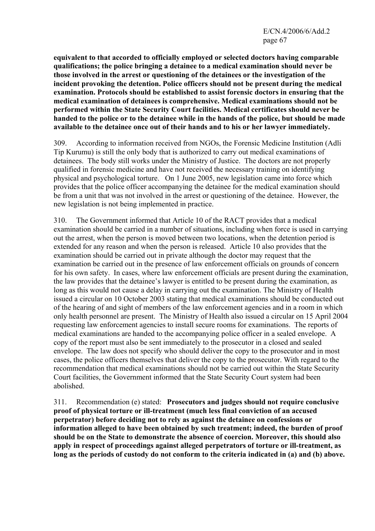**equivalent to that accorded to officially employed or selected doctors having comparable qualifications; the police bringing a detainee to a medical examination should never be those involved in the arrest or questioning of the detainees or the investigation of the incident provoking the detention. Police officers should not be present during the medical examination. Protocols should be established to assist forensic doctors in ensuring that the medical examination of detainees is comprehensive. Medical examinations should not be performed within the State Security Court facilities. Medical certificates should never be handed to the police or to the detainee while in the hands of the police, but should be made available to the detainee once out of their hands and to his or her lawyer immediately.** 

309. According to information received from NGOs, the Forensic Medicine Institution (Adli Tip Kurumu) is still the only body that is authorized to carry out medical examinations of detainees. The body still works under the Ministry of Justice. The doctors are not properly qualified in forensic medicine and have not received the necessary training on identifying physical and psychological torture. On 1 June 2005, new legislation came into force which provides that the police officer accompanying the detainee for the medical examination should be from a unit that was not involved in the arrest or questioning of the detainee. However, the new legislation is not being implemented in practice.

310. The Government informed that Article 10 of the RACT provides that a medical examination should be carried in a number of situations, including when force is used in carrying out the arrest, when the person is moved between two locations, when the detention period is extended for any reason and when the person is released. Article 10 also provides that the examination should be carried out in private although the doctor may request that the examination be carried out in the presence of law enforcement officials on grounds of concern for his own safety. In cases, where law enforcement officials are present during the examination, the law provides that the detainee's lawyer is entitled to be present during the examination, as long as this would not cause a delay in carrying out the examination. The Ministry of Health issued a circular on 10 October 2003 stating that medical examinations should be conducted out of the hearing of and sight of members of the law enforcement agencies and in a room in which only health personnel are present. The Ministry of Health also issued a circular on 15 April 2004 requesting law enforcement agencies to install secure rooms for examinations. The reports of medical examinations are handed to the accompanying police officer in a sealed envelope. A copy of the report must also be sent immediately to the prosecutor in a closed and sealed envelope. The law does not specify who should deliver the copy to the prosecutor and in most cases, the police officers themselves that deliver the copy to the prosecutor. With regard to the recommendation that medical examinations should not be carried out within the State Security Court facilities, the Government informed that the State Security Court system had been abolished.

311. Recommendation (e) stated: **Prosecutors and judges should not require conclusive proof of physical torture or ill-treatment (much less final conviction of an accused perpetrator) before deciding not to rely as against the detainee on confessions or information alleged to have been obtained by such treatment; indeed, the burden of proof should be on the State to demonstrate the absence of coercion. Moreover, this should also apply in respect of proceedings against alleged perpetrators of torture or ill-treatment, as long as the periods of custody do not conform to the criteria indicated in (a) and (b) above.**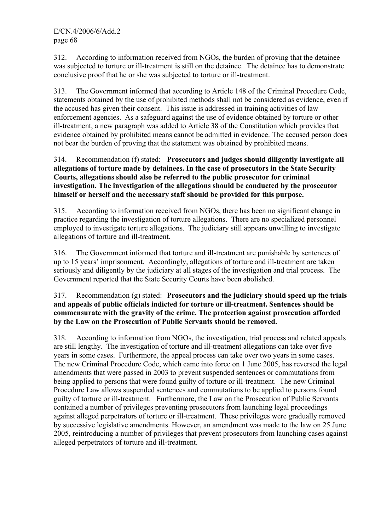312. According to information received from NGOs, the burden of proving that the detainee was subjected to torture or ill-treatment is still on the detainee. The detainee has to demonstrate conclusive proof that he or she was subjected to torture or ill-treatment.

313. The Government informed that according to Article 148 of the Criminal Procedure Code, statements obtained by the use of prohibited methods shall not be considered as evidence, even if the accused has given their consent. This issue is addressed in training activities of law enforcement agencies. As a safeguard against the use of evidence obtained by torture or other ill-treatment, a new paragraph was added to Article 38 of the Constitution which provides that evidence obtained by prohibited means cannot be admitted in evidence. The accused person does not bear the burden of proving that the statement was obtained by prohibited means.

### 314. Recommendation (f) stated: **Prosecutors and judges should diligently investigate all allegations of torture made by detainees. In the case of prosecutors in the State Security Courts, allegations should also be referred to the public prosecutor for criminal investigation. The investigation of the allegations should be conducted by the prosecutor himself or herself and the necessary staff should be provided for this purpose.**

315. According to information received from NGOs, there has been no significant change in practice regarding the investigation of torture allegations. There are no specialized personnel employed to investigate torture allegations. The judiciary still appears unwilling to investigate allegations of torture and ill-treatment.

316. The Government informed that torture and ill-treatment are punishable by sentences of up to 15 years' imprisonment. Accordingly, allegations of torture and ill-treatment are taken seriously and diligently by the judiciary at all stages of the investigation and trial process. The Government reported that the State Security Courts have been abolished.

## 317. Recommendation (g) stated: **Prosecutors and the judiciary should speed up the trials and appeals of public officials indicted for torture or ill-treatment. Sentences should be commensurate with the gravity of the crime. The protection against prosecution afforded by the Law on the Prosecution of Public Servants should be removed.**

318. According to information from NGOs, the investigation, trial process and related appeals are still lengthy. The investigation of torture and ill-treatment allegations can take over five years in some cases. Furthermore, the appeal process can take over two years in some cases. The new Criminal Procedure Code, which came into force on 1 June 2005, has reversed the legal amendments that were passed in 2003 to prevent suspended sentences or commutations from being applied to persons that were found guilty of torture or ill-treatment. The new Criminal Procedure Law allows suspended sentences and commutations to be applied to persons found guilty of torture or ill-treatment. Furthermore, the Law on the Prosecution of Public Servants contained a number of privileges preventing prosecutors from launching legal proceedings against alleged perpetrators of torture or ill-treatment. These privileges were gradually removed by successive legislative amendments. However, an amendment was made to the law on 25 June 2005, reintroducing a number of privileges that prevent prosecutors from launching cases against alleged perpetrators of torture and ill-treatment.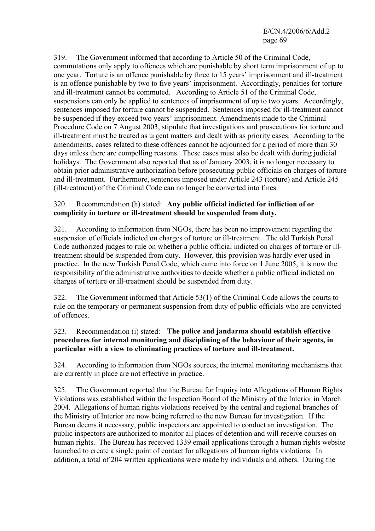319. The Government informed that according to Article 50 of the Criminal Code, commutations only apply to offences which are punishable by short term imprisonment of up to one year. Torture is an offence punishable by three to 15 years' imprisonment and ill-treatment is an offence punishable by two to five years' imprisonment. Accordingly, penalties for torture and ill-treatment cannot be commuted. According to Article 51 of the Criminal Code, suspensions can only be applied to sentences of imprisonment of up to two years. Accordingly, sentences imposed for torture cannot be suspended. Sentences imposed for ill-treatment cannot be suspended if they exceed two years' imprisonment. Amendments made to the Criminal Procedure Code on 7 August 2003, stipulate that investigations and prosecutions for torture and ill-treatment must be treated as urgent matters and dealt with as priority cases. According to the amendments, cases related to these offences cannot be adjourned for a period of more than 30 days unless there are compelling reasons. These cases must also be dealt with during judicial holidays. The Government also reported that as of January 2003, it is no longer necessary to obtain prior administrative authorization before prosecuting public officials on charges of torture and ill-treatment. Furthermore, sentences imposed under Article 243 (torture) and Article 245 (ill-treatment) of the Criminal Code can no longer be converted into fines.

## 320. Recommendation (h) stated: **Any public official indicted for infliction of or complicity in torture or ill-treatment should be suspended from duty.**

321. According to information from NGOs, there has been no improvement regarding the suspension of officials indicted on charges of torture or ill-treatment. The old Turkish Penal Code authorized judges to rule on whether a public official indicted on charges of torture or illtreatment should be suspended from duty. However, this provision was hardly ever used in practice. In the new Turkish Penal Code, which came into force on 1 June 2005, it is now the responsibility of the administrative authorities to decide whether a public official indicted on charges of torture or ill-treatment should be suspended from duty.

322. The Government informed that Article 53(1) of the Criminal Code allows the courts to rule on the temporary or permanent suspension from duty of public officials who are convicted of offences.

## 323. Recommendation (i) stated: **The police and jandarma should establish effective procedures for internal monitoring and disciplining of the behaviour of their agents, in particular with a view to eliminating practices of torture and ill-treatment.**

324. According to information from NGOs sources, the internal monitoring mechanisms that are currently in place are not effective in practice.

325. The Government reported that the Bureau for Inquiry into Allegations of Human Rights Violations was established within the Inspection Board of the Ministry of the Interior in March 2004. Allegations of human rights violations received by the central and regional branches of the Ministry of Interior are now being referred to the new Bureau for investigation. If the Bureau deems it necessary, public inspectors are appointed to conduct an investigation. The public inspectors are authorized to monitor all places of detention and will receive courses on human rights. The Bureau has received 1339 email applications through a human rights website launched to create a single point of contact for allegations of human rights violations. In addition, a total of 204 written applications were made by individuals and others. During the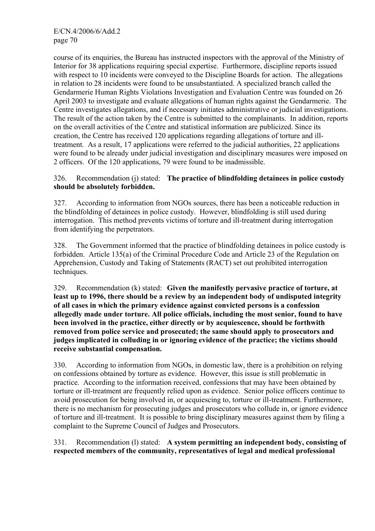course of its enquiries, the Bureau has instructed inspectors with the approval of the Ministry of Interior for 38 applications requiring special expertise. Furthermore, discipline reports issued with respect to 10 incidents were conveyed to the Discipline Boards for action. The allegations in relation to 28 incidents were found to be unsubstantiated. A specialized branch called the Gendarmerie Human Rights Violations Investigation and Evaluation Centre was founded on 26 April 2003 to investigate and evaluate allegations of human rights against the Gendarmerie. The Centre investigates allegations, and if necessary initiates administrative or judicial investigations. The result of the action taken by the Centre is submitted to the complainants. In addition, reports on the overall activities of the Centre and statistical information are publicized. Since its creation, the Centre has received 120 applications regarding allegations of torture and illtreatment. As a result, 17 applications were referred to the judicial authorities, 22 applications were found to be already under judicial investigation and disciplinary measures were imposed on 2 officers. Of the 120 applications, 79 were found to be inadmissible.

## 326. Recommendation (j) stated: **The practice of blindfolding detainees in police custody should be absolutely forbidden.**

327. According to information from NGOs sources, there has been a noticeable reduction in the blindfolding of detainees in police custody. However, blindfolding is still used during interrogation. This method prevents victims of torture and ill-treatment during interrogation from identifying the perpetrators.

328. The Government informed that the practice of blindfolding detainees in police custody is forbidden. Article 135(a) of the Criminal Procedure Code and Article 23 of the Regulation on Apprehension, Custody and Taking of Statements (RACT) set out prohibited interrogation techniques.

329. Recommendation (k) stated: **Given the manifestly pervasive practice of torture, at least up to 1996, there should be a review by an independent body of undisputed integrity of all cases in which the primary evidence against convicted persons is a confession allegedly made under torture. All police officials, including the most senior, found to have been involved in the practice, either directly or by acquiescence, should be forthwith removed from police service and prosecuted; the same should apply to prosecutors and judges implicated in colluding in or ignoring evidence of the practice; the victims should receive substantial compensation.** 

330. According to information from NGOs, in domestic law, there is a prohibition on relying on confessions obtained by torture as evidence. However, this issue is still problematic in practice. According to the information received, confessions that may have been obtained by torture or ill-treatment are frequently relied upon as evidence. Senior police officers continue to avoid prosecution for being involved in, or acquiescing to, torture or ill-treatment. Furthermore, there is no mechanism for prosecuting judges and prosecutors who collude in, or ignore evidence of torture and ill-treatment. It is possible to bring disciplinary measures against them by filing a complaint to the Supreme Council of Judges and Prosecutors.

331. Recommendation (l) stated: **A system permitting an independent body, consisting of respected members of the community, representatives of legal and medical professional**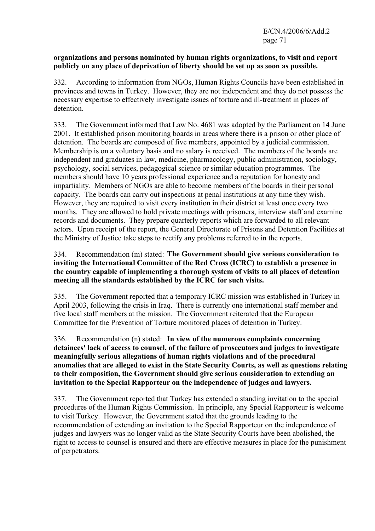#### **organizations and persons nominated by human rights organizations, to visit and report publicly on any place of deprivation of liberty should be set up as soon as possible.**

332. According to information from NGOs, Human Rights Councils have been established in provinces and towns in Turkey. However, they are not independent and they do not possess the necessary expertise to effectively investigate issues of torture and ill-treatment in places of detention.

333. The Government informed that Law No. 4681 was adopted by the Parliament on 14 June 2001. It established prison monitoring boards in areas where there is a prison or other place of detention. The boards are composed of five members, appointed by a judicial commission. Membership is on a voluntary basis and no salary is received. The members of the boards are independent and graduates in law, medicine, pharmacology, public administration, sociology, psychology, social services, pedagogical science or similar education programmes. The members should have 10 years professional experience and a reputation for honesty and impartiality. Members of NGOs are able to become members of the boards in their personal capacity. The boards can carry out inspections at penal institutions at any time they wish. However, they are required to visit every institution in their district at least once every two months. They are allowed to hold private meetings with prisoners, interview staff and examine records and documents. They prepare quarterly reports which are forwarded to all relevant actors. Upon receipt of the report, the General Directorate of Prisons and Detention Facilities at the Ministry of Justice take steps to rectify any problems referred to in the reports.

## 334. Recommendation (m) stated: **The Government should give serious consideration to inviting the International Committee of the Red Cross (ICRC) to establish a presence in the country capable of implementing a thorough system of visits to all places of detention meeting all the standards established by the ICRC for such visits.**

335. The Government reported that a temporary ICRC mission was established in Turkey in April 2003, following the crisis in Iraq. There is currently one international staff member and five local staff members at the mission. The Government reiterated that the European Committee for the Prevention of Torture monitored places of detention in Turkey.

336. Recommendation (n) stated: **In view of the numerous complaints concerning detainees' lack of access to counsel, of the failure of prosecutors and judges to investigate meaningfully serious allegations of human rights violations and of the procedural anomalies that are alleged to exist in the State Security Courts, as well as questions relating to their composition, the Government should give serious consideration to extending an invitation to the Special Rapporteur on the independence of judges and lawyers.** 

337. The Government reported that Turkey has extended a standing invitation to the special procedures of the Human Rights Commission. In principle, any Special Rapporteur is welcome to visit Turkey. However, the Government stated that the grounds leading to the recommendation of extending an invitation to the Special Rapporteur on the independence of judges and lawyers was no longer valid as the State Security Courts have been abolished, the right to access to counsel is ensured and there are effective measures in place for the punishment of perpetrators.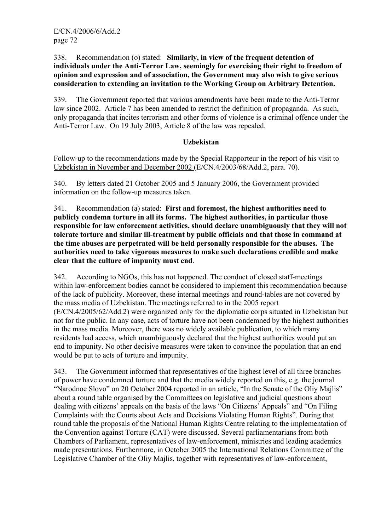338. Recommendation (o) stated: **Similarly, in view of the frequent detention of individuals under the Anti-Terror Law, seemingly for exercising their right to freedom of opinion and expression and of association, the Government may also wish to give serious consideration to extending an invitation to the Working Group on Arbitrary Detention.** 

339. The Government reported that various amendments have been made to the Anti-Terror law since 2002. Article 7 has been amended to restrict the definition of propaganda. As such, only propaganda that incites terrorism and other forms of violence is a criminal offence under the Anti-Terror Law. On 19 July 2003, Article 8 of the law was repealed.

## **Uzbekistan**

Follow-up to the recommendations made by the Special Rapporteur in the report of his visit to Uzbekistan in November and December 2002 (E/CN.4/2003/68/Add.2, para. 70).

340. By letters dated 21 October 2005 and 5 January 2006, the Government provided information on the follow-up measures taken.

341. Recommendation (a) stated: **First and foremost, the highest authorities need to publicly condemn torture in all its forms. The highest authorities, in particular those responsible for law enforcement activities, should declare unambiguously that they will not tolerate torture and similar ill-treatment by public officials and that those in command at the time abuses are perpetrated will be held personally responsible for the abuses. The authorities need to take vigorous measures to make such declarations credible and make clear that the culture of impunity must end**.

342. According to NGOs, this has not happened. The conduct of closed staff-meetings within law-enforcement bodies cannot be considered to implement this recommendation because of the lack of publicity. Moreover, these internal meetings and round-tables are not covered by the mass media of Uzbekistan. The meetings referred to in the 2005 report (E/CN.4/2005/62/Add.2) were organized only for the diplomatic corps situated in Uzbekistan but not for the public. In any case, acts of torture have not been condemned by the highest authorities in the mass media. Moreover, there was no widely available publication, to which many residents had access, which unambiguously declared that the highest authorities would put an end to impunity. No other decisive measures were taken to convince the population that an end would be put to acts of torture and impunity.

343. The Government informed that representatives of the highest level of all three branches of power have condemned torture and that the media widely reported on this, e.g. the journal "Narodnoe Slovo" on 20 October 2004 reported in an article, "In the Senate of the Oliy Majlis" about a round table organised by the Committees on legislative and judicial questions about dealing with citizens' appeals on the basis of the laws "On Citizens' Appeals" and "On Filing Complaints with the Courts about Acts and Decisions Violating Human Rights". During that round table the proposals of the National Human Rights Centre relating to the implementation of the Convention against Torture (CAT) were discussed. Several parliamentarians from both Chambers of Parliament, representatives of law-enforcement, ministries and leading academics made presentations. Furthermore, in October 2005 the International Relations Committee of the Legislative Chamber of the Oliy Majlis, together with representatives of law-enforcement,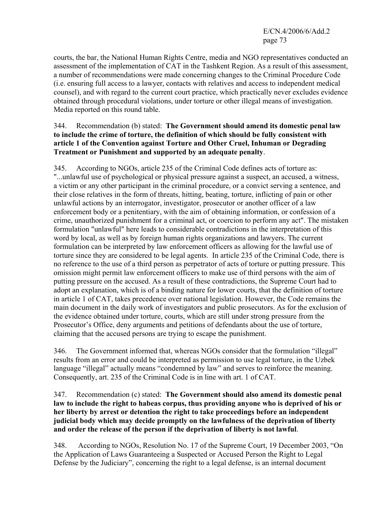E/CN.4/2006/6/Add.2 page 73

courts, the bar, the National Human Rights Centre, media and NGO representatives conducted an assessment of the implementation of CAT in the Tashkent Region. As a result of this assessment, a number of recommendations were made concerning changes to the Criminal Procedure Code (i.e. ensuring full access to a lawyer, contacts with relatives and access to independent medical counsel), and with regard to the current court practice, which practically never excludes evidence obtained through procedural violations, under torture or other illegal means of investigation. Media reported on this round table.

#### 344. Recommendation (b) stated: **The Government should amend its domestic penal law to include the crime of torture, the definition of which should be fully consistent with article 1 of the Convention against Torture and Other Cruel, Inhuman or Degrading Treatment or Punishment and supported by an adequate penalty**.

345. According to NGOs, article 235 of the Criminal Code defines acts of torture as: "...unlawful use of psychological or physical pressure against a suspect, an accused, a witness, a victim or any other participant in the criminal procedure, or a convict serving a sentence, and their close relatives in the form of threats, hitting, beating, torture, inflicting of pain or other unlawful actions by an interrogator, investigator, prosecutor or another officer of a law enforcement body or a penitentiary, with the aim of obtaining information, or confession of a crime, unauthorized punishment for a criminal act, or coercion to perform any act". The mistaken formulation "unlawful" here leads to considerable contradictions in the interpretation of this word by local, as well as by foreign human rights organizations and lawyers. The current formulation can be interpreted by law enforcement officers as allowing for the lawful use of torture since they are considered to be legal agents. In article 235 of the Criminal Code, there is no reference to the use of a third person as perpetrator of acts of torture or putting pressure. This omission might permit law enforcement officers to make use of third persons with the aim of putting pressure on the accused. As a result of these contradictions, the Supreme Court had to adopt an explanation, which is of a binding nature for lower courts, that the definition of torture in article 1 of CAT, takes precedence over national legislation. However, the Code remains the main document in the daily work of investigators and public prosecutors. As for the exclusion of the evidence obtained under torture, courts, which are still under strong pressure from the Prosecutor's Office, deny arguments and petitions of defendants about the use of torture, claiming that the accused persons are trying to escape the punishment.

346. The Government informed that, whereas NGOs consider that the formulation "illegal" results from an error and could be interpreted as permission to use legal torture, in the Uzbek language "illegal" actually means "condemned by law" and serves to reinforce the meaning. Consequently, art. 235 of the Criminal Code is in line with art. 1 of CAT.

#### 347. Recommendation (c) stated: **The Government should also amend its domestic penal law to include the right to habeas corpus, thus providing anyone who is deprived of his or her liberty by arrest or detention the right to take proceedings before an independent judicial body which may decide promptly on the lawfulness of the deprivation of liberty and order the release of the person if the deprivation of liberty is not lawful**.

348. According to NGOs, Resolution No. 17 of the Supreme Court, 19 December 2003, "On the Application of Laws Guaranteeing a Suspected or Accused Person the Right to Legal Defense by the Judiciary", concerning the right to a legal defense, is an internal document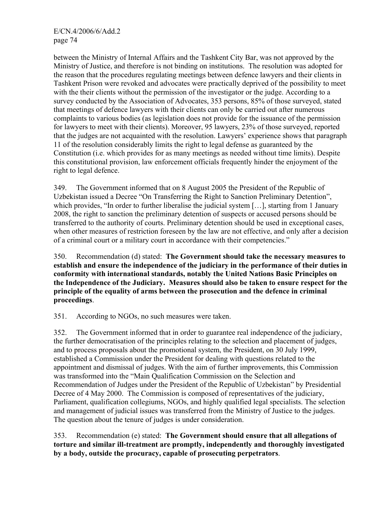between the Ministry of Internal Affairs and the Tashkent City Bar, was not approved by the Ministry of Justice, and therefore is not binding on institutions. The resolution was adopted for the reason that the procedures regulating meetings between defence lawyers and their clients in Tashkent Prison were revoked and advocates were practically deprived of the possibility to meet with the their clients without the permission of the investigator or the judge. According to a survey conducted by the Association of Advocates, 353 persons, 85% of those surveyed, stated that meetings of defence lawyers with their clients can only be carried out after numerous complaints to various bodies (as legislation does not provide for the issuance of the permission for lawyers to meet with their clients). Moreover, 95 lawyers, 23% of those surveyed, reported that the judges are not acquainted with the resolution. Lawyers' experience shows that paragraph 11 of the resolution considerably limits the right to legal defense as guaranteed by the Constitution (i.e. which provides for as many meetings as needed without time limits). Despite this constitutional provision, law enforcement officials frequently hinder the enjoyment of the right to legal defence.

349. The Government informed that on 8 August 2005 the President of the Republic of Uzbekistan issued a Decree "On Transferring the Right to Sanction Preliminary Detention", which provides, "In order to further liberalise the judicial system [...], starting from 1 January 2008, the right to sanction the preliminary detention of suspects or accused persons should be transferred to the authority of courts. Preliminary detention should be used in exceptional cases, when other measures of restriction foreseen by the law are not effective, and only after a decision of a criminal court or a military court in accordance with their competencies."

350. Recommendation (d) stated: **The Government should take the necessary measures to establish and ensure the independence of the judiciary in the performance of their duties in conformity with international standards, notably the United Nations Basic Principles on the Independence of the Judiciary. Measures should also be taken to ensure respect for the principle of the equality of arms between the prosecution and the defence in criminal proceedings**.

351. According to NGOs, no such measures were taken.

352. The Government informed that in order to guarantee real independence of the judiciary, the further democratisation of the principles relating to the selection and placement of judges, and to process proposals about the promotional system, the President, on 30 July 1999, established a Commission under the President for dealing with questions related to the appointment and dismissal of judges. With the aim of further improvements, this Commission was transformed into the "Main Qualification Commission on the Selection and Recommendation of Judges under the President of the Republic of Uzbekistan" by Presidential Decree of 4 May 2000. The Commission is composed of representatives of the judiciary, Parliament, qualification collegiums, NGOs, and highly qualified legal specialists. The selection and management of judicial issues was transferred from the Ministry of Justice to the judges. The question about the tenure of judges is under consideration.

353. Recommendation (e) stated: **The Government should ensure that all allegations of torture and similar ill-treatment are promptly, independently and thoroughly investigated by a body, outside the procuracy, capable of prosecuting perpetrators**.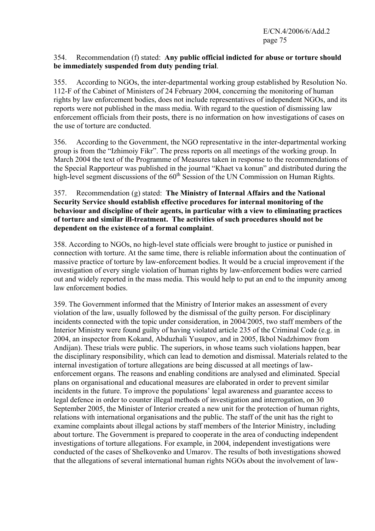#### 354. Recommendation (f) stated: **Any public official indicted for abuse or torture should be immediately suspended from duty pending trial**.

355. According to NGOs, the inter-departmental working group established by Resolution No. 112-F of the Cabinet of Ministers of 24 February 2004, concerning the monitoring of human rights by law enforcement bodies, does not include representatives of independent NGOs, and its reports were not published in the mass media. With regard to the question of dismissing law enforcement officials from their posts, there is no information on how investigations of cases on the use of torture are conducted.

356. According to the Government, the NGO representative in the inter-departmental working group is from the "Izhimoiy Fikr". The press reports on all meetings of the working group. In March 2004 the text of the Programme of Measures taken in response to the recommendations of the Special Rapporteur was published in the journal "Khaet va konun" and distributed during the high-level segment discussions of the  $60<sup>th</sup>$  Session of the UN Commission on Human Rights.

#### 357. Recommendation (g) stated: **The Ministry of Internal Affairs and the National Security Service should establish effective procedures for internal monitoring of the behaviour and discipline of their agents, in particular with a view to eliminating practices of torture and similar ill-treatment. The activities of such procedures should not be dependent on the existence of a formal complaint**.

358. According to NGOs, no high-level state officials were brought to justice or punished in connection with torture. At the same time, there is reliable information about the continuation of massive practice of torture by law-enforcement bodies. It would be a crucial improvement if the investigation of every single violation of human rights by law-enforcement bodies were carried out and widely reported in the mass media. This would help to put an end to the impunity among law enforcement bodies.

359. The Government informed that the Ministry of Interior makes an assessment of every violation of the law, usually followed by the dismissal of the guilty person. For disciplinary incidents connected with the topic under consideration, in 2004/2005, two staff members of the Interior Ministry were found guilty of having violated article 235 of the Criminal Code (e.g. in 2004, an inspector from Kokand, Abduzhali Yusupov, and in 2005, Ikbol Nadzhimov from Andijan). These trials were public. The superiors, in whose teams such violations happen, bear the disciplinary responsibility, which can lead to demotion and dismissal. Materials related to the internal investigation of torture allegations are being discussed at all meetings of lawenforcement organs. The reasons and enabling conditions are analysed and eliminated. Special plans on organisational and educational measures are elaborated in order to prevent similar incidents in the future. To improve the populations' legal awareness and guarantee access to legal defence in order to counter illegal methods of investigation and interrogation, on 30 September 2005, the Minister of Interior created a new unit for the protection of human rights, relations with international organisations and the public. The staff of the unit has the right to examine complaints about illegal actions by staff members of the Interior Ministry, including about torture. The Government is prepared to cooperate in the area of conducting independent investigations of torture allegations. For example, in 2004, independent investigations were conducted of the cases of Shelkovenko and Umarov. The results of both investigations showed that the allegations of several international human rights NGOs about the involvement of law-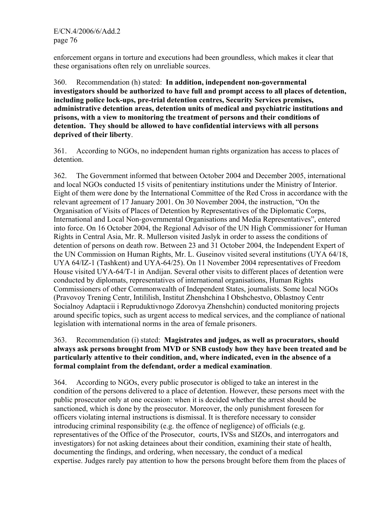enforcement organs in torture and executions had been groundless, which makes it clear that these organisations often rely on unreliable sources.

360. Recommendation (h) stated: **In addition, independent non-governmental investigators should be authorized to have full and prompt access to all places of detention, including police lock-ups, pre-trial detention centres, Security Services premises, administrative detention areas, detention units of medical and psychiatric institutions and prisons, with a view to monitoring the treatment of persons and their conditions of detention. They should be allowed to have confidential interviews with all persons deprived of their liberty**.

361. According to NGOs, no independent human rights organization has access to places of detention.

362. The Government informed that between October 2004 and December 2005, international and local NGOs conducted 15 visits of penitentiary institutions under the Ministry of Interior. Eight of them were done by the International Committee of the Red Cross in accordance with the relevant agreement of 17 January 2001. On 30 November 2004, the instruction, "On the Organisation of Visits of Places of Detention by Representatives of the Diplomatic Corps, International and Local Non-governmental Organisations and Media Representatives", entered into force. On 16 October 2004, the Regional Advisor of the UN High Commissioner for Human Rights in Central Asia, Mr. R. Mullerson visited Jaslyk in order to assess the conditions of detention of persons on death row. Between 23 and 31 October 2004, the Independent Expert of the UN Commission on Human Rights, Mr. L. Guseinov visited several institutions (UYA 64/18, UYA 64/IZ-1 (Tashkent) and UYA-64/25). On 11 November 2004 representatives of Freedom House visited UYA-64/T-1 in Andijan. Several other visits to different places of detention were conducted by diplomats, representatives of international organisations, Human Rights Commissioners of other Commonwealth of Independent States, journalists. Some local NGOs (Pravovoy Trening Centr, Intililish, Institut Zhenshchina I Obshchestvo, Oblastnoy Centr Socialnoy Adaptacii i Repruduktivnogo Zdorovya Zhenshchin) conducted monitoring projects around specific topics, such as urgent access to medical services, and the compliance of national legislation with international norms in the area of female prisoners.

# 363. Recommendation (i) stated: **Magistrates and judges, as well as procurators, should always ask persons brought from MVD or SNB custody how they have been treated and be particularly attentive to their condition, and, where indicated, even in the absence of a formal complaint from the defendant, order a medical examination**.

364. According to NGOs, every public prosecutor is obliged to take an interest in the condition of the persons delivered to a place of detention. However, these persons meet with the public prosecutor only at one occasion: when it is decided whether the arrest should be sanctioned, which is done by the prosecutor. Moreover, the only punishment foreseen for officers violating internal instructions is dismissal. It is therefore necessary to consider introducing criminal responsibility (e.g. the offence of negligence) of officials (e.g. representatives of the Office of the Prosecutor, courts, IVSs and SIZOs, and interrogators and investigators) for not asking detainees about their condition, examining their state of health, documenting the findings, and ordering, when necessary, the conduct of a medical expertise. Judges rarely pay attention to how the persons brought before them from the places of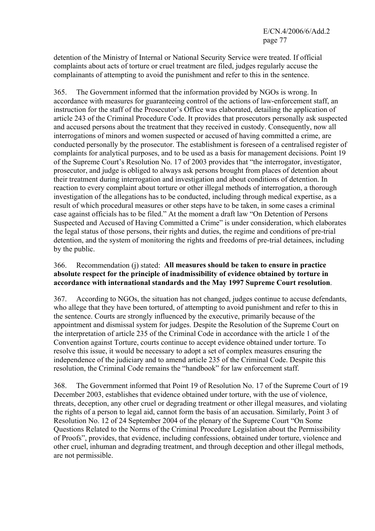detention of the Ministry of Internal or National Security Service were treated. If official complaints about acts of torture or cruel treatment are filed, judges regularly accuse the complainants of attempting to avoid the punishment and refer to this in the sentence.

365. The Government informed that the information provided by NGOs is wrong. In accordance with measures for guaranteeing control of the actions of law-enforcement staff, an instruction for the staff of the Prosecutor's Office was elaborated, detailing the application of article 243 of the Criminal Procedure Code. It provides that prosecutors personally ask suspected and accused persons about the treatment that they received in custody. Consequently, now all interrogations of minors and women suspected or accused of having committed a crime, are conducted personally by the prosecutor. The establishment is foreseen of a centralised register of complaints for analytical purposes, and to be used as a basis for management decisions. Point 19 of the Supreme Court's Resolution No. 17 of 2003 provides that "the interrogator, investigator, prosecutor, and judge is obliged to always ask persons brought from places of detention about their treatment during interrogation and investigation and about conditions of detention. In reaction to every complaint about torture or other illegal methods of interrogation, a thorough investigation of the allegations has to be conducted, including through medical expertise, as a result of which procedural measures or other steps have to be taken, in some cases a criminal case against officials has to be filed." At the moment a draft law "On Detention of Persons Suspected and Accused of Having Committed a Crime" is under consideration, which elaborates the legal status of those persons, their rights and duties, the regime and conditions of pre-trial detention, and the system of monitoring the rights and freedoms of pre-trial detainees, including by the public.

# 366. Recommendation (j) stated: **All measures should be taken to ensure in practice absolute respect for the principle of inadmissibility of evidence obtained by torture in accordance with international standards and the May 1997 Supreme Court resolution**.

367. According to NGOs, the situation has not changed, judges continue to accuse defendants, who allege that they have been tortured, of attempting to avoid punishment and refer to this in the sentence. Courts are strongly influenced by the executive, primarily because of the appointment and dismissal system for judges. Despite the Resolution of the Supreme Court on the interpretation of article 235 of the Criminal Code in accordance with the article 1 of the Convention against Torture, courts continue to accept evidence obtained under torture. To resolve this issue, it would be necessary to adopt a set of complex measures ensuring the independence of the judiciary and to amend article 235 of the Criminal Code. Despite this resolution, the Criminal Code remains the "handbook" for law enforcement staff.

368. The Government informed that Point 19 of Resolution No. 17 of the Supreme Court of 19 December 2003, establishes that evidence obtained under torture, with the use of violence, threats, deception, any other cruel or degrading treatment or other illegal measures, and violating the rights of a person to legal aid, cannot form the basis of an accusation. Similarly, Point 3 of Resolution No. 12 of 24 September 2004 of the plenary of the Supreme Court "On Some Questions Related to the Norms of the Criminal Procedure Legislation about the Permissibility of Proofs", provides, that evidence, including confessions, obtained under torture, violence and other cruel, inhuman and degrading treatment, and through deception and other illegal methods, are not permissible.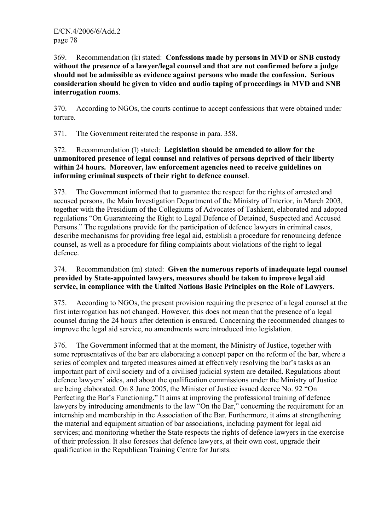369. Recommendation (k) stated: **Confessions made by persons in MVD or SNB custody without the presence of a lawyer/legal counsel and that are not confirmed before a judge should not be admissible as evidence against persons who made the confession. Serious consideration should be given to video and audio taping of proceedings in MVD and SNB interrogation rooms**.

370. According to NGOs, the courts continue to accept confessions that were obtained under torture.

371. The Government reiterated the response in para. 358.

372. Recommendation (l) stated: **Legislation should be amended to allow for the unmonitored presence of legal counsel and relatives of persons deprived of their liberty within 24 hours. Moreover, law enforcement agencies need to receive guidelines on informing criminal suspects of their right to defence counsel**.

373. The Government informed that to guarantee the respect for the rights of arrested and accused persons, the Main Investigation Department of the Ministry of Interior, in March 2003, together with the Presidium of the Collegiums of Advocates of Tashkent, elaborated and adopted regulations "On Guaranteeing the Right to Legal Defence of Detained, Suspected and Accused Persons." The regulations provide for the participation of defence lawyers in criminal cases, describe mechanisms for providing free legal aid, establish a procedure for renouncing defence counsel, as well as a procedure for filing complaints about violations of the right to legal defence.

# 374. Recommendation (m) stated: **Given the numerous reports of inadequate legal counsel provided by State-appointed lawyers, measures should be taken to improve legal aid service, in compliance with the United Nations Basic Principles on the Role of Lawyers**.

375. According to NGOs, the present provision requiring the presence of a legal counsel at the first interrogation has not changed. However, this does not mean that the presence of a legal counsel during the 24 hours after detention is ensured. Concerning the recommended changes to improve the legal aid service, no amendments were introduced into legislation.

376. The Government informed that at the moment, the Ministry of Justice, together with some representatives of the bar are elaborating a concept paper on the reform of the bar, where a series of complex and targeted measures aimed at effectively resolving the bar's tasks as an important part of civil society and of a civilised judicial system are detailed. Regulations about defence lawyers' aides, and about the qualification commissions under the Ministry of Justice are being elaborated. On 8 June 2005, the Minister of Justice issued decree No. 92 "On Perfecting the Bar's Functioning." It aims at improving the professional training of defence lawyers by introducing amendments to the law "On the Bar," concerning the requirement for an internship and membership in the Association of the Bar. Furthermore, it aims at strengthening the material and equipment situation of bar associations, including payment for legal aid services; and monitoring whether the State respects the rights of defence lawyers in the exercise of their profession. It also foresees that defence lawyers, at their own cost, upgrade their qualification in the Republican Training Centre for Jurists.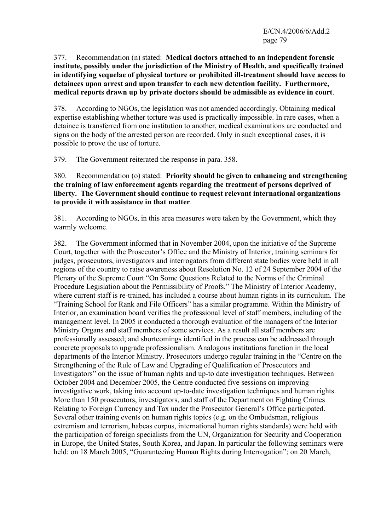E/CN.4/2006/6/Add.2 page 79

377. Recommendation (n) stated: **Medical doctors attached to an independent forensic institute, possibly under the jurisdiction of the Ministry of Health, and specifically trained in identifying sequelae of physical torture or prohibited ill-treatment should have access to detainees upon arrest and upon transfer to each new detention facility. Furthermore, medical reports drawn up by private doctors should be admissible as evidence in court**.

378. According to NGOs, the legislation was not amended accordingly. Obtaining medical expertise establishing whether torture was used is practically impossible. In rare cases, when a detainee is transferred from one institution to another, medical examinations are conducted and signs on the body of the arrested person are recorded. Only in such exceptional cases, it is possible to prove the use of torture.

379. The Government reiterated the response in para. 358.

380. Recommendation (o) stated: **Priority should be given to enhancing and strengthening the training of law enforcement agents regarding the treatment of persons deprived of liberty. The Government should continue to request relevant international organizations to provide it with assistance in that matter**.

381. According to NGOs, in this area measures were taken by the Government, which they warmly welcome.

382. The Government informed that in November 2004, upon the initiative of the Supreme Court, together with the Prosecutor's Office and the Ministry of Interior, training seminars for judges, prosecutors, investigators and interrogators from different state bodies were held in all regions of the country to raise awareness about Resolution No. 12 of 24 September 2004 of the Plenary of the Supreme Court "On Some Questions Related to the Norms of the Criminal Procedure Legislation about the Permissibility of Proofs." The Ministry of Interior Academy, where current staff is re-trained, has included a course about human rights in its curriculum. The "Training School for Rank and File Officers" has a similar programme. Within the Ministry of Interior, an examination board verifies the professional level of staff members, including of the management level. In 2005 it conducted a thorough evaluation of the managers of the Interior Ministry Organs and staff members of some services. As a result all staff members are professionally assessed; and shortcomings identified in the process can be addressed through concrete proposals to upgrade professionalism. Analogous institutions function in the local departments of the Interior Ministry. Prosecutors undergo regular training in the "Centre on the Strengthening of the Rule of Law and Upgrading of Qualification of Prosecutors and Investigators" on the issue of human rights and up-to date investigation techniques. Between October 2004 and December 2005, the Centre conducted five sessions on improving investigative work, taking into account up-to-date investigation techniques and human rights. More than 150 prosecutors, investigators, and staff of the Department on Fighting Crimes Relating to Foreign Currency and Tax under the Prosecutor General's Office participated. Several other training events on human rights topics (e.g. on the Ombudsman, religious extremism and terrorism, habeas corpus, international human rights standards) were held with the participation of foreign specialists from the UN, Organization for Security and Cooperation in Europe, the United States, South Korea, and Japan. In particular the following seminars were held: on 18 March 2005, "Guaranteeing Human Rights during Interrogation"; on 20 March,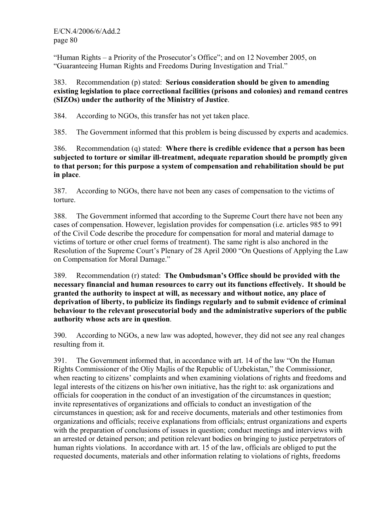"Human Rights – a Priority of the Prosecutor's Office"; and on 12 November 2005, on "Guaranteeing Human Rights and Freedoms During Investigation and Trial."

# 383. Recommendation (p) stated: **Serious consideration should be given to amending existing legislation to place correctional facilities (prisons and colonies) and remand centres (SIZOs) under the authority of the Ministry of Justice**.

384. According to NGOs, this transfer has not yet taken place.

385. The Government informed that this problem is being discussed by experts and academics.

386. Recommendation (q) stated: **Where there is credible evidence that a person has been subjected to torture or similar ill-treatment, adequate reparation should be promptly given to that person; for this purpose a system of compensation and rehabilitation should be put in place**.

387. According to NGOs, there have not been any cases of compensation to the victims of torture.

388. The Government informed that according to the Supreme Court there have not been any cases of compensation. However, legislation provides for compensation (i.e. articles 985 to 991 of the Civil Code describe the procedure for compensation for moral and material damage to victims of torture or other cruel forms of treatment). The same right is also anchored in the Resolution of the Supreme Court's Plenary of 28 April 2000 "On Questions of Applying the Law on Compensation for Moral Damage."

389. Recommendation (r) stated: **The Ombudsman's Office should be provided with the necessary financial and human resources to carry out its functions effectively. It should be granted the authority to inspect at will, as necessary and without notice, any place of deprivation of liberty, to publicize its findings regularly and to submit evidence of criminal behaviour to the relevant prosecutorial body and the administrative superiors of the public authority whose acts are in question**.

390. According to NGOs, a new law was adopted, however, they did not see any real changes resulting from it.

391. The Government informed that, in accordance with art. 14 of the law "On the Human Rights Commissioner of the Oliy Majlis of the Republic of Uzbekistan," the Commissioner, when reacting to citizens' complaints and when examining violations of rights and freedoms and legal interests of the citizens on his/her own initiative, has the right to: ask organizations and officials for cooperation in the conduct of an investigation of the circumstances in question; invite representatives of organizations and officials to conduct an investigation of the circumstances in question; ask for and receive documents, materials and other testimonies from organizations and officials; receive explanations from officials; entrust organizations and experts with the preparation of conclusions of issues in question; conduct meetings and interviews with an arrested or detained person; and petition relevant bodies on bringing to justice perpetrators of human rights violations. In accordance with art. 15 of the law, officials are obliged to put the requested documents, materials and other information relating to violations of rights, freedoms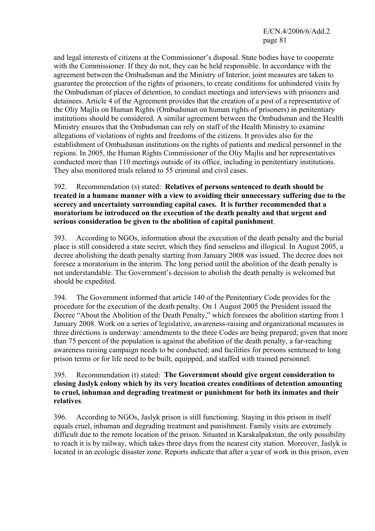E/CN.4/2006/6/Add.2 page 81

and legal interests of citizens at the Commissioner's disposal. State bodies have to cooperate with the Commissioner. If they do not, they can be held responsible. In accordance with the agreement between the Ombudsman and the Ministry of Interior, joint measures are taken to guarantee the protection of the rights of prisoners, to create conditions for unhindered visits by the Ombudsman of places of detention, to conduct meetings and interviews with prisoners and detainees. Article 4 of the Agreement provides that the creation of a post of a representative of the Oliy Majlis on Human Rights (Ombudsman on human rights of prisoners) in penitentiary institutions should be considered. A similar agreement between the Ombudsman and the Health Ministry ensures that the Ombudsman can rely on staff of the Health Ministry to examine allegations of violations of rights and freedoms of the citizens. It provides also for the establishment of Ombudsman institutions on the rights of patients and medical personnel in the regions. In 2005, the Human Rights Commissioner of the Oliy Majlis and her representatives conducted more than 110 meetings outside of its office, including in penitentiary institutions. They also monitored trials related to 55 criminal and civil cases.

392. Recommendation (s) stated: **Relatives of persons sentenced to death should be treated in a humane manner with a view to avoiding their unnecessary suffering due to the secrecy and uncertainty surrounding capital cases. It is further recommended that a moratorium be introduced on the execution of the death penalty and that urgent and serious consideration be given to the abolition of capital punishment**.

393. According to NGOs, information about the execution of the death penalty and the burial place is still considered a state secret, which they find senseless and illogical. In August 2005, a decree abolishing the death penalty starting from January 2008 was issued. The decree does not foresee a moratorium in the interim. The long period until the abolition of the death penalty is not understandable. The Government's decision to abolish the death penalty is welcomed but should be expedited.

394. The Government informed that article 140 of the Penitentiary Code provides for the procedure for the execution of the death penalty. On 1 August 2005 the President issued the Decree "About the Abolition of the Death Penalty," which foresees the abolition starting from 1 January 2008. Work on a series of legislative, awareness-raising and organizational measures in three directions is underway: amendments to the three Codes are being prepared; given that more than 75 percent of the population is against the abolition of the death penalty, a far-reaching awareness raising campaign needs to be conducted; and facilities for persons sentenced to long prison terms or for life need to be built, equipped, and staffed with trained personnel.

#### 395. Recommendation (t) stated: **The Government should give urgent consideration to closing Jaslyk colony which by its very location creates conditions of detention amounting to cruel, inhuman and degrading treatment or punishment for both its inmates and their relatives**.

396. According to NGOs, Jaslyk prison is still functioning. Staying in this prison in itself equals cruel, inhuman and degrading treatment and punishment. Family visits are extremely difficult due to the remote location of the prison. Situated in Karakalpakstan, the only possibility to reach it is by railway, which takes three days from the nearest city station. Moreover, Jaslyk is located in an ecologic disaster zone. Reports indicate that after a year of work in this prison, even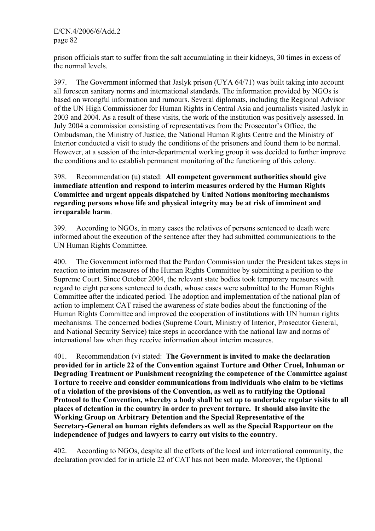prison officials start to suffer from the salt accumulating in their kidneys, 30 times in excess of the normal levels.

397. The Government informed that Jaslyk prison (UYA 64/71) was built taking into account all foreseen sanitary norms and international standards. The information provided by NGOs is based on wrongful information and rumours. Several diplomats, including the Regional Advisor of the UN High Commissioner for Human Rights in Central Asia and journalists visited Jaslyk in 2003 and 2004. As a result of these visits, the work of the institution was positively assessed. In July 2004 a commission consisting of representatives from the Prosecutor's Office, the Ombudsman, the Ministry of Justice, the National Human Rights Centre and the Ministry of Interior conducted a visit to study the conditions of the prisoners and found them to be normal. However, at a session of the inter-departmental working group it was decided to further improve the conditions and to establish permanent monitoring of the functioning of this colony.

# 398. Recommendation (u) stated: **All competent government authorities should give immediate attention and respond to interim measures ordered by the Human Rights Committee and urgent appeals dispatched by United Nations monitoring mechanisms regarding persons whose life and physical integrity may be at risk of imminent and irreparable harm**.

399. According to NGOs, in many cases the relatives of persons sentenced to death were informed about the execution of the sentence after they had submitted communications to the UN Human Rights Committee.

400. The Government informed that the Pardon Commission under the President takes steps in reaction to interim measures of the Human Rights Committee by submitting a petition to the Supreme Court. Since October 2004, the relevant state bodies took temporary measures with regard to eight persons sentenced to death, whose cases were submitted to the Human Rights Committee after the indicated period. The adoption and implementation of the national plan of action to implement CAT raised the awareness of state bodies about the functioning of the Human Rights Committee and improved the cooperation of institutions with UN human rights mechanisms. The concerned bodies (Supreme Court, Ministry of Interior, Prosecutor General, and National Security Service) take steps in accordance with the national law and norms of international law when they receive information about interim measures.

401. Recommendation (v) stated: **The Government is invited to make the declaration provided for in article 22 of the Convention against Torture and Other Cruel, Inhuman or Degrading Treatment or Punishment recognizing the competence of the Committee against Torture to receive and consider communications from individuals who claim to be victims of a violation of the provisions of the Convention, as well as to ratifying the Optional Protocol to the Convention, whereby a body shall be set up to undertake regular visits to all places of detention in the country in order to prevent torture. It should also invite the Working Group on Arbitrary Detention and the Special Representative of the Secretary-General on human rights defenders as well as the Special Rapporteur on the independence of judges and lawyers to carry out visits to the country**.

402. According to NGOs, despite all the efforts of the local and international community, the declaration provided for in article 22 of CAT has not been made. Moreover, the Optional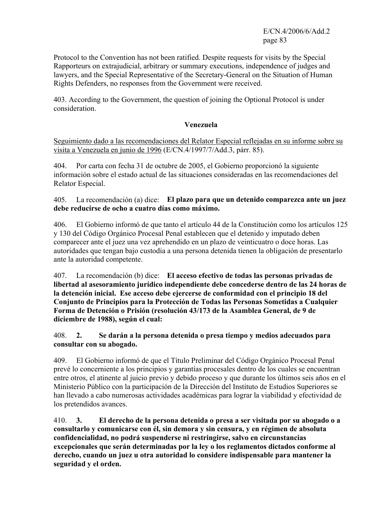E/CN.4/2006/6/Add.2 page 83

Protocol to the Convention has not been ratified. Despite requests for visits by the Special Rapporteurs on extrajudicial, arbitrary or summary executions, independence of judges and lawyers, and the Special Representative of the Secretary-General on the Situation of Human Rights Defenders, no responses from the Government were received.

403. According to the Government, the question of joining the Optional Protocol is under consideration.

#### **Venezuela**

Seguimiento dado a las recomendaciones del Relator Especial reflejadas en su informe sobre su visita a Venezuela en junio de 1996 (E/CN.4/1997/7/Add.3, párr. 85).

404. Por carta con fecha 31 de octubre de 2005, el Gobierno proporcionó la siguiente información sobre el estado actual de las situaciones consideradas en las recomendaciones del Relator Especial.

# 405. La recomendación (a) dice: **El plazo para que un detenido comparezca ante un juez debe reducirse de ocho a cuatro días como máximo.**

406. El Gobierno informó de que tanto el artículo 44 de la Constitución como los artículos 125 y 130 del Código Orgánico Procesal Penal establecen que el detenido y imputado deben comparecer ante el juez una vez aprehendido en un plazo de veinticuatro o doce horas. Las autoridades que tengan bajo custodia a una persona detenida tienen la obligación de presentarlo ante la autoridad competente.

407. La recomendación (b) dice: **El acceso efectivo de todas las personas privadas de libertad al asesoramiento jurídico independiente debe concederse dentro de las 24 horas de la detención inicial. Ese acceso debe ejercerse de conformidad con el principio 18 del Conjunto de Principios para la Protección de Todas las Personas Sometidas a Cualquier Forma de Detención o Prisión (resolución 43/173 de la Asamblea General, de 9 de diciembre de 1988), según el cual:** 

# 408. **2. Se darán a la persona detenida o presa tiempo y medios adecuados para consultar con su abogado.**

409. El Gobierno informó de que el Título Preliminar del Código Orgánico Procesal Penal prevé lo concerniente a los principios y garantías procesales dentro de los cuales se encuentran entre otros, el atinente al juicio previo y debido proceso y que durante los últimos seis años en el Ministerio Público con la participación de la Dirección del Instituto de Estudios Superiores se han llevado a cabo numerosas actividades académicas para lograr la viabilidad y efectividad de los pretendidos avances.

410. **3. El derecho de la persona detenida o presa a ser visitada por su abogado o a consultarlo y comunicarse con él, sin demora y sin censura, y en régimen de absoluta confidencialidad, no podrá suspenderse ni restringirse, salvo en circunstancias excepcionales que serán determinadas por la ley o los reglamentos dictados conforme al derecho, cuando un juez u otra autoridad lo considere indispensable para mantener la seguridad y el orden.**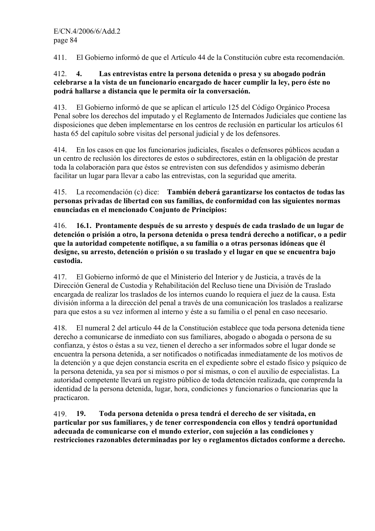411. El Gobierno informó de que el Artículo 44 de la Constitución cubre esta recomendación.

# 412. **4. Las entrevistas entre la persona detenida o presa y su abogado podrán celebrarse a la vista de un funcionario encargado de hacer cumplir la ley, pero éste no podrá hallarse a distancia que le permita oír la conversación.**

413. El Gobierno informó de que se aplican el artículo 125 del Código Orgánico Procesa Penal sobre los derechos del imputado y el Reglamento de Internados Judiciales que contiene las disposiciones que deben implementarse en los centros de reclusión en particular los artículos 61 hasta 65 del capítulo sobre visitas del personal judicial y de los defensores.

414. En los casos en que los funcionarios judiciales, fiscales o defensores públicos acudan a un centro de reclusión los directores de estos o subdirectores, están en la obligación de prestar toda la colaboración para que éstos se entrevisten con sus defendidos y asimismo deberán facilitar un lugar para llevar a cabo las entrevistas, con la seguridad que amerita.

415. La recomendación (c) dice: **También deberá garantizarse los contactos de todas las personas privadas de libertad con sus familias, de conformidad con las siguientes normas enunciadas en el mencionado Conjunto de Principios:** 

416. **16.1. Prontamente después de su arresto y después de cada traslado de un lugar de detención o prisión a otro, la persona detenida o presa tendrá derecho a notificar, o a pedir que la autoridad competente notifique, a su familia o a otras personas idóneas que él designe, su arresto, detención o prisión o su traslado y el lugar en que se encuentra bajo custodia.** 

417. El Gobierno informó de que el Ministerio del Interior y de Justicia, a través de la Dirección General de Custodia y Rehabilitación del Recluso tiene una División de Traslado encargada de realizar los traslados de los internos cuando lo requiera el juez de la causa. Esta división informa a la dirección del penal a través de una comunicación los traslados a realizarse para que estos a su vez informen al interno y éste a su familia o el penal en caso necesario.

418. El numeral 2 del artículo 44 de la Constitución establece que toda persona detenida tiene derecho a comunicarse de inmediato con sus familiares, abogado o abogada o persona de su confianza, y éstos o éstas a su vez, tienen el derecho a ser informados sobre el lugar donde se encuentra la persona detenida, a ser notificados o notificadas inmediatamente de los motivos de la detención y a que dejen constancia escrita en el expediente sobre el estado físico y psíquico de la persona detenida, ya sea por si mismos o por sí mismas, o con el auxilio de especialistas. La autoridad competente llevará un registro público de toda detención realizada, que comprenda la identidad de la persona detenida, lugar, hora, condiciones y funcionarios o funcionarias que la practicaron.

419. **19. Toda persona detenida o presa tendrá el derecho de ser visitada, en particular por sus familiares, y de tener correspondencia con ellos y tendrá oportunidad adecuada de comunicarse con el mundo exterior, con sujeción a las condiciones y restricciones razonables determinadas por ley o reglamentos dictados conforme a derecho.**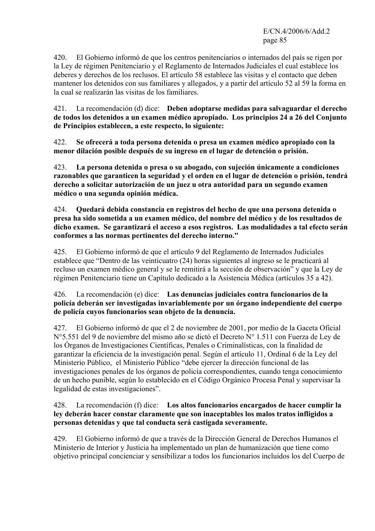E/CN.4/2006/6/Add.2 page 85

420. El Gobierno informó de que los centros penitenciarios o internados del país se rigen por la Ley de régimen Penitenciario y el Reglamento de Internados Judiciales el cual establece los deberes y derechos de los reclusos. El artículo 58 establece las visitas y el contacto que deben mantener los detenidos con sus familiares y allegados, y a partir del artículo 52 al 59 la forma en la cual se realizarán las visitas de los familiares.

421. La recomendación (d) dice: **Deben adoptarse medidas para salvaguardar el derecho de todos los detenidos a un examen médico apropiado. Los principios 24 a 26 del Conjunto de Principios establecen, a este respecto, lo siguiente:** 

422. **Se ofrecerá a toda persona detenida o presa un examen médico apropiado con la menor dilación posible después de su ingreso en el lugar de detención o prisión.** 

423. **La persona detenida o presa o su abogado, con sujeción únicamente a condiciones razonables que garanticen la seguridad y el orden en el lugar de detención o prisión, tendrá derecho a solicitar autorización de un juez u otra autoridad para un segundo examen médico o una segunda opinión médica.** 

424. **Quedará debida constancia en registros del hecho de que una persona detenida o presa ha sido sometida a un examen médico, del nombre del médico y de los resultados de dicho examen. Se garantizará el acceso a esos registros. Las modalidades a tal efecto serán conformes a las normas pertinentes del derecho interno."** 

425. El Gobierno informó de que el artículo 9 del Reglamento de Internados Judiciales establece que "Dentro de las veinticuatro (24) horas siguientes al ingreso se le practicará al recluso un examen médico general y se le remitirá a la sección de observación" y que la Ley de régimen Penitenciario tiene un Capítulo dedicado a la Asistencia Médica (artículos 35 a 42).

# 426. La recomendación (e) dice: **Las denuncias judiciales contra funcionarios de la policía deberán ser investigadas invariablemente por un órgano independiente del cuerpo de policía cuyos funcionarios sean objeto de la denuncia.**

427. El Gobierno informó de que el 2 de noviembre de 2001, por medio de la Gaceta Oficial N°5.551 del 9 de noviembre del mismo año se dictó el Decreto N° 1.511 con Fuerza de Ley de los Órganos de Investigaciones Científicas, Penales o Criminalísticas, con la finalidad de garantizar la eficiencia de la investigación penal. Según el artículo 11, Ordinal 6 de la Ley del Ministerio Público, el Ministerio Público "debe ejercer la dirección funcional de las investigaciones penales de los órganos de policía correspondientes, cuando tenga conocimiento de un hecho punible, según lo establecido en el Código Orgánico Procesa Penal y supervisar la legalidad de estas investigaciones".

# 428. La recomendación (f) dice: **Los altos funcionarios encargados de hacer cumplir la ley deberán hacer constar claramente que son inaceptables los malos tratos infligidos a personas detenidas y que tal conducta será castigada severamente.**

429. El Gobierno informó de que a través de la Dirección General de Derechos Humanos el Ministerio de Interior y Justicia ha implementado un plan de humanización que tiene como objetivo principal concienciar y sensibilizar a todos los funcionarios incluidos los del Cuerpo de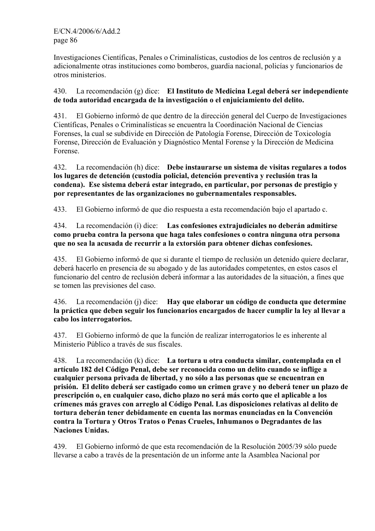Investigaciones Científicas, Penales o Criminalísticas, custodios de los centros de reclusión y a adicionalmente otras instituciones como bomberos, guardia nacional, policías y funcionarios de otros ministerios.

430. La recomendación (g) dice: **El Instituto de Medicina Legal deberá ser independiente de toda autoridad encargada de la investigación o el enjuiciamiento del delito.** 

431. El Gobierno informó de que dentro de la dirección general del Cuerpo de Investigaciones Científicas, Penales o Criminalísticas se encuentra la Coordinación Nacional de Ciencias Forenses, la cual se subdivide en Dirección de Patología Forense, Dirección de Toxicología Forense, Dirección de Evaluación y Diagnóstico Mental Forense y la Dirección de Medicina Forense.

432. La recomendación (h) dice: **Debe instaurarse un sistema de visitas regulares a todos los lugares de detención (custodia policial, detención preventiva y reclusión tras la condena). Ese sistema deberá estar integrado, en particular, por personas de prestigio y por representantes de las organizaciones no gubernamentales responsables.** 

433. El Gobierno informó de que dio respuesta a esta recomendación bajo el apartado c.

434. La recomendación (i) dice: **Las confesiones extrajudiciales no deberán admitirse como prueba contra la persona que haga tales confesiones o contra ninguna otra persona que no sea la acusada de recurrir a la extorsión para obtener dichas confesiones.** 

435. El Gobierno informó de que si durante el tiempo de reclusión un detenido quiere declarar, deberá hacerlo en presencia de su abogado y de las autoridades competentes, en estos casos el funcionario del centro de reclusión deberá informar a las autoridades de la situación, a fines que se tomen las previsiones del caso.

# 436. La recomendación (j) dice: **Hay que elaborar un código de conducta que determine la práctica que deben seguir los funcionarios encargados de hacer cumplir la ley al llevar a cabo los interrogatorios.**

437. El Gobierno informó de que la función de realizar interrogatorios le es inherente al Ministerio Público a través de sus fiscales.

438. La recomendación (k) dice: **La tortura u otra conducta similar, contemplada en el artículo 182 del Código Penal, debe ser reconocida como un delito cuando se inflige a cualquier persona privada de libertad, y no sólo a las personas que se encuentran en prisión. El delito deberá ser castigado como un crimen grave y no deberá tener un plazo de prescripción o, en cualquier caso, dicho plazo no será más corto que el aplicable a los crímenes más graves con arreglo al Código Penal. Las disposiciones relativas al delito de tortura deberán tener debidamente en cuenta las normas enunciadas en la Convención contra la Tortura y Otros Tratos o Penas Crueles, Inhumanos o Degradantes de las Naciones Unidas.** 

439. El Gobierno informó de que esta recomendación de la Resolución 2005/39 sólo puede llevarse a cabo a través de la presentación de un informe ante la Asamblea Nacional por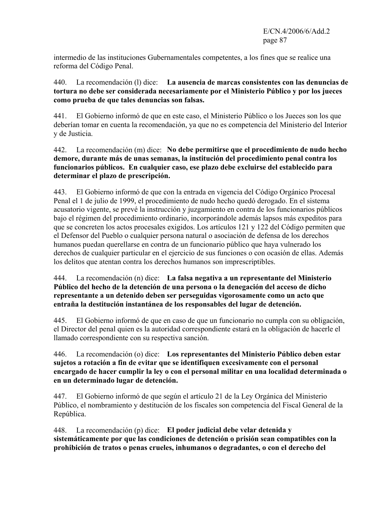intermedio de las instituciones Gubernamentales competentes, a los fines que se realice una reforma del Código Penal.

# 440. La recomendación (l) dice: **La ausencia de marcas consistentes con las denuncias de tortura no debe ser considerada necesariamente por el Ministerio Público y por los jueces como prueba de que tales denuncias son falsas.**

441. El Gobierno informó de que en este caso, el Ministerio Público o los Jueces son los que deberían tomar en cuenta la recomendación, ya que no es competencia del Ministerio del Interior y de Justicia.

# 442. La recomendación (m) dice: **No debe permitirse que el procedimiento de nudo hecho demore, durante más de unas semanas, la institución del procedimiento penal contra los funcionarios públicos. En cualquier caso, ese plazo debe excluirse del establecido para determinar el plazo de prescripción.**

443. El Gobierno informó de que con la entrada en vigencia del Código Orgánico Procesal Penal el 1 de julio de 1999, el procedimiento de nudo hecho quedó derogado. En el sistema acusatorio vigente, se prevé la instrucción y juzgamiento en contra de los funcionarios públicos bajo el régimen del procedimiento ordinario, incorporándole además lapsos más expeditos para que se concreten los actos procesales exigidos. Los artículos 121 y 122 del Código permiten que el Defensor del Pueblo o cualquier persona natural o asociación de defensa de los derechos humanos puedan querellarse en contra de un funcionario público que haya vulnerado los derechos de cualquier particular en el ejercicio de sus funciones o con ocasión de ellas. Además los delitos que atentan contra los derechos humanos son imprescriptibles.

# 444. La recomendación (n) dice: **La falsa negativa a un representante del Ministerio Público del hecho de la detención de una persona o la denegación del acceso de dicho representante a un detenido deben ser perseguidas vigorosamente como un acto que entraña la destitución instantánea de los responsables del lugar de detención.**

445. El Gobierno informó de que en caso de que un funcionario no cumpla con su obligación, el Director del penal quien es la autoridad correspondiente estará en la obligación de hacerle el llamado correspondiente con su respectiva sanción.

# 446. La recomendación (o) dice: **Los representantes del Ministerio Público deben estar sujetos a rotación a fin de evitar que se identifiquen excesivamente con el personal encargado de hacer cumplir la ley o con el personal militar en una localidad determinada o en un determinado lugar de detención.**

447. El Gobierno informó de que según el artículo 21 de la Ley Orgánica del Ministerio Público, el nombramiento y destitución de los fiscales son competencia del Fiscal General de la República.

448. La recomendación (p) dice: **El poder judicial debe velar detenida y sistemáticamente por que las condiciones de detención o prisión sean compatibles con la prohibición de tratos o penas crueles, inhumanos o degradantes, o con el derecho del**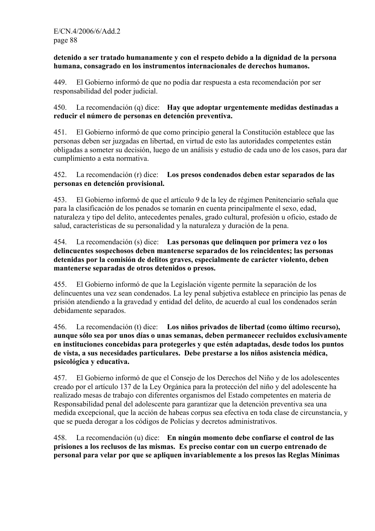**detenido a ser tratado humanamente y con el respeto debido a la dignidad de la persona humana, consagrado en los instrumentos internacionales de derechos humanos.** 

449. El Gobierno informó de que no podía dar respuesta a esta recomendación por ser responsabilidad del poder judicial.

450. La recomendación (q) dice: **Hay que adoptar urgentemente medidas destinadas a reducir el número de personas en detención preventiva.** 

451. El Gobierno informó de que como principio general la Constitución establece que las personas deben ser juzgadas en libertad, en virtud de esto las autoridades competentes están obligadas a someter su decisión, luego de un análisis y estudio de cada uno de los casos, para dar cumplimiento a esta normativa.

# 452. La recomendación (r) dice: **Los presos condenados deben estar separados de las personas en detención provisional.**

453. El Gobierno informó de que el artículo 9 de la ley de régimen Penitenciario señala que para la clasificación de los penados se tomarán en cuenta principalmente el sexo, edad, naturaleza y tipo del delito, antecedentes penales, grado cultural, profesión u oficio, estado de salud, características de su personalidad y la naturaleza y duración de la pena.

454. La recomendación (s) dice: **Las personas que delinquen por primera vez o los delincuentes sospechosos deben mantenerse separados de los reincidentes; las personas detenidas por la comisión de delitos graves, especialmente de carácter violento, deben mantenerse separadas de otros detenidos o presos.** 

455. El Gobierno informó de que la Legislación vigente permite la separación de los delincuentes una vez sean condenados. La ley penal subjetiva establece en principio las penas de prisión atendiendo a la gravedad y entidad del delito, de acuerdo al cual los condenados serán debidamente separados.

456. La recomendación (t) dice: **Los niños privados de libertad (como último recurso), aunque sólo sea por unos días o unas semanas, deben permanecer recluidos exclusivamente en instituciones concebidas para protegerles y que estén adaptadas, desde todos los puntos de vista, a sus necesidades particulares. Debe prestarse a los niños asistencia médica, psicológica y educativa.** 

457. El Gobierno informó de que el Consejo de los Derechos del Niño y de los adolescentes creado por el artículo 137 de la Ley Orgánica para la protección del niño y del adolescente ha realizado mesas de trabajo con diferentes organismos del Estado competentes en materia de Responsabilidad penal del adolescente para garantizar que la detención preventiva sea una medida excepcional, que la acción de habeas corpus sea efectiva en toda clase de circunstancia, y que se pueda derogar a los códigos de Policías y decretos administrativos.

458. La recomendación (u) dice: **En ningún momento debe confiarse el control de las prisiones a los reclusos de las mismas. Es preciso contar con un cuerpo entrenado de personal para velar por que se apliquen invariablemente a los presos las Reglas Mínimas**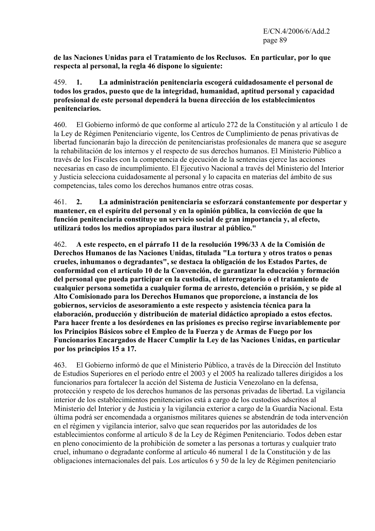**de las Naciones Unidas para el Tratamiento de los Reclusos. En particular, por lo que respecta al personal, la regla 46 dispone lo siguiente:** 

459. **1. La administración penitenciaria escogerá cuidadosamente el personal de todos los grados, puesto que de la integridad, humanidad, aptitud personal y capacidad profesional de este personal dependerá la buena dirección de los establecimientos penitenciarios.** 

460. El Gobierno informó de que conforme al artículo 272 de la Constitución y al artículo 1 de la Ley de Régimen Penitenciario vigente, los Centros de Cumplimiento de penas privativas de libertad funcionarán bajo la dirección de penitenciaristas profesionales de manera que se asegure la rehabilitación de los internos y el respecto de sus derechos humanos. El Ministerio Público a través de los Fiscales con la competencia de ejecución de la sentencias ejerce las acciones necesarias en caso de incumplimiento. El Ejecutivo Nacional a través del Ministerio del Interior y Justicia selecciona cuidadosamente al personal y lo capacita en materias del ámbito de sus competencias, tales como los derechos humanos entre otras cosas.

461. **2. La administración penitenciaria se esforzará constantemente por despertar y mantener, en el espíritu del personal y en la opinión pública, la convicción de que la función penitenciaria constituye un servicio social de gran importancia y, al efecto, utilizará todos los medios apropiados para ilustrar al público."**

462. **A este respecto, en el párrafo 11 de la resolución 1996/33 A de la Comisión de Derechos Humanos de las Naciones Unidas, titulada "La tortura y otros tratos o penas crueles, inhumanos o degradantes", se destaca la obligación de los Estados Partes, de conformidad con el artículo 10 de la Convención, de garantizar la educación y formación del personal que pueda participar en la custodia, el interrogatorio o el tratamiento de cualquier persona sometida a cualquier forma de arresto, detención o prisión, y se pide al Alto Comisionado para los Derechos Humanos que proporcione, a instancia de los gobiernos, servicios de asesoramiento a este respecto y asistencia técnica para la elaboración, producción y distribución de material didáctico apropiado a estos efectos. Para hacer frente a los desórdenes en las prisiones es preciso regirse invariablemente por los Principios Básicos sobre el Empleo de la Fuerza y de Armas de Fuego por los Funcionarios Encargados de Hacer Cumplir la Ley de las Naciones Unidas, en particular por los principios 15 a 17.** 

463. El Gobierno informó de que el Ministerio Público, a través de la Dirección del Instituto de Estudios Superiores en el período entre el 2003 y el 2005 ha realizado talleres dirigidos a los funcionarios para fortalecer la acción del Sistema de Justicia Venezolano en la defensa, protección y respeto de los derechos humanos de las personas privadas de libertad. La vigilancia interior de los establecimientos penitenciarios está a cargo de los custodios adscritos al Ministerio del Interior y de Justicia y la vigilancia exterior a cargo de la Guardia Nacional. Esta última podrá ser encomendada a organismos militares quienes se abstendrán de toda intervención en el régimen y vigilancia interior, salvo que sean requeridos por las autoridades de los establecimientos conforme al artículo 8 de la Ley de Régimen Penitenciario. Todos deben estar en pleno conocimiento de la prohibición de someter a las personas a torturas y cualquier trato cruel, inhumano o degradante conforme al artículo 46 numeral 1 de la Constitución y de las obligaciones internacionales del país. Los artículos 6 y 50 de la ley de Régimen penitenciario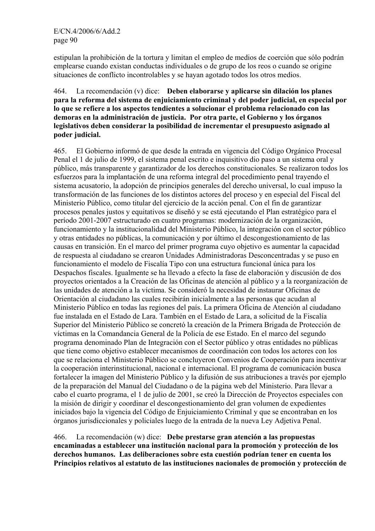estipulan la prohibición de la tortura y limitan el empleo de medios de coerción que sólo podrán emplearse cuando existan conductas individuales o de grupo de los reos o cuando se origine situaciones de conflicto incontrolables y se hayan agotado todos los otros medios.

#### 464. La recomendación (v) dice: **Deben elaborarse y aplicarse sin dilación los planes para la reforma del sistema de enjuiciamiento criminal y del poder judicial, en especial por lo que se refiere a los aspectos tendientes a solucionar el problema relacionado con las demoras en la administración de justicia. Por otra parte, el Gobierno y los órganos legislativos deben considerar la posibilidad de incrementar el presupuesto asignado al poder judicial.**

465. El Gobierno informó de que desde la entrada en vigencia del Código Orgánico Procesal Penal el 1 de julio de 1999, el sistema penal escrito e inquisitivo dio paso a un sistema oral y público, más transparente y garantizador de los derechos constitucionales. Se realizaron todos los esfuerzos para la implantación de una reforma integral del procedimiento penal trayendo el sistema acusatorio, la adopción de principios generales del derecho universal, lo cual impuso la transformación de las funciones de los distintos actores del proceso y en especial del Fiscal del Ministerio Público, como titular del ejercicio de la acción penal. Con el fin de garantizar procesos penales justos y equitativos se diseñó y se está ejecutando el Plan estratégico para el período 2001-2007 estructurado en cuatro programas: modernización de la organización, funcionamiento y la institucionalidad del Ministerio Público, la integración con el sector público y otras entidades no públicas, la comunicación y por último el descongestionamiento de las causas en transición. En el marco del primer programa cuyo objetivo es aumentar la capacidad de respuesta al ciudadano se crearon Unidades Administradoras Desconcentradas y se puso en funcionamiento el modelo de Fiscalía Tipo con una estructura funcional única para los Despachos fiscales. Igualmente se ha llevado a efecto la fase de elaboración y discusión de dos proyectos orientados a la Creación de las Oficinas de atención al público y a la reorganización de las unidades de atención a la víctima. Se consideró la necesidad de instaurar Oficinas de Orientación al ciudadano las cuales recibirán inicialmente a las personas que acudan al Ministerio Público en todas las regiones del país. La primera Oficina de Atención al ciudadano fue instalada en el Estado de Lara. También en el Estado de Lara, a solicitud de la Fiscalía Superior del Ministerio Público se concretó la creación de la Primera Brigada de Protección de víctimas en la Comandancia General de la Policía de ese Estado. En el marco del segundo programa denominado Plan de Integración con el Sector público y otras entidades no públicas que tiene como objetivo establecer mecanismos de coordinación con todos los actores con los que se relaciona el Ministerio Público se concluyeron Convenios de Cooperación para incentivar la cooperación interinstitucional, nacional e internacional. El programa de comunicación busca fortalecer la imagen del Ministerio Público y la difusión de sus atribuciones a través por ejemplo de la preparación del Manual del Ciudadano o de la página web del Ministerio. Para llevar a cabo el cuarto programa, el 1 de julio de 2001, se creó la Dirección de Proyectos especiales con la misión de dirigir y coordinar el descongestionamiento del gran volumen de expedientes iniciados bajo la vigencia del Código de Enjuiciamiento Criminal y que se encontraban en los órganos jurisdiccionales y policiales luego de la entrada de la nueva Ley Adjetiva Penal.

466. La recomendación (w) dice: **Debe prestarse gran atención a las propuestas encaminadas a establecer una institución nacional para la promoción y protección de los derechos humanos. Las deliberaciones sobre esta cuestión podrían tener en cuenta los Principios relativos al estatuto de las instituciones nacionales de promoción y protección de**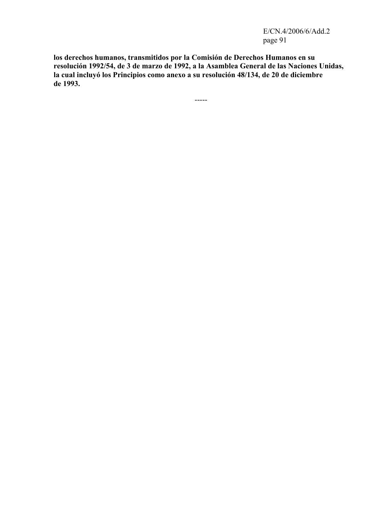E/CN.4/2006/6/Add.2 page 91

**los derechos humanos, transmitidos por la Comisión de Derechos Humanos en su resolución 1992/54, de 3 de marzo de 1992, a la Asamblea General de las Naciones Unidas, la cual incluyó los Principios como anexo a su resolución 48/134, de 20 de diciembre de 1993.**

-----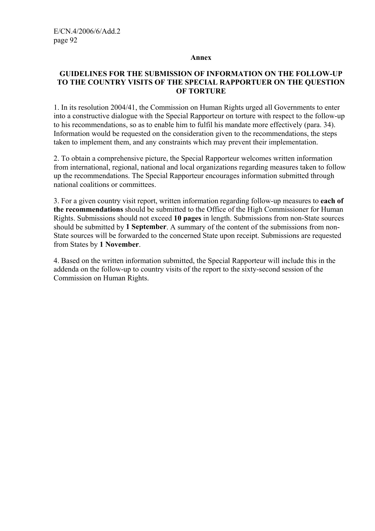#### **Annex**

#### **GUIDELINES FOR THE SUBMISSION OF INFORMATION ON THE FOLLOW-UP TO THE COUNTRY VISITS OF THE SPECIAL RAPPORTUER ON THE QUESTION OF TORTURE**

1. In its resolution 2004/41, the Commission on Human Rights urged all Governments to enter into a constructive dialogue with the Special Rapporteur on torture with respect to the follow-up to his recommendations, so as to enable him to fulfil his mandate more effectively (para. 34). Information would be requested on the consideration given to the recommendations, the steps taken to implement them, and any constraints which may prevent their implementation.

2. To obtain a comprehensive picture, the Special Rapporteur welcomes written information from international, regional, national and local organizations regarding measures taken to follow up the recommendations. The Special Rapporteur encourages information submitted through national coalitions or committees.

3. For a given country visit report, written information regarding follow-up measures to **each of the recommendations** should be submitted to the Office of the High Commissioner for Human Rights. Submissions should not exceed **10 pages** in length. Submissions from non-State sources should be submitted by **1 September**. A summary of the content of the submissions from non-State sources will be forwarded to the concerned State upon receipt. Submissions are requested from States by **1 November**.

4. Based on the written information submitted, the Special Rapporteur will include this in the addenda on the follow-up to country visits of the report to the sixty-second session of the Commission on Human Rights.